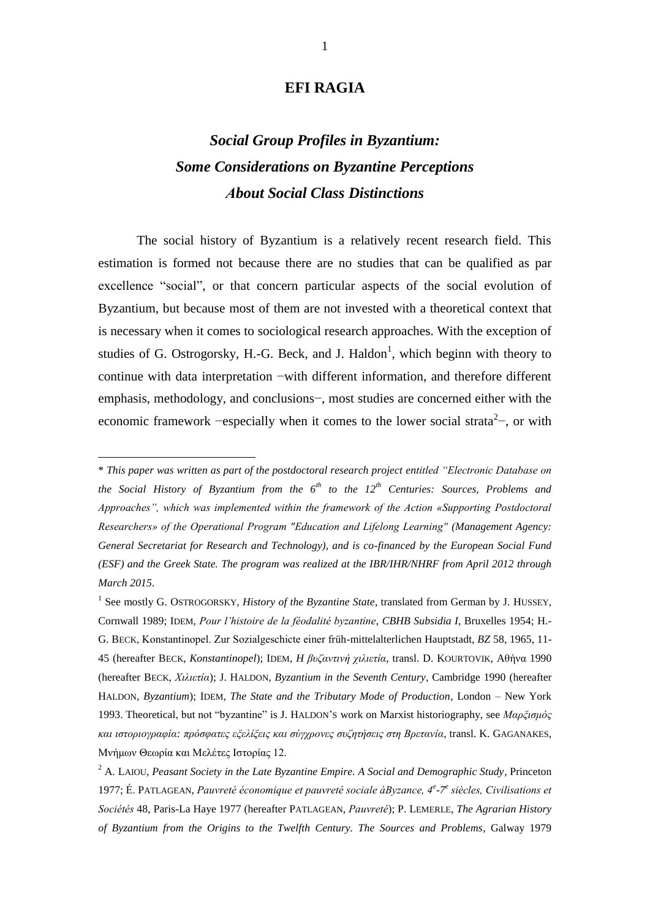## **EFI RAGIA**

# *Social Group Profiles in Byzantium: Some Considerations on Byzantine Perceptions Αbout Social Class Distinctions*

The social history of Byzantium is a relatively recent research field. This estimation is formed not because there are no studies that can be qualified as par excellence "social", or that concern particular aspects of the social evolution of Byzantium, but because most of them are not invested with a theoretical context that is necessary when it comes to sociological research approaches. With the exception of studies of G. Ostrogorsky, H.-G. Beck, and J. Haldon<sup>1</sup>, which beginn with theory to continue with data interpretation −with different information, and therefore different emphasis, methodology, and conclusions−, most studies are concerned either with the economic framework –especially when it comes to the lower social strata<sup>2</sup>–, or with

<sup>\*</sup> *This paper was written as part of the postdoctoral research project entitled "Electronic Database on the Social History of Byzantium from the 6th to the 12th Centuries: Sources, Problems and Approaches", which was implemented within the framework of the Action «Supporting Postdoctoral Researchers» of the Operational Program "Education and Lifelong Learning" (Management Agency: General Secretariat for Research and Technology), and is co-financed by the European Social Fund (ESF) and the Greek State. The program was realized at the IBR/IHR/NHRF from April 2012 through March 2015.*

<sup>&</sup>lt;sup>1</sup> See mostly G. OSTROGORSKY, *History of the Byzantine State*, translated from German by J. HUSSEY, Cornwall 1989; IDEM, *Pour l'histoire de la féodalité byzantine*, *CBHB Subsidia I*, Bruxelles 1954; H.- G. BECK, Konstantinopel. Zur Sozialgeschicte einer früh-mittelalterlichen Hauptstadt, *BZ* 58, 1965, 11- 45 (hereafter BECK, *Konstantinopel*); IDEM, *H βυζαντινή χιλιετία*, transl. D. KOURTOVIK, Aθήνα 1990 (hereafter BECK, *Χιλιετία*); J. HALDON, *Byzantium in the Seventh Century*, Cambridge 1990 (hereafter HALDON, *Byzantium*); IDEM, *The State and the Tributary Mode of Production*, London – New York 1993. Theoretical, but not "byzantine" is J. HALDON'S work on Marxist historiography, see *Μαρξισμός και ιστοριογραφία: πρόσφατες εξελίξεις και σύγχρονες συζητήσεις στη Βρετανία*, transl. K. GAGANAKES, Μνήμων Θεωρία και Μελέτες Ιστορίας 12.

<sup>2</sup> A. LAIOU, *Peasant Society in the Late Byzantine Empire. A Social and Demographic Study*, Princeton 1977; É. PATLAGEAN, Pauvreté économique et pauvreté sociale àByzance, 4<sup>e</sup>-7<sup>e</sup> siècles, Civilisations et *Sociétés* 48, Paris-La Haye 1977 (hereafter PATLAGEAN, *Pauvreté*); P. LEMERLE, *The Agrarian History of Byzantium from the Origins to the Twelfth Century. The Sources and Problems*, Galway 1979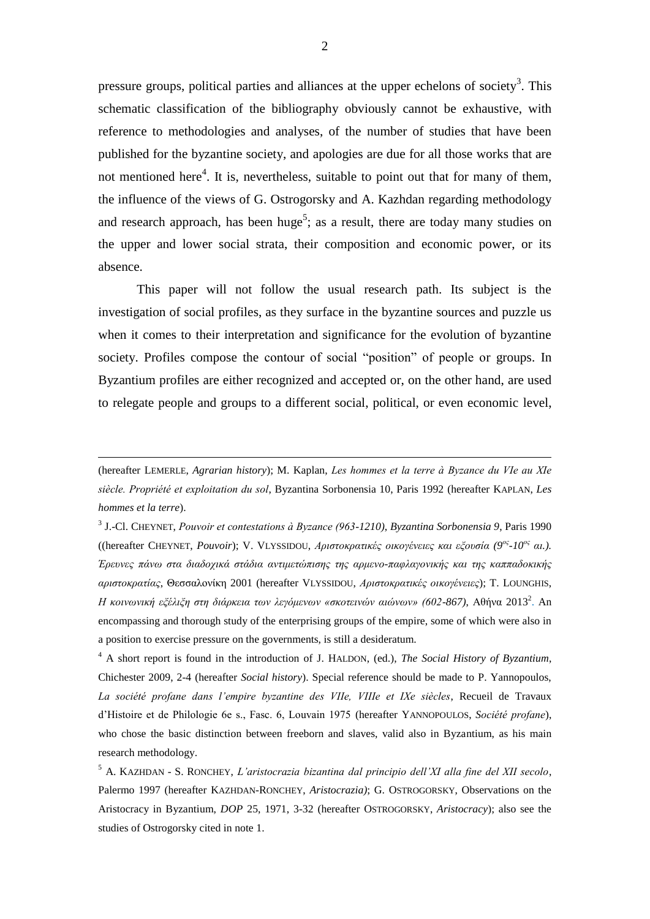pressure groups, political parties and alliances at the upper echelons of society<sup>3</sup>. This schematic classification of the bibliography obviously cannot be exhaustive, with reference to methodologies and analyses, of the number of studies that have been published for the byzantine society, and apologies are due for all those works that are not mentioned here<sup>4</sup>. It is, nevertheless, suitable to point out that for many of them, the influence of the views of G. Ostrogorsky and A. Kazhdan regarding methodology and research approach, has been huge<sup>5</sup>; as a result, there are today many studies on the upper and lower social strata, their composition and economic power, or its absence.

This paper will not follow the usual research path. Its subject is the investigation of social profiles, as they surface in the byzantine sources and puzzle us when it comes to their interpretation and significance for the evolution of byzantine society. Profiles compose the contour of social "position" of people or groups. In Byzantium profiles are either recognized and accepted or, on the other hand, are used to relegate people and groups to a different social, political, or even economic level,

<u>.</u>

<sup>4</sup> A short report is found in the introduction of J. HALDON, (ed.), *The Social History of Byzantium*, Chichester 2009, 2-4 (hereafter *Social history*). Special reference should be made to P. Yannopoulos, *La société profane dans l'empire byzantine des VIIe, VIIIe et IXe siècles*, Recueil de Travaux d'Histoire et de Philologie 6e s., Fasc. 6, Louvain 1975 (hereafter YANNOPOULOS, *Société profane*), who chose the basic distinction between freeborn and slaves, valid also in Byzantium, as his main research methodology.

<sup>5</sup> A. KAZHDAN - S. RONCHEY, *L'aristocrazia bizantina dal principio dell'XI alla fine del XII secolo*, Palermo 1997 (hereafter KAZHDAN-RONCHEY, *Aristocrazia)*; G. OSTROGORSKY, Observations on the Aristocracy in Byzantium, *DOP* 25, 1971, 3-32 (hereafter OSTROGORSKY, *Aristocracy*); also see the studies of Ostrogorsky cited in note 1.

<sup>(</sup>hereafter LEMERLE, *Agrarian history*); M. Kaplan, *Les hommes et la terre à Byzance du VΙe au XΙe siècle. Propriété et exploitation du sol*, Byzantina Sorbonensia 10, Paris 1992 (hereafter KAPLAN, *Les hommes et la terre*).

<sup>3</sup> J.-Cl. CHEYNET, *Pouvoir et contestations à Byzance (963-1210)*, *Byzantina Sorbonensia 9*, Paris 1990 ((hereafter CHEYNET, *Pouvoir*); V. VLYSSIDOU, *Αριστοκρατικές οικογένειες και εξουσία (9ος -10ος αι.). Έρευνες πάνω στα διαδοχικά στάδια αντιμετώπισης της αρμενο-παφλαγονικής και της καππαδοκικής αριστοκρατίας*, Θεσσαλονίκη 2001 (hereafter VLYSSIDOU, *Αριστοκρατικές οικογένειες*); T. LOUNGHIS, Η κοινωνική ε*ξέλιξη στη διάρκεια των λεγόμενων «σκοτεινών αιώνων» (602-867)*, Αθήνα 2013<sup>2</sup>. An encompassing and thorough study of the enterprising groups of the empire, some of which were also in a position to exercise pressure on the governments, is still a desideratum.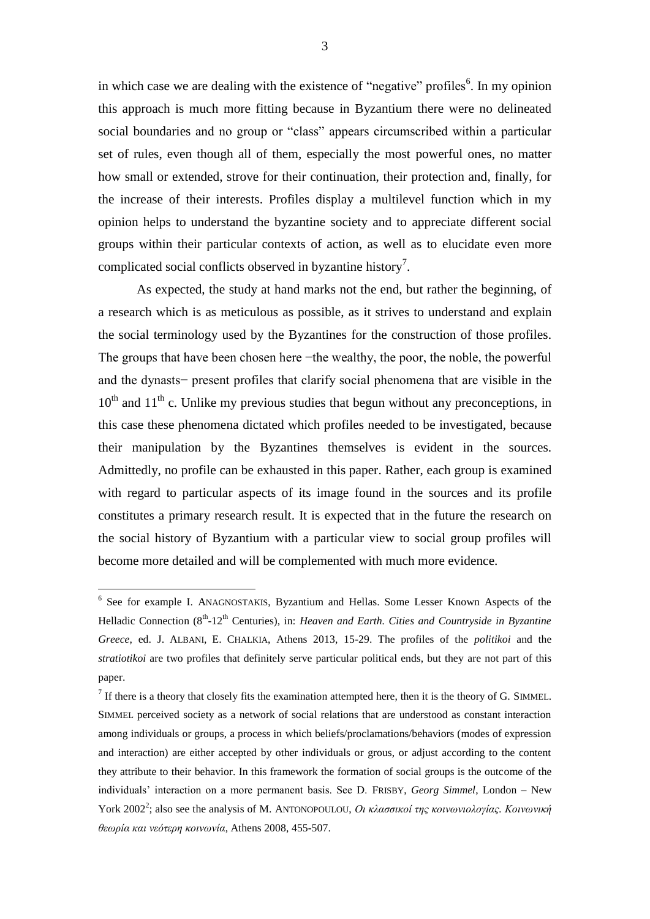in which case we are dealing with the existence of "negative" profiles $6$ . In my opinion this approach is much more fitting because in Byzantium there were no delineated social boundaries and no group or "class" appears circumscribed within a particular set of rules, even though all of them, especially the most powerful ones, no matter how small or extended, strove for their continuation, their protection and, finally, for the increase of their interests. Profiles display a multilevel function which in my opinion helps to understand the byzantine society and to appreciate different social groups within their particular contexts of action, as well as to elucidate even more complicated social conflicts observed in byzantine history<sup>7</sup>.

As expected, the study at hand marks not the end, but rather the beginning, of a research which is as meticulous as possible, as it strives to understand and explain the social terminology used by the Byzantines for the construction of those profiles. The groups that have been chosen here −the wealthy, the poor, the noble, the powerful and the dynasts− present profiles that clarify social phenomena that are visible in the  $10^{th}$  and  $11^{th}$  c. Unlike my previous studies that begun without any preconceptions, in this case these phenomena dictated which profiles needed to be investigated, because their manipulation by the Byzantines themselves is evident in the sources. Admittedly, no profile can be exhausted in this paper. Rather, each group is examined with regard to particular aspects of its image found in the sources and its profile constitutes a primary research result. It is expected that in the future the research on the social history of Byzantium with a particular view to social group profiles will become more detailed and will be complemented with much more evidence.

<sup>6</sup> See for example I. ANAGNOSTAKIS, Byzantium and Hellas. Some Lesser Known Aspects of the Helladic Connection (8<sup>th</sup>-12<sup>th</sup> Centuries), in: *Heaven and Earth. Cities and Countryside in Byzantine Greece*, ed. J. ALBANI, E. CHALKIA, Athens 2013, 15-29. The profiles of the *politikoi* and the *stratiotikoi* are two profiles that definitely serve particular political ends, but they are not part of this paper.

 $<sup>7</sup>$  If there is a theory that closely fits the examination attempted here, then it is the theory of G. SIMMEL.</sup> SIMMEL perceived society as a network of social relations that are understood as constant interaction among individuals or groups, a process in which beliefs/proclamations/behaviors (modes of expression and interaction) are either accepted by other individuals or grous, or adjust according to the content they attribute to their behavior. In this framework the formation of social groups is the outcome of the individuals' interaction on a more permanent basis. See D. FRISBY, *Georg Simmel*, London – New York 2002<sup>2</sup> ; also see the analysis of M. ANTONOPOULOU, *Οι κλασσικοί της κοινωνιολογίας. Κοινωνική θεωρία και νεότερη κοινωνία*, Athens 2008, 455-507.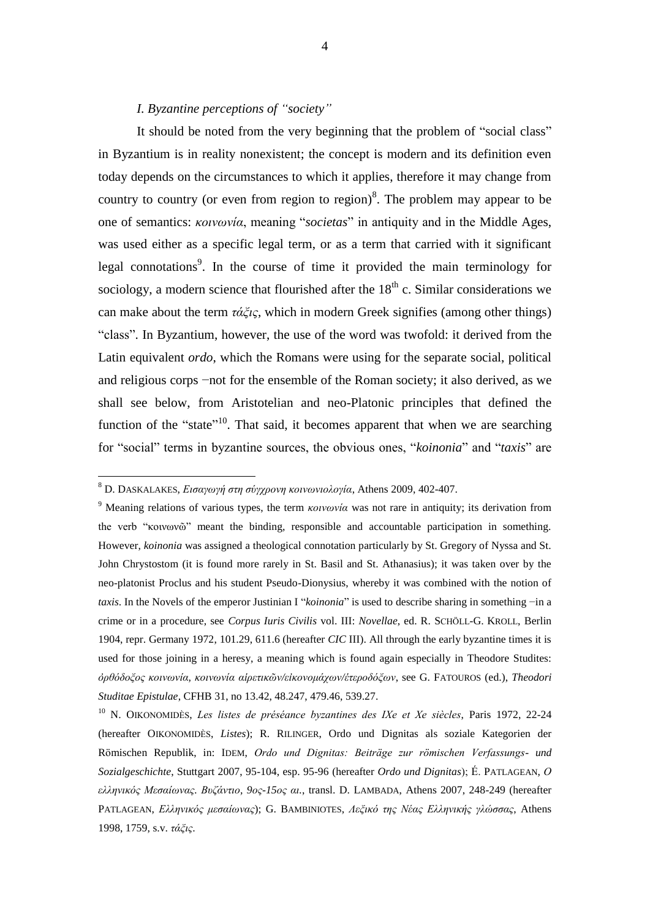## *I. Byzantine perceptions of "society"*

It should be noted from the very beginning that the problem of "social class" in Byzantium is in reality nonexistent; the concept is modern and its definition even today depends on the circumstances to which it applies, therefore it may change from country to country (or even from region to region)<sup>8</sup>. The problem may appear to be one of semantics: *κοινωνία*, meaning "*societas*" in antiquity and in the Middle Ages, was used either as a specific legal term, or as a term that carried with it significant legal connotations<sup>9</sup>. In the course of time it provided the main terminology for sociology, a modern science that flourished after the  $18<sup>th</sup>$  c. Similar considerations we can make about the term *τάξις*, which in modern Greek signifies (among other things) "class". In Byzantium, however, the use of the word was twofold: it derived from the Latin equivalent *ordo*, which the Romans were using for the separate social, political and religious corps −not for the ensemble of the Roman society; it also derived, as we shall see below, from Aristotelian and neo-Platonic principles that defined the function of the "state"<sup>10</sup>. That said, it becomes apparent that when we are searching for "social" terms in byzantine sources, the obvious ones, "*koinonia*" and "*taxis*" are

<sup>8</sup> D. DASKALAKES, *Εισαγωγή στη σύγχρονη κοινωνιολογία*, Athens 2009, 402-407.

<sup>9</sup> Meaning relations of various types, the term *κοινωνία* was not rare in antiquity; its derivation from the verb "κοινωνῶ" meant the binding, responsible and accountable participation in something. However, *koinonia* was assigned a theological connotation particularly by St. Gregory of Nyssa and St. John Chrystostom (it is found more rarely in St. Basil and St. Athanasius); it was taken over by the neo-platonist Proclus and his student Pseudo-Dionysius, whereby it was combined with the notion of *taxis*. In the Novels of the emperor Justinian I "*koinonia*" is used to describe sharing in something −in a crime or in a procedure, see *Corpus Iuris Civilis* vol. III: *Novellae*, ed. R. SCHÖLL-G. KROLL, Berlin 1904, repr. Germany 1972, 101.29, 611.6 (hereafter *CIC* III). All through the early byzantine times it is used for those joining in a heresy, a meaning which is found again especially in Theodore Studites: *ὀρθόδοξος κοινωνία, κοινωνία αἱρετικῶν/εἰκονομάχων/ἑτεροδόξων*, see G. FATOUROS (ed.), *Theodori Studitae Epistulae*, CFHB 31, no 13.42, 48.247, 479.46, 539.27.

<sup>10</sup> N. OIKONOMIDÈS, *Les listes de préséance byzantines des IXe et Xe siècles*, Paris 1972, 22-24 (hereafter OIKONOMIDÈS, *Listes*); R. RILINGER, Ordo und Dignitas als soziale Kategorien der Römischen Republik, in: IDEM, *Ordo und Dignitas: Beiträge zur römischen Verfassungs- und Sozialgeschichte*, Stuttgart 2007, 95-104, esp. 95-96 (hereafter *Ordo und Dignitas*); É. PATLAGEAN, *Ο ελληνικός Μεσαίωνας. Βυζάντιο, 9ος-15ος αι.*, transl. D. LAMBADA, Athens 2007, 248-249 (hereafter PATLAGEAN, *Ελληνικός μεσαίωνας*); G. BAMBINIOTES, *Λεξικό της Νέας Ελληνικής γλώσσας*, Athens 1998, 1759, s.v. *τάξις*.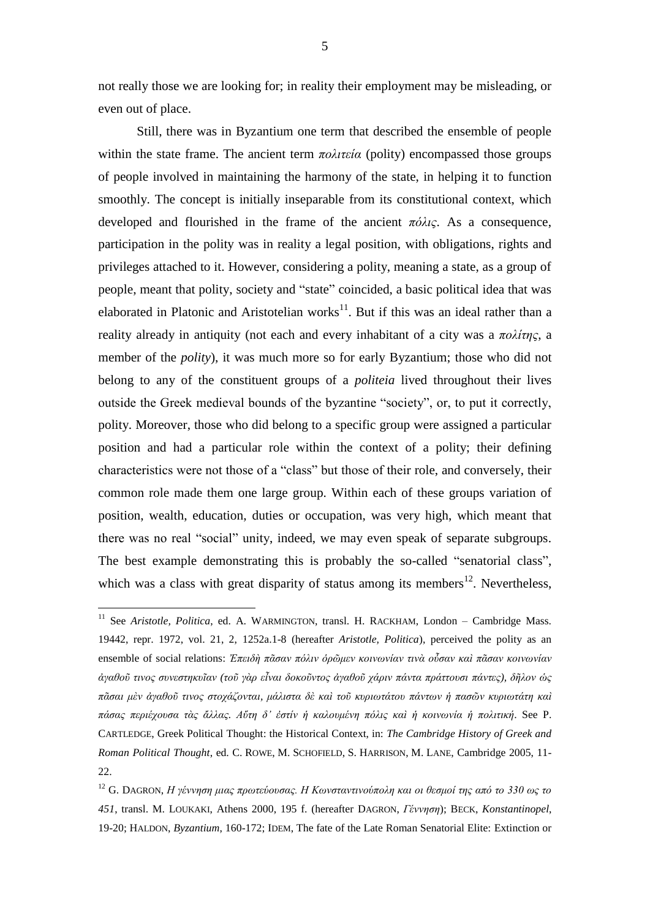not really those we are looking for; in reality their employment may be misleading, or even out of place.

Still, there was in Byzantium one term that described the ensemble of people within the state frame. The ancient term *πολιτεία* (polity) encompassed those groups of people involved in maintaining the harmony of the state, in helping it to function smoothly. The concept is initially inseparable from its constitutional context, which developed and flourished in the frame of the ancient *πόλις*. As a consequence, participation in the polity was in reality a legal position, with obligations, rights and privileges attached to it. However, considering a polity, meaning a state, as a group of people, meant that polity, society and "state" coincided, a basic political idea that was elaborated in Platonic and Aristotelian works $^{11}$ . But if this was an ideal rather than a reality already in antiquity (not each and every inhabitant of a city was a *πολίτης*, a member of the *polity*), it was much more so for early Byzantium; those who did not belong to any of the constituent groups of a *politeia* lived throughout their lives outside the Greek medieval bounds of the byzantine "society", or, to put it correctly, polity. Moreover, those who did belong to a specific group were assigned a particular position and had a particular role within the context of a polity; their defining characteristics were not those of a "class" but those of their role, and conversely, their common role made them one large group. Within each of these groups variation of position, wealth, education, duties or occupation, was very high, which meant that there was no real "social" unity, indeed, we may even speak of separate subgroups. The best example demonstrating this is probably the so-called "senatorial class", which was a class with great disparity of status among its members $^{12}$ . Nevertheless,

<sup>&</sup>lt;sup>11</sup> See Aristotle, Politica, ed. A. WARMINGTON, transl. H. RACKHAM, London - Cambridge Mass. 19442, repr. 1972, vol. 21, 2, 1252a.1-8 (hereafter *Aristotle, Politica*), perceived the polity as an ensemble of social relations: *Ἐπειδὴ πᾶσαν πόλιν ὁρῶμεν κοινωνίαν τινὰ οὖσαν καὶ πᾶσαν κοινωνίαν ἀγαθοῦ τινος συνεστηκυῖαν (τοῦ γὰρ εἶναι δοκοῦντος ἀγαθοῦ χάριν πάντα πράττουσι πάντες), δῆλον ὡς πᾶσαι μὲν ἀγαθοῦ τινος στοχάζονται, μάλιστα δὲ καὶ τοῦ κυριωτάτου πάντων ἡ πασῶν κυριωτάτη καὶ πάσας περιέχουσα τὰς ἄλλας. Αὕτη δ' ἐστίν ἡ καλουμένη πόλις καὶ ἡ κοινωνία ἡ πολιτική*. See P. CARTLEDGE, Greek Political Thought: the Historical Context, in: *The Cambridge History of Greek and Roman Political Thought*, ed. C. ROWE, M. SCHOFIELD, S. HARRISON, M. LANE, Cambridge 2005, 11- 22.

<sup>12</sup> G. DAGRON, *Η γέννηση μιας πρωτεύουσας. Η Κωνσταντινούπολη και οι θεσμοί της από το 330 ως το 451*, transl. M. LOUKAKI, Athens 2000, 195 f. (hereafter DAGRON, *Γέννηση*); BECK, *Konstantinopel*, 19-20; HALDON, *Byzantium*, 160-172; IDEM, The fate of the Late Roman Senatorial Elite: Extinction or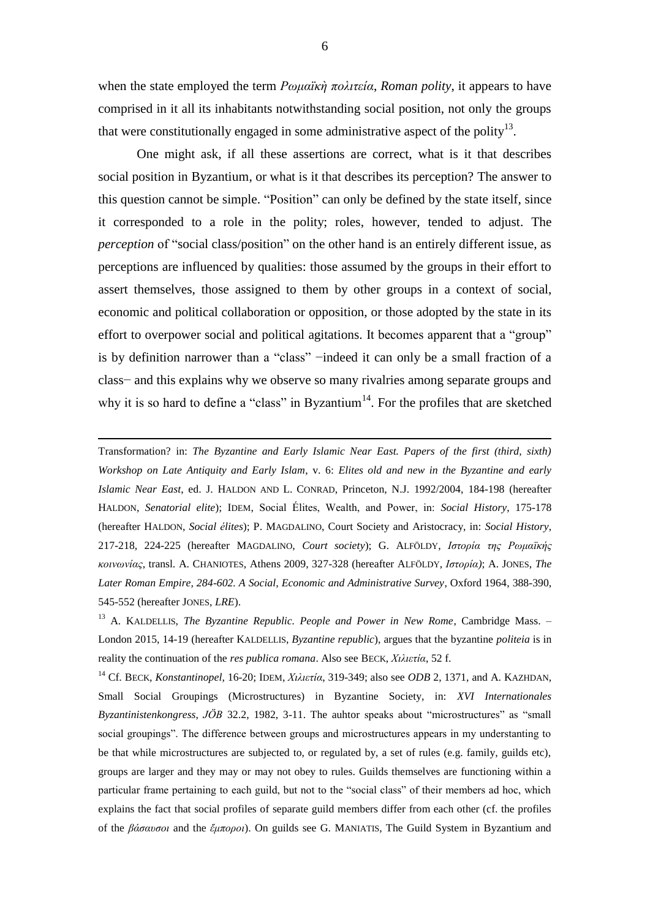when the state employed the term *Ρωμαϊκὴ πολιτεία*, *Roman polity*, it appears to have comprised in it all its inhabitants notwithstanding social position, not only the groups that were constitutionally engaged in some administrative aspect of the polity $13$ .

One might ask, if all these assertions are correct, what is it that describes social position in Byzantium, or what is it that describes its perception? The answer to this question cannot be simple. "Position" can only be defined by the state itself, since it corresponded to a role in the polity; roles, however, tended to adjust. The *perception* of "social class/position" on the other hand is an entirely different issue, as perceptions are influenced by qualities: those assumed by the groups in their effort to assert themselves, those assigned to them by other groups in a context of social, economic and political collaboration or opposition, or those adopted by the state in its effort to overpower social and political agitations. It becomes apparent that a "group" is by definition narrower than a "class" −indeed it can only be a small fraction of a class− and this explains why we observe so many rivalries among separate groups and why it is so hard to define a "class" in Byzantium<sup>14</sup>. For the profiles that are sketched

Transformation? in: *The Byzantine and Early Islamic Near East. Papers of the first (third, sixth) Workshop on Late Antiquity and Early Islam*, v. 6: *Elites old and new in the Byzantine and early Islamic Near East*, ed. J. HALDON AND L. CONRAD, Princeton, N.J. 1992/2004, 184-198 (hereafter HALDON, *Senatorial elite*); IDEM, Social Élites, Wealth, and Power, in: *Social History*, 175-178 (hereafter HALDON, *Social élites*); P. MAGDALINO, Court Society and Aristocracy, in: *Social History*, 217-218, 224-225 (hereafter MAGDALINO, *Court society*); G. ALFÖLDY, *Ιστορία της Ρωμαϊκής κοινωνίας*, transl. A. CHANIOTES, Athens 2009, 327-328 (hereafter ALFÖLDY, *Ιστορία)*; A. JONES, *The Later Roman Empire, 284-602. A Social, Economic and Administrative Survey*, Oxford 1964, 388-390, 545-552 (hereafter JONES, *LRE*).

1

<sup>14</sup> Cf. BECK, *Konstantinopel*, 16-20; IDEM, *Χιλιετία*, 319-349; also see *ODB* 2, 1371, and A. KAZHDAN, Small Social Groupings (Microstructures) in Byzantine Society, in: *XVI Internationales Byzantinistenkongress*, *JÖB* 32.2, 1982, 3-11. The auhtor speaks about "microstructures" as "small social groupings". The difference between groups and microstructures appears in my understanting to be that while microstructures are subjected to, or regulated by, a set of rules (e.g. family, guilds etc), groups are larger and they may or may not obey to rules. Guilds themselves are functioning within a particular frame pertaining to each guild, but not to the "social class" of their members ad hoc, which explains the fact that social profiles of separate guild members differ from each other (cf. the profiles of the *βάσαυσοι* and the *ἔμποροι*). On guilds see G. MANIATIS, The Guild System in Byzantium and

<sup>&</sup>lt;sup>13</sup> A. KALDELLIS, *The Byzantine Republic. People and Power in New Rome*, Cambridge Mass. -London 2015, 14-19 (hereafter KALDELLIS, *Byzantine republic*), argues that the byzantine *politeia* is in reality the continuation of the *res publica romana*. Also see BECK, *Χιλιετία*, 52 f.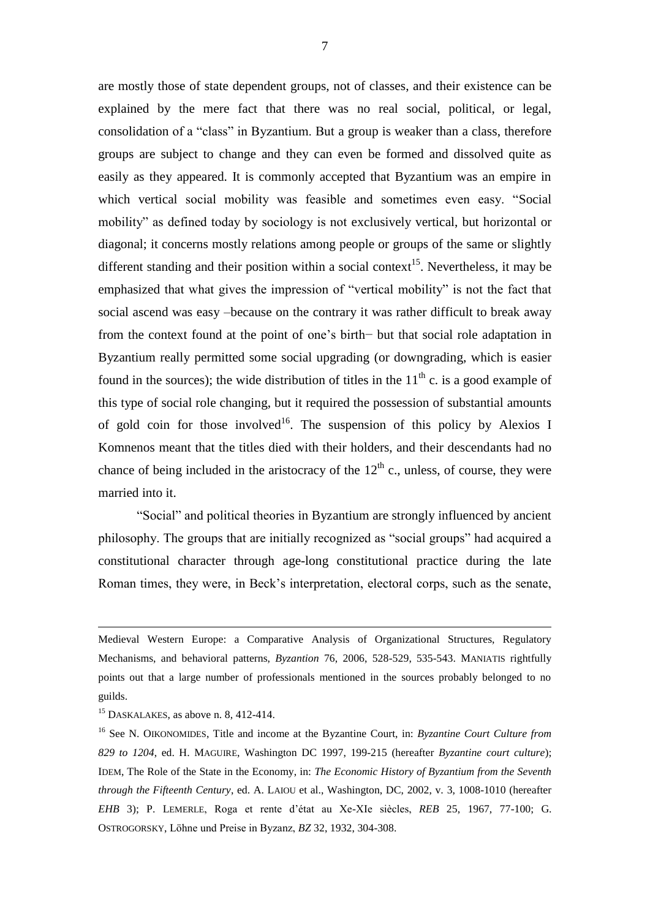are mostly those of state dependent groups, not of classes, and their existence can be explained by the mere fact that there was no real social, political, or legal, consolidation of a "class" in Byzantium. But a group is weaker than a class, therefore groups are subject to change and they can even be formed and dissolved quite as easily as they appeared. It is commonly accepted that Byzantium was an empire in which vertical social mobility was feasible and sometimes even easy. "Social mobility" as defined today by sociology is not exclusively vertical, but horizontal or diagonal; it concerns mostly relations among people or groups of the same or slightly different standing and their position within a social context<sup>15</sup>. Nevertheless, it may be emphasized that what gives the impression of "vertical mobility" is not the fact that social ascend was easy –because on the contrary it was rather difficult to break away from the context found at the point of one's birth− but that social role adaptation in Byzantium really permitted some social upgrading (or downgrading, which is easier found in the sources); the wide distribution of titles in the  $11<sup>th</sup>$  c. is a good example of this type of social role changing, but it required the possession of substantial amounts of gold coin for those involved<sup>16</sup>. The suspension of this policy by Alexios I Komnenos meant that the titles died with their holders, and their descendants had no chance of being included in the aristocracy of the  $12<sup>th</sup>$  c., unless, of course, they were married into it.

"Social" and political theories in Byzantium are strongly influenced by ancient philosophy. The groups that are initially recognized as "social groups" had acquired a constitutional character through age-long constitutional practice during the late Roman times, they were, in Beck's interpretation, electoral corps, such as the senate,

Medieval Western Europe: a Comparative Analysis of Organizational Structures, Regulatory Mechanisms, and behavioral patterns, *Byzantion* 76, 2006, 528-529, 535-543. MANIATIS rightfully points out that a large number of professionals mentioned in the sources probably belonged to no guilds.

 $15$  DASKALAKES, as above n. 8, 412-414.

<sup>16</sup> See N. OIKONOMIDES, Title and income at the Byzantine Court, in: *Byzantine Court Culture from 829 to 1204*, ed. H. MAGUIRE, Washington DC 1997, 199-215 (hereafter *Byzantine court culture*); IDEM, The Role of the State in the Economy, in: *The Economic History of Byzantium from the Seventh through the Fifteenth Century*, ed. A. LAIOU et al., Washington, DC, 2002, v. 3, 1008-1010 (hereafter *EHB* 3); P. LEMERLE, Roga et rente d'état au Xe-XIe siècles, *REB* 25, 1967, 77-100; G. OSTROGORSKY, Löhne und Preise in Byzanz, *BZ* 32, 1932, 304-308.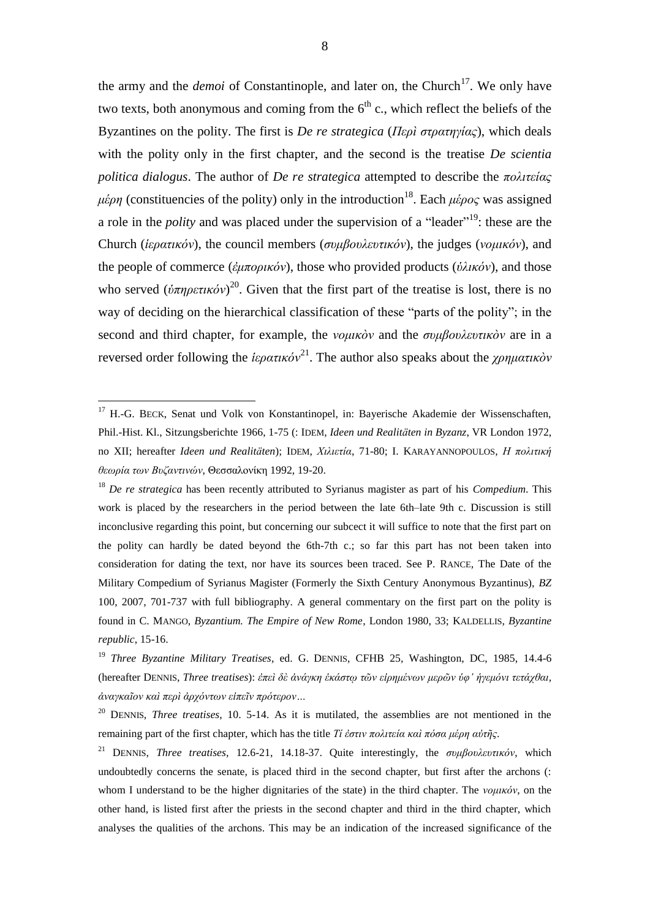the army and the *demoi* of Constantinople, and later on, the Church<sup>17</sup>. We only have two texts, both anonymous and coming from the  $6<sup>th</sup>$  c., which reflect the beliefs of the Byzantines on the polity. The first is *De re strategica* (*Περὶ στρατηγίας*), which deals with the polity only in the first chapter, and the second is the treatise *De scientia politica dialogus*. The author of *De re strategica* attempted to describe the *πολιτείας μέρη* (constituencies of the polity) only in the introduction<sup>18</sup>. Each μέρος was assigned a role in the *polity* and was placed under the supervision of a "leader" <sup>19</sup>: these are the Church (*ἱερατικόν*), the council members (*συμβουλευτικόν*), the judges (*νομικόν*), and the people of commerce (*ἐμπορικόν*), those who provided products (*ὑλικόν*), and those who served  $(\dot{v}\pi\eta\rho\epsilon\tau\mu\dot{\sigma}\nu)^{20}$ . Given that the first part of the treatise is lost, there is no way of deciding on the hierarchical classification of these "parts of the polity"; in the second and third chapter, for example, the *νομικὸν* and the *συμβουλευτικὸν* are in a reversed order following the *ἱερατικόν*<sup>21</sup>. The author also speaks about the *χρηματικὸν* 

<sup>&</sup>lt;sup>17</sup> H.-G. BECK, Senat und Volk von Konstantinopel, in: Bayerische Akademie der Wissenschaften, Phil.-Hist. Kl., Sitzungsberichte 1966, 1-75 (: IDEM, *Ideen und Realitäten in Byzanz*, VR London 1972, no XII; hereafter *Ideen und Realitäten*); IDEM, *Χιλιετία*, 71-80; I. KARAYANNOPOULOS, *Η πολιτική θεωρία των Βυζαντινών*, Θεσσαλονίκη 1992, 19-20.

<sup>18</sup> *De re strategica* has been recently attributed to Syrianus magister as part of his *Compedium*. This work is placed by the researchers in the period between the late 6th–late 9th c. Discussion is still inconclusive regarding this point, but concerning our subcect it will suffice to note that the first part on the polity can hardly be dated beyond the 6th-7th c.; so far this part has not been taken into consideration for dating the text, nor have its sources been traced. See P. RANCE, The Date of the Military Compedium of Syrianus Magister (Formerly the Sixth Century Anonymous Byzantinus), *BZ* 100, 2007, 701-737 with full bibliography. A general commentary on the first part on the polity is found in C. MANGO, *Byzantium. The Empire of New Rome*, London 1980, 33; KALDELLIS, *Byzantine republic*, 15-16.

<sup>19</sup> *Three Byzantine Military Treatises*, ed. G. DENNIS, CFHB 25, Washington, DC, 1985, 14.4-6 (hereafter DENNIS, *Three treatises*): *ἐπεὶ δὲ ἀνάγκη ἑκάστῳ τῶν εἰρημένων μερῶν ὑφ' ἡγεμόνι τετάχθαι, ἀναγκαῖον καὶ περὶ ἀρχόντων εἰπεῖν πρότερον…*

<sup>20</sup> DENNIS, *Three treatises*, 10. 5-14. As it is mutilated, the assemblies are not mentioned in the remaining part of the first chapter, which has the title *Τί ἐστιν πολιτεία καὶ πόσα μέρη αὐτῆς*.

<sup>21</sup> DENNIS, *Three treatises*, 12.6-21, 14.18-37. Quite interestingly, the *συμβουλευτικόν*, which undoubtedly concerns the senate, is placed third in the second chapter, but first after the archons (: whom I understand to be the higher dignitaries of the state) in the third chapter. The *νομικόν*, on the other hand, is listed first after the priests in the second chapter and third in the third chapter, which analyses the qualities of the archons. This may be an indication of the increased significance of the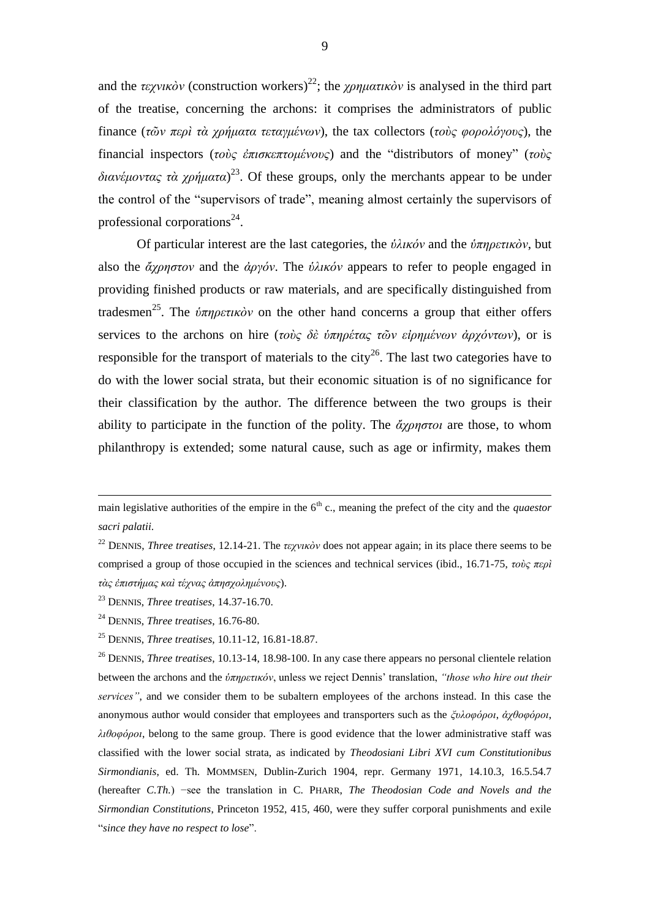and the *τεχνικὸν* (construction workers)<sup>22</sup>; the *χρηματικὸν* is analysed in the third part of the treatise, concerning the archons: it comprises the administrators of public finance (*τῶν περὶ τὰ χρήματα τεταγμένων*), the tax collectors (*τοὺς φορολόγους*), the financial inspectors (*τοὺς ἐπισκεπτομένους*) and the "distributors of money" (*τοὺς διανέμοντας τὰ χρήματα*) <sup>23</sup>. Of these groups, only the merchants appear to be under the control of the "supervisors of trade", meaning almost certainly the supervisors of professional corporations<sup>24</sup>.

Of particular interest are the last categories, the *ὑλικόν* and the *ὑπηρετικὸν*, but also the *ἄχρηστον* and the *ἀργόν*. The *ὑλικόν* appears to refer to people engaged in providing finished products or raw materials, and are specifically distinguished from tradesmen<sup>25</sup>. The *ὑπηρετικὸν* on the other hand concerns a group that either offers services to the archons on hire (*τοὺς δὲ ὑπηρέτας τῶν εἰρημένων ἀρχόντων*), or is responsible for the transport of materials to the city<sup>26</sup>. The last two categories have to do with the lower social strata, but their economic situation is of no significance for their classification by the author. The difference between the two groups is their ability to participate in the function of the polity. The *ἄχρηστοι* are those, to whom philanthropy is extended; some natural cause, such as age or infirmity, makes them

main legislative authorities of the empire in the  $6<sup>th</sup>$  c., meaning the prefect of the city and the *quaestor sacri palatii*.

<sup>22</sup> DENNIS, *Three treatises*, 12.14-21. The *τεχνικὸν* does not appear again; in its place there seems to be comprised a group of those occupied in the sciences and technical services (ibid., 16.71-75, *τοὺς περὶ τὰς ἐπιστήμας καὶ τέχνας ἀπησχολημένους*).

<sup>23</sup> DENNIS, *Three treatises*, 14.37-16.70.

<sup>24</sup> DENNIS, *Three treatises*, 16.76-80.

<sup>25</sup> DENNIS, *Three treatises*, 10.11-12, 16.81-18.87.

<sup>26</sup> DENNIS, *Three treatises*, 10.13-14, 18.98-100. In any case there appears no personal clientele relation between the archons and the *ὑπηρετικόν*, unless we reject Dennis' translation, *"those who hire out their services"*, and we consider them to be subaltern employees of the archons instead. In this case the anonymous author would consider that employees and transporters such as the *ξυλοφόροι*, *ἀχθοφόροι*, *λιθοφόροι*, belong to the same group. There is good evidence that the lower administrative staff was classified with the lower social strata, as indicated by *Theodosiani Libri XVI cum Constitutionibus Sirmondianis*, ed. Th. MOMMSEN, Dublin-Zurich 1904, repr. Germany 1971, 14.10.3, 16.5.54.7 (hereafter *C.Th.*) −see the translation in C. PHARR, *The Theodosian Code and Novels and the Sirmondian Constitutions*, Princeton 1952, 415, 460, were they suffer corporal punishments and exile "*since they have no respect to lose*".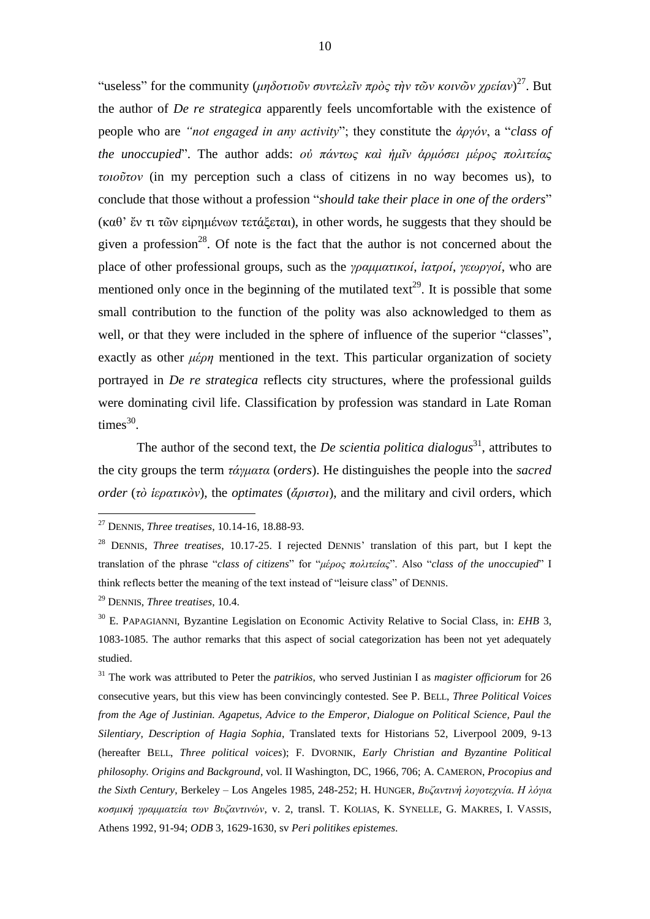"useless" for the community (*μηδοτιοῦν συντελεῖν πρὸς τὴν τῶν κοινῶν χρείαν*) <sup>27</sup>. But the author of *De re strategica* apparently feels uncomfortable with the existence of people who are *"not engaged in any activity*"; they constitute the *ἀργόν*, a "*class of the unoccupied*". The author adds: *οὐ πάντως καὶ ἡμῖν ἁρμόσει μέρος πολιτείας τοιοῦτον* (in my perception such a class of citizens in no way becomes us), to conclude that those without a profession "*should take their place in one of the orders*" (καθ' ἔν τι τῶν εἰρημένων τετάξεται), in other words, he suggests that they should be given a profession<sup>28</sup>. Of note is the fact that the author is not concerned about the place of other professional groups, such as the *γραμματικοί*, *ἰατροί*, *γεωργοί*, who are mentioned only once in the beginning of the mutilated text<sup>29</sup>. It is possible that some small contribution to the function of the polity was also acknowledged to them as well, or that they were included in the sphere of influence of the superior "classes", exactly as other *μέρη* mentioned in the text. This particular organization of society portrayed in *De re strategica* reflects city structures, where the professional guilds were dominating civil life. Classification by profession was standard in Late Roman  $times<sup>30</sup>$ .

The author of the second text, the *De scientia politica dialogus*<sup>31</sup>, attributes to the city groups the term *τάγματα* (*orders*). He distinguishes the people into the *sacred order* (*τὸ ἱερατικὸν*), the *optimates* (*ἄριστοι*), and the military and civil orders, which

<u>.</u>

<sup>31</sup> The work was attributed to Peter the *patrikios*, who served Justinian I as *magister officiorum* for 26 consecutive years, but this view has been convincingly contested. See P. BELL, *Three Political Voices from the Age of Justinian. Agapetus, Advice to the Emperor, Dialogue on Political Science, Paul the Silentiary, Description of Hagia Sophia*, Translated texts for Historians 52, Liverpool 2009, 9-13 (hereafter BELL, *Three political voices*); F. DVORNIK, *Early Christian and Byzantine Political philosophy. Origins and Background*, vol. II Washington, DC, 1966, 706; A. CAMERON, *Procopius and the Sixth Century*, Berkeley – Los Angeles 1985, 248-252; H. HUNGER, *Βυζαντινή λογοτεχνία. Η λόγια κοσμική γραμματεία των Βυζαντινών*, v. 2, transl. T. KOLIAS, K. SYNELLE, G. MAKRES, I. VASSIS, Athens 1992, 91-94; *ODB* 3, 1629-1630, sv *Peri politikes epistemes*.

<sup>27</sup> DENNIS, *Three treatises*, 10.14-16, 18.88-93.

<sup>28</sup> DENNIS, *Three treatises*, 10.17-25. I rejected DENNIS' translation of this part, but I kept the translation of the phrase "*class of citizens*" for "*μέρος πολιτείας*". Also "*class of the unoccupied*" I think reflects better the meaning of the text instead of "leisure class" of DENNIS.

<sup>29</sup> DENNIS, *Three treatises*, 10.4.

<sup>30</sup> E. PAPAGIANNI, Byzantine Legislation on Economic Activity Relative to Social Class, in: *EHB* 3, 1083-1085. The author remarks that this aspect of social categorization has been not yet adequately studied.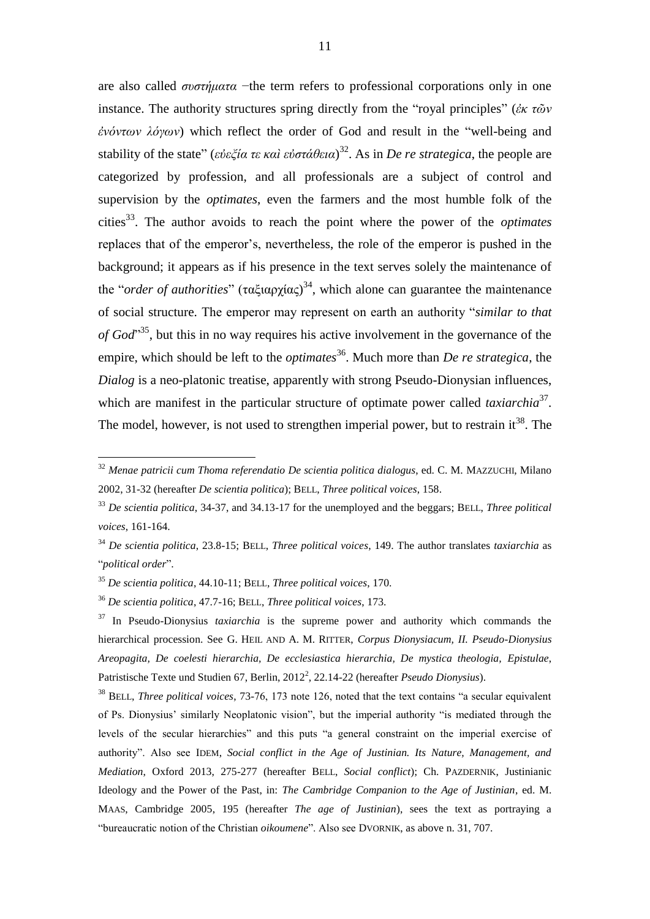are also called *συστήματα* −the term refers to professional corporations only in one instance. The authority structures spring directly from the "royal principles" (*ἐκ τῶν ἐνόντων λόγων*) which reflect the order of God and result in the "well-being and stability of the state" (*εὐεξία τε καὶ εὐστάθεια*) 32 . As in *De re strategica*, the people are categorized by profession, and all professionals are a subject of control and supervision by the *optimates*, even the farmers and the most humble folk of the cities<sup>33</sup> . The author avoids to reach the point where the power of the *optimates* replaces that of the emperor's, nevertheless, the role of the emperor is pushed in the background; it appears as if his presence in the text serves solely the maintenance of the "*order of authorities*" (ταξιαρχίας) 34 , which alone can guarantee the maintenance of social structure. The emperor may represent on earth an authority "*similar to that*  of God<sup>35</sup>, but this in no way requires his active involvement in the governance of the empire, which should be left to the *optimates*<sup>36</sup>. Much more than *De re strategica*, the *Dialog* is a neo-platonic treatise, apparently with strong Pseudo-Dionysian influences, which are manifest in the particular structure of optimate power called *taxiarchia*<sup>37</sup>. The model, however, is not used to strengthen imperial power, but to restrain it<sup>38</sup>. The

<sup>32</sup> *Menae patricii cum Thoma referendatio De scientia politica dialogus*, ed. C. M. MAZZUCHI, Milano 2002, 31-32 (hereafter *De scientia politica*); BELL, *Three political voices*, 158.

<sup>33</sup> *De scientia politica*, 34-37, and 34.13-17 for the unemployed and the beggars; BELL, *Three political voices*, 161-164.

<sup>34</sup> *De scientia politica*, 23.8-15; BELL, *Three political voices*, 149. The author translates *taxiarchia* as "*political order*".

<sup>35</sup> *De scientia politica*, 44.10-11; BELL, *Three political voices*, 170.

<sup>36</sup> *De scientia politica*, 47.7-16; BELL, *Three political voices*, 173.

<sup>37</sup> In Pseudo-Dionysius *taxiarchia* is the supreme power and authority which commands the hierarchical procession. See G. HEIL AND A. M. RITTER, *Corpus Dionysiacum, II. Pseudo-Dionysius Areopagita, De coelesti hierarchia, De ecclesiastica hierarchia, De mystica theologia, Epistulae*, Patristische Texte und Studien 67, Berlin, 2012<sup>2</sup>, 22.14-22 (hereafter *Pseudo Dionysius*).

<sup>38</sup> BELL, *Three political voices*, 73-76, 173 note 126, noted that the text contains "a secular equivalent of Ps. Dionysius' similarly Neoplatonic vision", but the imperial authority "is mediated through the levels of the secular hierarchies" and this puts "a general constraint on the imperial exercise of authority". Also see IDEM, *Social conflict in the Age of Justinian. Its Nature, Management, and Mediation*, Oxford 2013, 275-277 (hereafter BELL, *Social conflict*); Ch. PAZDERNIK, Justinianic Ideology and the Power of the Past, in: *The Cambridge Companion to the Age of Justinian*, ed. M. MAAS, Cambridge 2005, 195 (hereafter *The age of Justinian*), sees the text as portraying a "bureaucratic notion of the Christian *oikoumene*". Also see DVORNIK, as above n. 31, 707.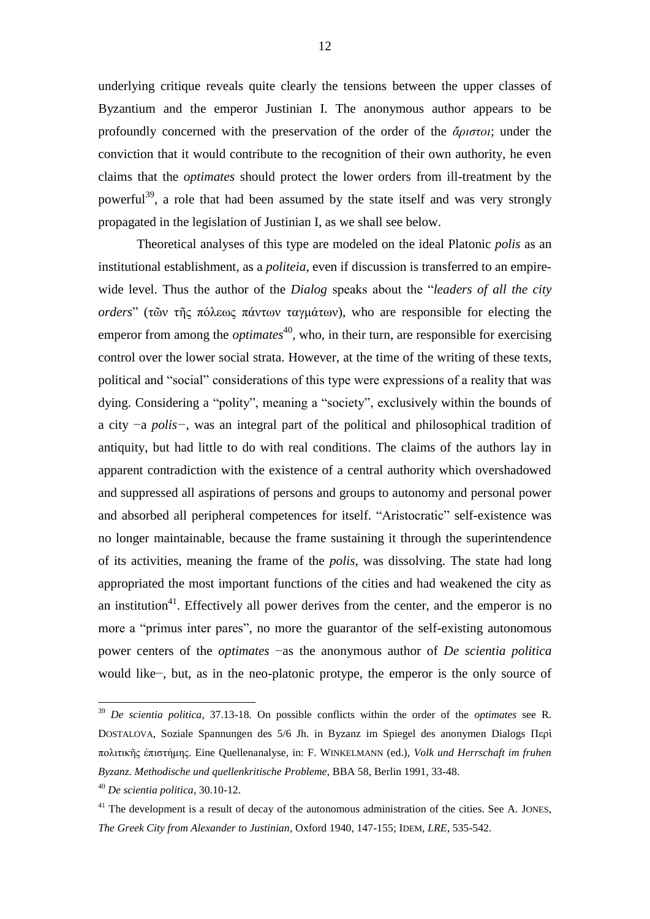underlying critique reveals quite clearly the tensions between the upper classes of Byzantium and the emperor Justinian I. The anonymous author appears to be profoundly concerned with the preservation of the order of the *ἄριστοι*; under the conviction that it would contribute to the recognition of their own authority, he even claims that the *optimates* should protect the lower orders from ill-treatment by the powerful<sup>39</sup>, a role that had been assumed by the state itself and was very strongly propagated in the legislation of Justinian I, as we shall see below.

Theoretical analyses of this type are modeled on the ideal Platonic *polis* as an institutional establishment, as a *politeia*, even if discussion is transferred to an empirewide level. Thus the author of the *Dialog* speaks about the "*leaders of all the city orders*" (τῶν τῆς πόλεως πάντων ταγμάτων), who are responsible for electing the emperor from among the *optimates*<sup>40</sup>, who, in their turn, are responsible for exercising control over the lower social strata. However, at the time of the writing of these texts, political and "social" considerations of this type were expressions of a reality that was dying. Considering a "polity", meaning a "society", exclusively within the bounds of a city −a *polis−*, was an integral part of the political and philosophical tradition of antiquity, but had little to do with real conditions. The claims of the authors lay in apparent contradiction with the existence of a central authority which overshadowed and suppressed all aspirations of persons and groups to autonomy and personal power and absorbed all peripheral competences for itself. "Aristocratic" self-existence was no longer maintainable, because the frame sustaining it through the superintendence of its activities, meaning the frame of the *polis*, was dissolving. The state had long appropriated the most important functions of the cities and had weakened the city as an institution<sup>41</sup>. Effectively all power derives from the center, and the emperor is no more a "primus inter pares", no more the guarantor of the self-existing autonomous power centers of the *optimates* −as the anonymous author of *De scientia politica* would like−, but, as in the neo-platonic protype, the emperor is the only source of

1

<sup>39</sup> *De scientia politica*, 37.13-18*.* On possible conflicts within the order of the *optimates* see R. DOSTALOVA, Soziale Spannungen des 5/6 Jh. in Byzanz im Spiegel des anonymen Dialogs Περὶ πολιτικῆς ἐπιστήμης. Eine Quellenanalyse, in: F. WINKELMANN (ed.), *Volk und Herrschaft im fruhen Byzanz. Methodische und quellenkritische Probleme*, BBA 58, Berlin 1991, 33-48.

<sup>40</sup> *De scientia politica*, 30.10-12.

 $41$  The development is a result of decay of the autonomous administration of the cities. See A. JONES, *The Greek City from Alexander to Justinian*, Oxford 1940, 147-155; IDEM, *LRE*, 535-542.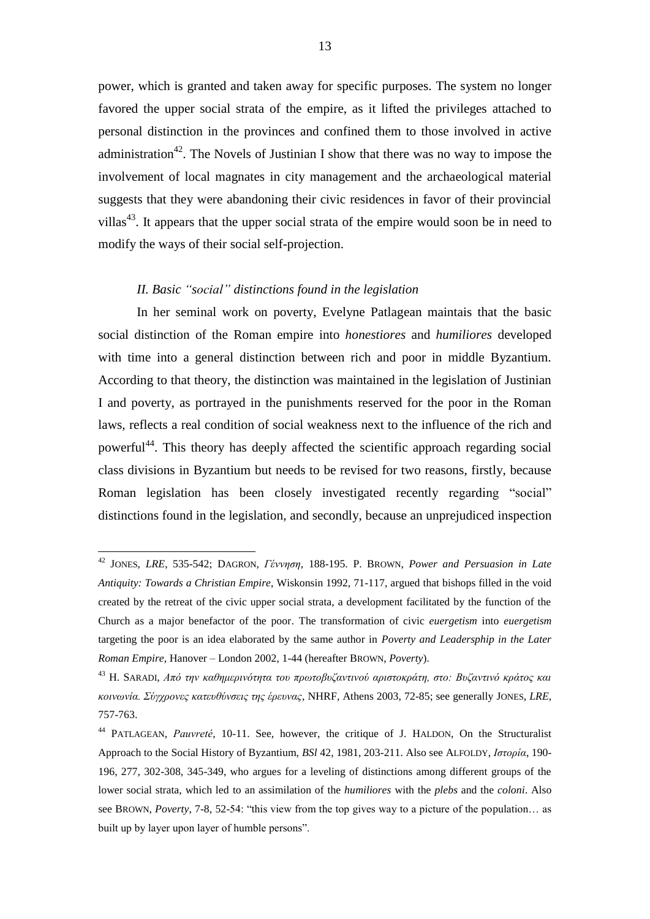power, which is granted and taken away for specific purposes. The system no longer favored the upper social strata of the empire, as it lifted the privileges attached to personal distinction in the provinces and confined them to those involved in active administration<sup>42</sup>. The Novels of Justinian I show that there was no way to impose the involvement of local magnates in city management and the archaeological material suggests that they were abandoning their civic residences in favor of their provincial villas<sup>43</sup>. It appears that the upper social strata of the empire would soon be in need to modify the ways of their social self-projection.

## *II. Basic "social" distinctions found in the legislation*

<u>.</u>

In her seminal work on poverty, Evelyne Patlagean maintais that the basic social distinction of the Roman empire into *honestiores* and *humiliores* developed with time into a general distinction between rich and poor in middle Byzantium. According to that theory, the distinction was maintained in the legislation of Justinian I and poverty, as portrayed in the punishments reserved for the poor in the Roman laws, reflects a real condition of social weakness next to the influence of the rich and powerful<sup>44</sup>. This theory has deeply affected the scientific approach regarding social class divisions in Byzantium but needs to be revised for two reasons, firstly, because Roman legislation has been closely investigated recently regarding "social" distinctions found in the legislation, and secondly, because an unprejudiced inspection

<sup>42</sup> JONES, *LRE*, 535-542; DAGRON, *Γέννηση*, 188-195. P. BROWN, *Power and Persuasion in Late Antiquity: Towards a Christian Empire*, Wiskonsin 1992, 71-117, argued that bishops filled in the void created by the retreat of the civic upper social strata, a development facilitated by the function of the Church as a major benefactor of the poor. The transformation of civic *euergetism* into *euergetism* targeting the poor is an idea elaborated by the same author in *Poverty and Leadersphip in the Later Roman Empire*, Hanover – London 2002, 1-44 (hereafter BROWN, *Poverty*).

<sup>43</sup> H. SARADI, *Από την καθημερινότητα του πρωτοβυζαντινού αριστοκράτη, στο: Βυζαντινό κράτος και κοινωνία. Σύγχρονες κατευθύνσεις της έρευνας*, NHRF, Athens 2003, 72-85; see generally JONES, *LRE*, 757-763.

<sup>44</sup> PATLAGEAN, *Pauvreté*, 10-11. See, however, the critique of J. HALDON, On the Structuralist Approach to the Social History of Byzantium, *BSl* 42, 1981, 203-211. Also see ALFOLDY, *Ιστορία*, 190- 196, 277, 302-308, 345-349, who argues for a leveling of distinctions among different groups of the lower social strata, which led to an assimilation of the *humiliores* with the *plebs* and the *coloni*. Also see BROWN, *Poverty*, 7-8, 52-54: "this view from the top gives way to a picture of the population… as built up by layer upon layer of humble persons".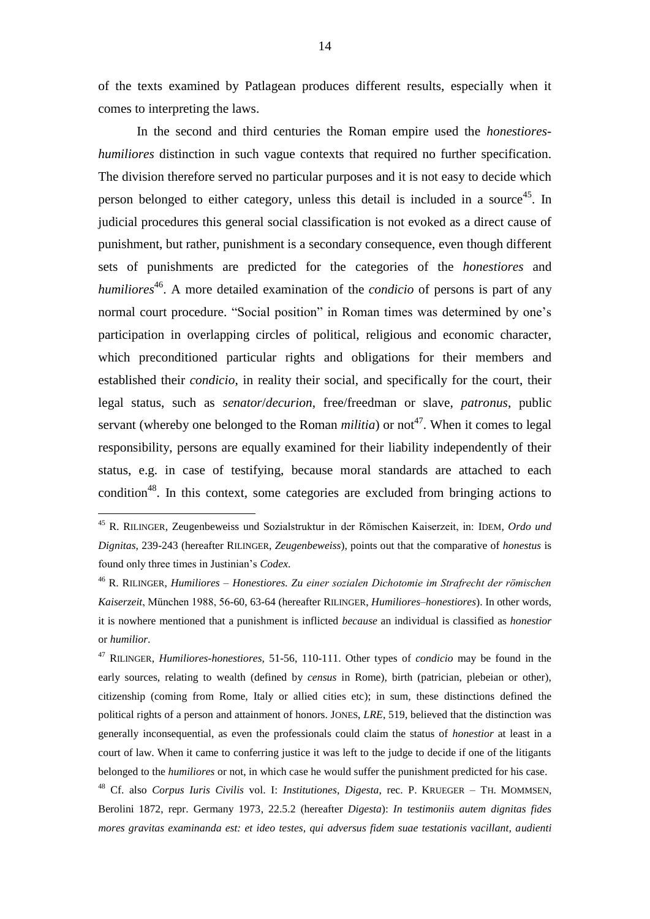of the texts examined by Patlagean produces different results, especially when it comes to interpreting the laws.

In the second and third centuries the Roman empire used the *honestioreshumiliores* distinction in such vague contexts that required no further specification. The division therefore served no particular purposes and it is not easy to decide which person belonged to either category, unless this detail is included in a source<sup>45</sup>. In judicial procedures this general social classification is not evoked as a direct cause of punishment, but rather, punishment is a secondary consequence, even though different sets of punishments are predicted for the categories of the *honestiores* and humiliores<sup>46</sup>. A more detailed examination of the *condicio* of persons is part of any normal court procedure. "Social position" in Roman times was determined by one's participation in overlapping circles of political, religious and economic character, which preconditioned particular rights and obligations for their members and established their *condicio*, in reality their social, and specifically for the court, their legal status, such as *senator*/*decurion*, free/freedman or slave, *patronus*, public servant (whereby one belonged to the Roman *militia*) or not<sup>47</sup>. When it comes to legal responsibility, persons are equally examined for their liability independently of their status, e.g. in case of testifying, because moral standards are attached to each condition<sup>48</sup>. In this context, some categories are excluded from bringing actions to

<u>.</u>

<sup>47</sup> RILINGER, *Humiliores-honestiores*, 51-56, 110-111. Other types of *condicio* may be found in the early sources, relating to wealth (defined by *census* in Rome), birth (patrician, plebeian or other), citizenship (coming from Rome, Italy or allied cities etc); in sum, these distinctions defined the political rights of a person and attainment of honors. JONES, *LRE*, 519, believed that the distinction was generally inconsequential, as even the professionals could claim the status of *honestior* at least in a court of law. When it came to conferring justice it was left to the judge to decide if one of the litigants belonged to the *humiliores* or not, in which case he would suffer the punishment predicted for his case.

<sup>48</sup> Cf. also *Corpus Iuris Civilis* vol. I: *Institutiones*, *Digesta*, rec. P. KRUEGER – TH. MOMMSEN, Berolini 1872, repr. Germany 1973, 22.5.2 (hereafter *Digesta*): *In testimoniis autem dignitas fides mores gravitas examinanda est: et ideo testes, qui adversus fidem suae testationis vacillant, audienti* 

<sup>45</sup> R. RILINGER, Zeugenbeweiss und Sozialstruktur in der Römischen Kaiserzeit, in: IDEM, *Ordo und Dignitas*, 239-243 (hereafter RILINGER, *Zeugenbeweiss*), points out that the comparative of *honestus* is found only three times in Justinian's *Codex*.

<sup>46</sup> R. RILINGER, *Humiliores – Honestiores. Zu einer sozialen Dichotomie im Strafrecht der römischen Kaiserzeit*, München 1988, 56-60, 63-64 (hereafter RILINGER, *Humiliores–honestiores*). In other words, it is nowhere mentioned that a punishment is inflicted *because* an individual is classified as *honestior* or *humilior*.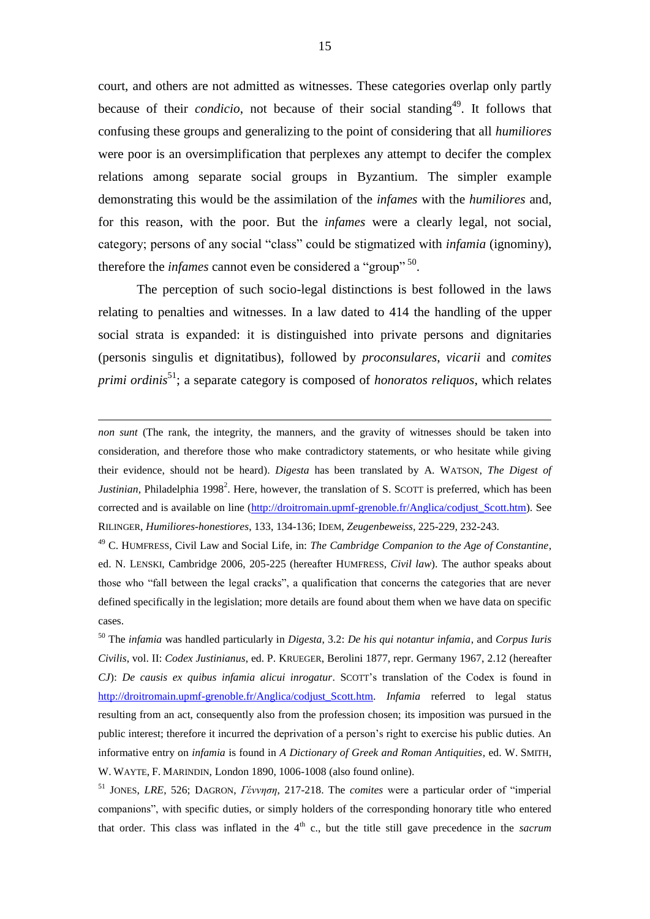court, and others are not admitted as witnesses. These categories overlap only partly because of their *condicio*, not because of their social standing<sup>49</sup>. It follows that confusing these groups and generalizing to the point of considering that all *humiliores* were poor is an oversimplification that perplexes any attempt to decifer the complex relations among separate social groups in Byzantium. The simpler example demonstrating this would be the assimilation of the *infames* with the *humiliores* and, for this reason, with the poor. But the *infames* were a clearly legal, not social, category; persons of any social "class" could be stigmatized with *infamia* (ignominy), therefore the *infames* cannot even be considered a "group"<sup>50</sup>.

The perception of such socio-legal distinctions is best followed in the laws relating to penalties and witnesses. In a law dated to 414 the handling of the upper social strata is expanded: it is distinguished into private persons and dignitaries (personis singulis et dignitatibus), followed by *proconsulares*, *vicarii* and *comites primi ordinis*<sup>51</sup> ; a separate category is composed of *honoratos reliquos*, which relates

<u>.</u>

<sup>49</sup> C. HUMFRESS, Civil Law and Social Life, in: *The Cambridge Companion to the Age of Constantine*, ed. N. LENSKI, Cambridge 2006, 205-225 (hereafter HUMFRESS, *Civil law*). The author speaks about those who "fall between the legal cracks", a qualification that concerns the categories that are never defined specifically in the legislation; more details are found about them when we have data on specific cases.

<sup>50</sup> The *infamia* was handled particularly in *Digesta*, 3.2: *De his qui notantur infamia*, and *Corpus Iuris Civilis*, vol. II: *Codex Justinianus*, ed. P. KRUEGER, Berolini 1877, repr. Germany 1967, 2.12 (hereafter *CJ*): *De causis ex quibus infamia alicui inrogatur*. SCOTT's translation of the Codex is found in [http://droitromain.upmf-grenoble.fr/Anglica/codjust\\_Scott.htm.](http://droitromain.upmf-grenoble.fr/Anglica/codjust_Scott.htm) *Infamia* referred to legal status resulting from an act, consequently also from the profession chosen; its imposition was pursued in the public interest; therefore it incurred the deprivation of a person's right to exercise his public duties. An informative entry on *infamia* is found in *A Dictionary of Greek and Roman Antiquities*, ed. W. SMITH, W. WAYTE, F. MARINDIN, London 1890, 1006-1008 (also found online).

<sup>51</sup> JONES, *LRE*, 526; DAGRON, *Γέννηση*, 217-218. The *comites* were a particular order of "imperial companions", with specific duties, or simply holders of the corresponding honorary title who entered that order. This class was inflated in the  $4<sup>th</sup>$  c., but the title still gave precedence in the *sacrum* 

*non sunt* (The rank, the integrity, the manners, and the gravity of witnesses should be taken into consideration, and therefore those who make contradictory statements, or who hesitate while giving their evidence, should not be heard). *Digesta* has been translated by A. WATSON, *The Digest of*  Justinian, Philadelphia 1998<sup>2</sup>. Here, however, the translation of S. SCOTT is preferred, which has been corrected and is available on line [\(http://droitromain.upmf-grenoble.fr/Anglica/codjust\\_Scott.htm\)](http://droitromain.upmf-grenoble.fr/Anglica/codjust_Scott.htm). See RILINGER, *Humiliores-honestiores*, 133, 134-136; IDEM, *Zeugenbeweiss*, 225-229, 232-243.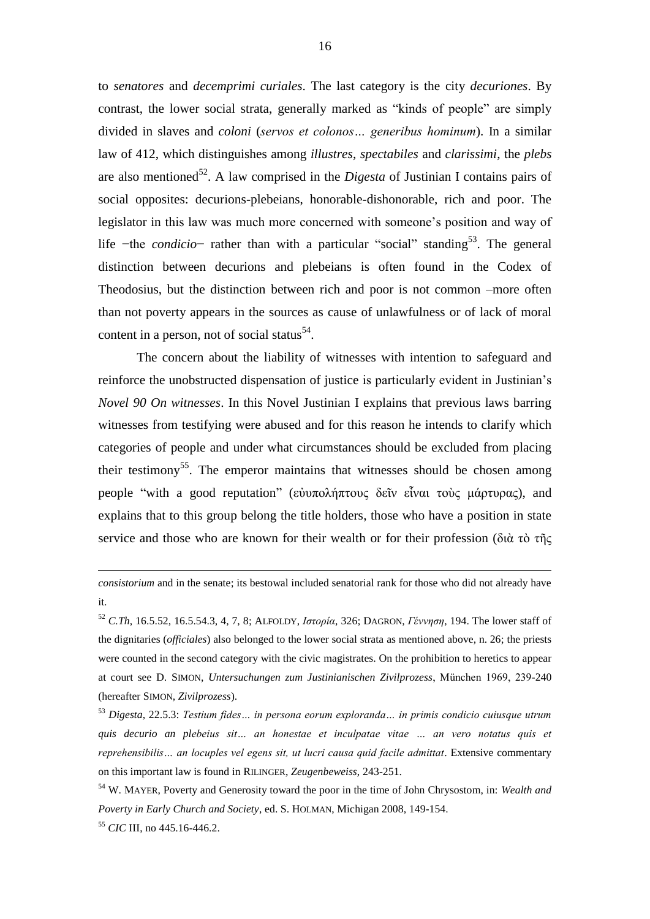to *senatores* and *decemprimi curiales*. The last category is the city *decuriones*. By contrast, the lower social strata, generally marked as "kinds of people" are simply divided in slaves and *coloni* (*servos et colonos… generibus hominum*). In a similar law of 412, which distinguishes among *illustres*, *spectabiles* and *clarissimi*, the *plebs* are also mentioned<sup>52</sup>. A law comprised in the *Digesta* of Justinian I contains pairs of social opposites: decurions-plebeians, honorable-dishonorable, rich and poor. The legislator in this law was much more concerned with someone's position and way of life -the *condicio*- rather than with a particular "social" standing<sup>53</sup>. The general distinction between decurions and plebeians is often found in the Codex of Theodosius, but the distinction between rich and poor is not common –more often than not poverty appears in the sources as cause of unlawfulness or of lack of moral content in a person, not of social status $^{54}$ .

The concern about the liability of witnesses with intention to safeguard and reinforce the unobstructed dispensation of justice is particularly evident in Justinian's *Novel 90 On witnesses*. In this Novel Justinian I explains that previous laws barring witnesses from testifying were abused and for this reason he intends to clarify which categories of people and under what circumstances should be excluded from placing their testimony<sup>55</sup>. The emperor maintains that witnesses should be chosen among people "with a good reputation" (εὐυπολήπτους δεῖν εἶναι τοὺς μάρτυρας), and explains that to this group belong the title holders, those who have a position in state service and those who are known for their wealth or for their profession (διὰ τὸ τῆς

*consistorium* and in the senate; its bestowal included senatorial rank for those who did not already have it.

<sup>52</sup> *C.Th*, 16.5.52, 16.5.54.3, 4, 7, 8; ALFOLDY, *Ιστορία*, 326; DAGRON, *Γέννηση*, 194. The lower staff of the dignitaries (*officiales*) also belonged to the lower social strata as mentioned above, n. 26; the priests were counted in the second category with the civic magistrates. On the prohibition to heretics to appear at court see D. SIMON, *Untersuchungen zum Justinianischen Zivilprozess*, München 1969, 239-240 (hereafter SIMON, *Zivilprozess*).

<sup>53</sup> *Digesta*, 22.5.3: *Testium fides… in persona eorum exploranda… in primis condicio cuiusque utrum quis decurio an plebeius sit… an honestae et inculpatae vitae … an vero notatus quis et reprehensibilis… an locuples vel egens sit, ut lucri causa quid facile admittat*. Extensive commentary on this important law is found in RILINGER, *Zeugenbeweiss*, 243-251.

<sup>54</sup> W. MAYER, Poverty and Generosity toward the poor in the time of John Chrysostom, in: *Wealth and Poverty in Early Church and Society*, ed. S. HOLMAN, Michigan 2008, 149-154.

<sup>55</sup> *CIC* III, no 445.16-446.2.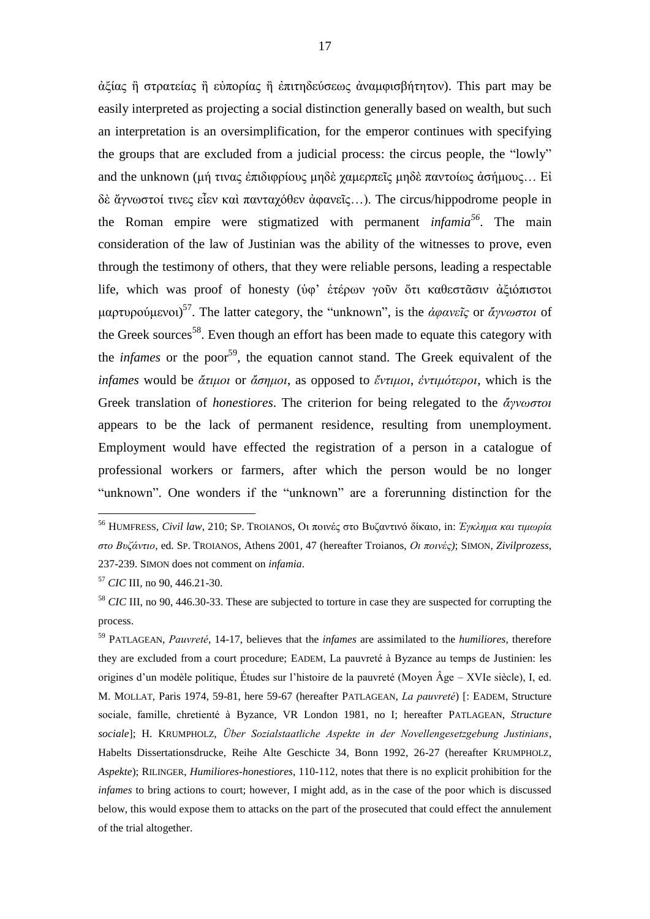ἀξίας ἢ στρατείας ἢ εὐπορίας ἢ ἐπιτηδεύσεως ἀναμφισβήτητον). This part may be easily interpreted as projecting a social distinction generally based on wealth, but such an interpretation is an oversimplification, for the emperor continues with specifying the groups that are excluded from a judicial process: the circus people, the "lowly" and the unknown (μή τινας ἐπιδιφρίους μηδὲ χαμερπεῖς μηδὲ παντοίως ἀσήμους... Εἰ δὲ ἄγνωστοί τινες εἶεν καὶ πανταχόθεν ἀφανεῖς…). The circus/hippodrome people in the Roman empire were stigmatized with permanent *infamia<sup>56</sup>* . The main consideration of the law of Justinian was the ability of the witnesses to prove, even through the testimony of others, that they were reliable persons, leading a respectable life, which was proof of honesty (ὑφ' ἑτέρων γοῦν ὅτι καθεστᾶσιν ἀξιόπιστοι μαρτυρούμενοι) 57 . The latter category, the "unknown", is the *ἀφανεῖς* or *ἄγνωστοι* of the Greek sources<sup>58</sup>. Even though an effort has been made to equate this category with the *infames* or the poor<sup>59</sup>, the equation cannot stand. The Greek equivalent of the *infames* would be *ἄτιμοι* or *ἄσημοι*, as opposed to *ἔντιμοι*, *ἐντιμότεροι*, which is the Greek translation of *honestiores*. The criterion for being relegated to the *ἄγνωστοι* appears to be the lack of permanent residence, resulting from unemployment. Employment would have effected the registration of a person in a catalogue of professional workers or farmers, after which the person would be no longer "unknown". One wonders if the "unknown" are a forerunning distinction for the

<u>.</u>

<sup>59</sup> PATLAGEAN, *Pauvreté*, 14-17, believes that the *infames* are assimilated to the *humiliores*, therefore they are excluded from a court procedure; EADEM, La pauvreté à Byzance au temps de Justinien: les origines d'un modèle politique, Études sur l'histoire de la pauvreté (Moyen Âge – XVIe siècle), I, ed. M. MOLLAT, Paris 1974, 59-81, here 59-67 (hereafter PATLAGEAN, *La pauvreté*) [: EADEM, Structure sociale, famille, chretienté à Byzance, VR London 1981, no I; hereafter PATLAGEAN, *Structure sociale*]; H. KRUMPHOLZ, *Über Sozialstaatliche Aspekte in der Novellengesetzgebung Justinians*, Habelts Dissertationsdrucke, Reihe Alte Geschicte 34, Bonn 1992, 26-27 (hereafter KRUMPHOLZ, *Aspekte*); RILINGER, *Humiliores-honestiores*, 110-112, notes that there is no explicit prohibition for the *infames* to bring actions to court; however, I might add, as in the case of the poor which is discussed below, this would expose them to attacks on the part of the prosecuted that could effect the annulement of the trial altogether.

<sup>56</sup> HUMFRESS, *Civil law*, 210; SP. TROIANOS, Οι ποινές στο Βυζαντινό δίκαιο, in: *Έγκλημα και τιμωρία στο Βυζάντιο*, ed. SP. TROIANOS, Athens 2001, 47 (hereafter Troianos, *Οι ποινές)*; SIMON, *Zivilprozess*, 237-239. SIMON does not comment on *infamia*.

<sup>57</sup> *CIC* III, no 90, 446.21-30.

<sup>58</sup> *CIC* III, no 90, 446.30-33. These are subjected to torture in case they are suspected for corrupting the process.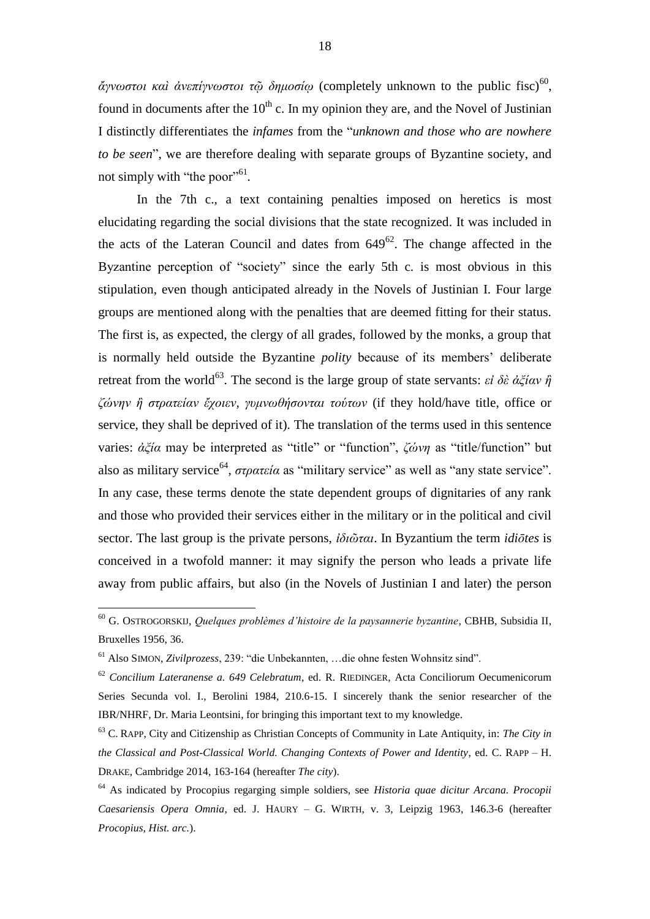*ἄγνωστοι καὶ ἀνεπίγνωστοι τῷ δημοσίῳ* (completely unknown to the public fisc)<sup>60</sup> , found in documents after the  $10<sup>th</sup>$  c. In my opinion they are, and the Novel of Justinian I distinctly differentiates the *infames* from the "*unknown and those who are nowhere to be seen*", we are therefore dealing with separate groups of Byzantine society, and not simply with "the poor"<sup>61</sup>.

In the 7th c., a text containing penalties imposed on heretics is most elucidating regarding the social divisions that the state recognized. It was included in the acts of the Lateran Council and dates from  $649^{62}$ . The change affected in the Byzantine perception of "society" since the early 5th c. is most obvious in this stipulation, even though anticipated already in the Novels of Justinian I. Four large groups are mentioned along with the penalties that are deemed fitting for their status. The first is, as expected, the clergy of all grades, followed by the monks, a group that is normally held outside the Byzantine *polity* because of its members' deliberate retreat from the world<sup>63</sup>. The second is the large group of state servants: *εἰ δὲ ἀξίαν ή ζώνην ἢ στρατείαν ἔχοιεν, γυμνωθήσονται τούτων* (if they hold/have title, office or service, they shall be deprived of it). The translation of the terms used in this sentence varies: *ἀξία* may be interpreted as "title" or "function", *ζώνη* as "title/function" but also as military service<sup>64</sup>, *στρατεία* as "military service" as well as "any state service". In any case, these terms denote the state dependent groups of dignitaries of any rank and those who provided their services either in the military or in the political and civil sector. The last group is the private persons, *ἰδιῶται*. In Byzantium the term *idiōtes* is conceived in a twofold manner: it may signify the person who leads a private life away from public affairs, but also (in the Novels of Justinian I and later) the person

<sup>60</sup> G. OSTROGORSKIJ, *Quelques problèmes d'histoire de la paysannerie byzantine*, CBHB, Subsidia II, Bruxelles 1956, 36.

<sup>61</sup> Also SIMON, *Zivilprozess*, 239: "die Unbekannten, …die ohne festen Wohnsitz sind".

<sup>62</sup> *Concilium Lateranense a. 649 Celebratum*, ed. R. RIEDINGER, Acta Conciliorum Oecumenicorum Series Secunda vol. I., Berolini 1984, 210.6-15. I sincerely thank the senior researcher of the IBR/NHRF, Dr. Maria Leontsini, for bringing this important text to my knowledge.

<sup>63</sup> C. RAPP, City and Citizenship as Christian Concepts of Community in Late Antiquity, in: *The City in the Classical and Post-Classical World. Changing Contexts of Power and Identity*, ed. C. RAPP – H. DRAKE, Cambridge 2014, 163-164 (hereafter *The city*).

<sup>64</sup> As indicated by Procopius regarging simple soldiers, see *Historia quae dicitur Arcana. Procopii Caesariensis Opera Omnia*, ed. J. HAURY – G. WIRTH, v. 3, Leipzig 1963, 146.3-6 (hereafter *Procopius, Hist. arc.*).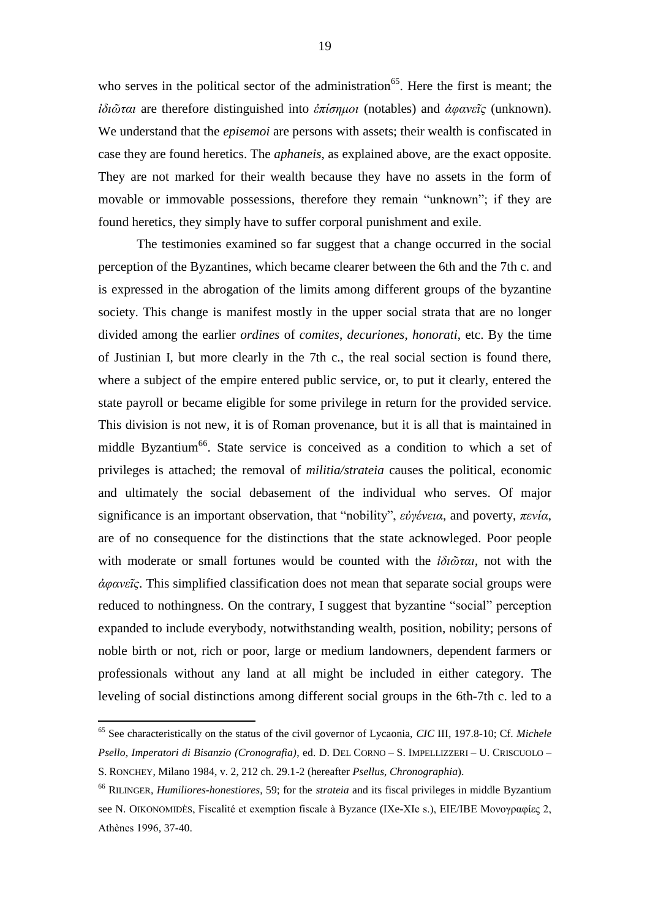who serves in the political sector of the administration<sup>65</sup>. Here the first is meant; the *ἰδιῶται* are therefore distinguished into *ἐπίσημοι* (notables) and *ἀφανεῖς* (unknown). We understand that the *episemoi* are persons with assets; their wealth is confiscated in case they are found heretics. The *aphaneis*, as explained above, are the exact opposite. They are not marked for their wealth because they have no assets in the form of movable or immovable possessions, therefore they remain "unknown"; if they are found heretics, they simply have to suffer corporal punishment and exile.

The testimonies examined so far suggest that a change occurred in the social perception of the Byzantines, which became clearer between the 6th and the 7th c. and is expressed in the abrogation of the limits among different groups of the byzantine society. This change is manifest mostly in the upper social strata that are no longer divided among the earlier *ordines* of *comites*, *decuriones*, *honorati*, etc. By the time of Justinian I, but more clearly in the 7th c., the real social section is found there, where a subject of the empire entered public service, or, to put it clearly, entered the state payroll or became eligible for some privilege in return for the provided service. This division is not new, it is of Roman provenance, but it is all that is maintained in middle Byzantium<sup>66</sup>. State service is conceived as a condition to which a set of privileges is attached; the removal of *militia/strateia* causes the political, economic and ultimately the social debasement of the individual who serves. Of major significance is an important observation, that "nobility", *εὐγένεια*, and poverty, *πενία*, are of no consequence for the distinctions that the state acknowleged. Poor people with moderate or small fortunes would be counted with the *ἰδιῶται*, not with the *ἀφανεῖς*. This simplified classification does not mean that separate social groups were reduced to nothingness. On the contrary, I suggest that byzantine "social" perception expanded to include everybody, notwithstanding wealth, position, nobility; persons of noble birth or not, rich or poor, large or medium landowners, dependent farmers or professionals without any land at all might be included in either category. The leveling of social distinctions among different social groups in the 6th-7th c. led to a

<sup>65</sup> See characteristically on the status of the civil governor of Lycaonia, *CIC* III, 197.8-10; Cf. *Michele Psello, Imperatori di Bisanzio (Cronografia)*, ed. D. DEL CORNO – S. IMPELLIZZERI – U. CRISCUOLO – S. RONCHEY, Milano 1984, v. 2, 212 ch. 29.1-2 (hereafter *Psellus, Chronographia*).

<sup>66</sup> RILINGER, *Humiliores-honestiores*, 59; for the *strateia* and its fiscal privileges in middle Byzantium see N. OIKONOMIDÈS, Fiscalité et exemption fiscale à Byzance (IXe-XIe s.), ΕΙΕ/ΙΒΕ Μονογραφίες 2, Athènes 1996, 37-40.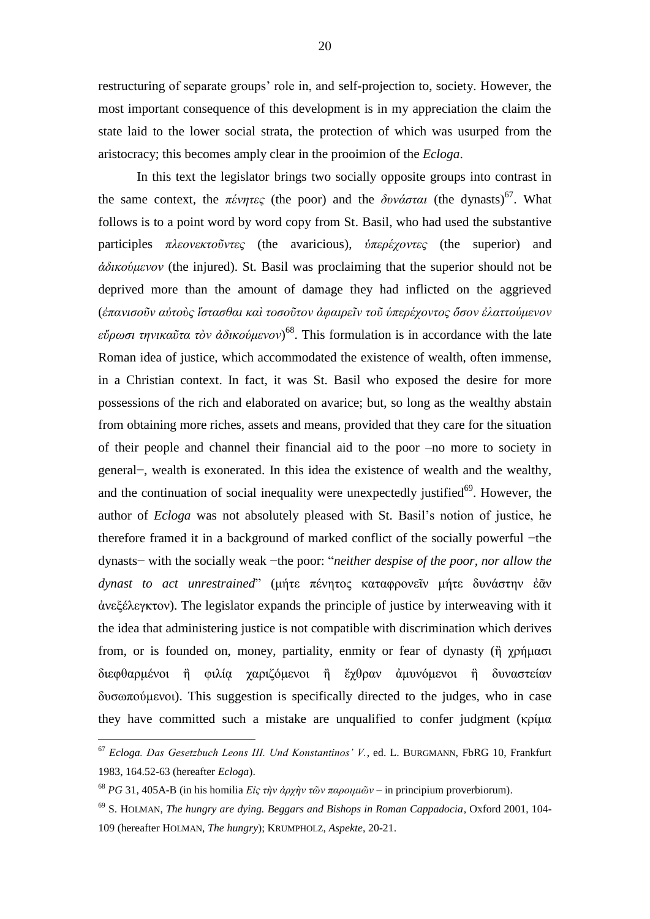restructuring of separate groups' role in, and self-projection to, society. However, the most important consequence of this development is in my appreciation the claim the state laid to the lower social strata, the protection of which was usurped from the aristocracy; this becomes amply clear in the prooimion of the *Ecloga*.

In this text the legislator brings two socially opposite groups into contrast in the same context, the πένητες (the poor) and the *δυνάσται* (the dynasts)<sup>67</sup>. What follows is to a point word by word copy from St. Basil, who had used the substantive participles *πλεονεκτοῦντες* (the avaricious), *ὑπερέχοντες* (the superior) and *ἀδικούμενον* (the injured). St. Basil was proclaiming that the superior should not be deprived more than the amount of damage they had inflicted on the aggrieved (*ἐπανισοῦν αὐτοὺς ἵστασθαι καὶ τοσοῦτον ἀφαιρεῖν τοῦ ὑπερέχοντος ὅσον ἐλαττούμενον εὕρωσι τηνικαῦτα τὸν ἀδικούμενον*) 68 . This formulation is in accordance with the late Roman idea of justice, which accommodated the existence of wealth, often immense, in a Christian context. In fact, it was St. Basil who exposed the desire for more possessions of the rich and elaborated on avarice; but, so long as the wealthy abstain from obtaining more riches, assets and means, provided that they care for the situation of their people and channel their financial aid to the poor –no more to society in general−, wealth is exonerated. In this idea the existence of wealth and the wealthy, and the continuation of social inequality were unexpectedly justified $69$ . However, the author of *Ecloga* was not absolutely pleased with St. Basil's notion of justice, he therefore framed it in a background of marked conflict of the socially powerful −the dynasts− with the socially weak −the poor: "*neither despise of the poor, nor allow the dynast to act unrestrained*" (μήτε πένητος καταφρονεῖν μήτε δυνάστην ἐᾶν ἀνεξέλεγκτον). The legislator expands the principle of justice by interweaving with it the idea that administering justice is not compatible with discrimination which derives from, or is founded on, money, partiality, enmity or fear of dynasty (ἢ χρήμασι διεφθαρμένοι ἢ φιλία χαριζόμενοι ἢ ἔχθραν ἀμυνόμενοι ἢ δυναστείαν δυσωπούμενοι). This suggestion is specifically directed to the judges, who in case they have committed such a mistake are unqualified to confer judgment (κρίμα

<sup>67</sup> *Ecloga. Das Gesetzbuch Leons III. Und Konstantinos' V.*, ed. L. BURGMANN, FbRG 10, Frankfurt 1983, 164.52-63 (hereafter *Ecloga*).

<sup>68</sup> *PG* 31, 405A-B (in his homilia *Εἰς τὴν ἀρχὴν τῶν παροιμιῶν* – in principium proverbiorum).

<sup>69</sup> S. HOLMAN, *The hungry are dying. Beggars and Bishops in Roman Cappadocia*, Oxford 2001, 104- 109 (hereafter HOLMAN, *The hungry*); KRUMPHOLZ, *Aspekte*, 20-21.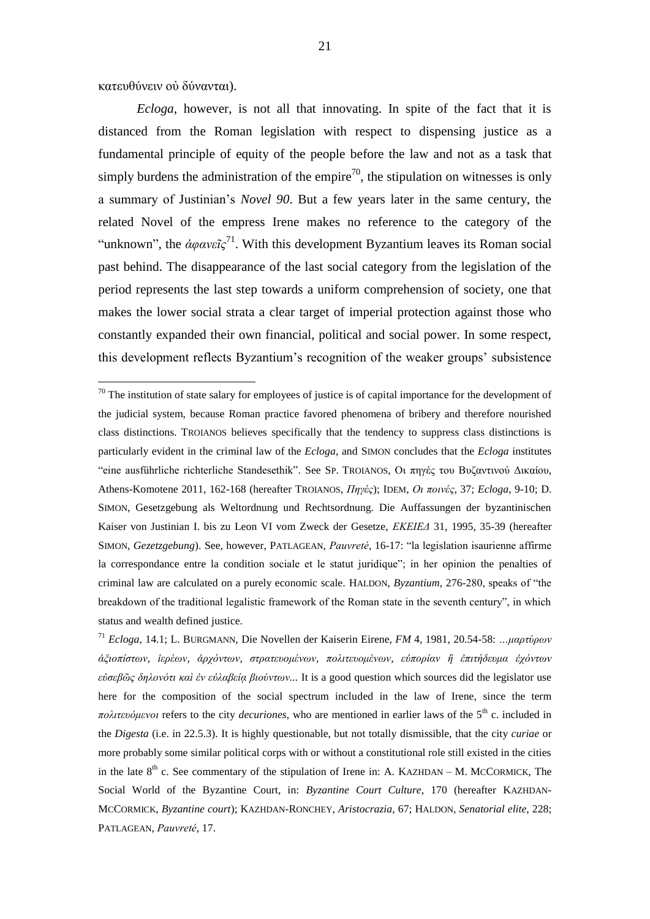κατευθύνειν οὐ δύνανται).

1

*Ecloga*, however, is not all that innovating. In spite of the fact that it is distanced from the Roman legislation with respect to dispensing justice as a fundamental principle of equity of the people before the law and not as a task that simply burdens the administration of the empire<sup>70</sup>, the stipulation on witnesses is only a summary of Justinian's *Novel 90*. But a few years later in the same century, the related Novel of the empress Irene makes no reference to the category of the "unknown", the  $\alpha\varphi\alpha\nu\epsilon\tilde{\iota}\zeta^{71}$ . With this development Byzantium leaves its Roman social past behind. The disappearance of the last social category from the legislation of the period represents the last step towards a uniform comprehension of society, one that makes the lower social strata a clear target of imperial protection against those who constantly expanded their own financial, political and social power. In some respect, this development reflects Byzantium's recognition of the weaker groups' subsistence

 $70$  The institution of state salary for employees of justice is of capital importance for the development of the judicial system, because Roman practice favored phenomena of bribery and therefore nourished class distinctions. TROIANOS believes specifically that the tendency to suppress class distinctions is particularly evident in the criminal law of the *Ecloga*, and SIMON concludes that the *Ecloga* institutes "eine ausführliche richterliche Standesethik". See SP. TROIANOS, Οι πηγές του Βυζαντινού Δικαίου, Athens-Komotene 2011, 162-168 (hereafter TROIANOS, *Πηγές*); IDEM, *Οι ποινές*, 37; *Ecloga*, 9-10; D. SIMON, Gesetzgebung als Weltordnung und Rechtsordnung. Die Auffassungen der byzantinischen Kaiser von Justinian I. bis zu Leon VI vom Zweck der Gesetze, *ΕΚΕΙΕΔ* 31, 1995, 35-39 (hereafter SIMON, *Gezetzgebung*). See, however, PATLAGEAN, *Pauvreté*, 16-17: "la legislation isaurienne affirme la correspondance entre la condition sociale et le statut juridique"; in her opinion the penalties of criminal law are calculated on a purely economic scale. HALDON, *Byzantium*, 276-280, speaks of "the breakdown of the traditional legalistic framework of the Roman state in the seventh century", in which status and wealth defined justice.

<sup>71</sup> *Ecloga*, 14.1; L. BURGMANN, Die Novellen der Kaiserin Eirene, *FM* 4, 1981, 20.54-58: *…μαρτύρων ἀξιοπίστων, ἱερέων, ἀρχόντων, στρατευομένων, πολιτευομένων, εὐπορίαν ἢ ἐπιτήδευμα ἐχόντων εὐσεβῶς δηλονότι καὶ ἐν εὐλαβείᾳ βιούντων...* It is a good question which sources did the legislator use here for the composition of the social spectrum included in the law of Irene, since the term *πολιτευόμενοι* refers to the city *decuriones*, who are mentioned in earlier laws of the 5th c. included in the *Digesta* (i.e. in 22.5.3). It is highly questionable, but not totally dismissible, that the city *curiae* or more probably some similar political corps with or without a constitutional role still existed in the cities in the late  $8<sup>th</sup>$  c. See commentary of the stipulation of Irene in: A. KAZHDAN – M. MCCORMICK, The Social World of the Byzantine Court, in: *Byzantine Court Culture*, 170 (hereafter KAZHDAN-MCCORMICK, *Byzantine court*); KAZHDAN-RONCHEY, *Aristocrazia*, 67; HALDON, *Senatorial elite*, 228; PATLAGEAN, *Pauvreté*, 17.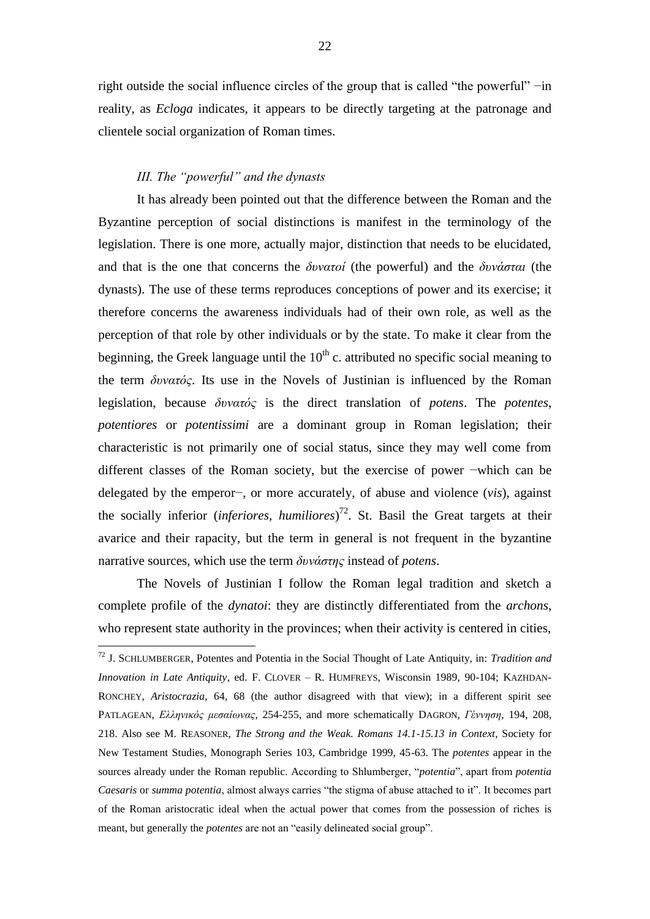right outside the social influence circles of the group that is called "the powerful" −in reality, as *Ecloga* indicates, it appears to be directly targeting at the patronage and clientele social organization of Roman times.

### *III. The "powerful" and the dynasts*

<u>.</u>

It has already been pointed out that the difference between the Roman and the Byzantine perception of social distinctions is manifest in the terminology of the legislation. There is one more, actually major, distinction that needs to be elucidated, and that is the one that concerns the *δυνατοί* (the powerful) and the *δυνάσται* (the dynasts). The use of these terms reproduces conceptions of power and its exercise; it therefore concerns the awareness individuals had of their own role, as well as the perception of that role by other individuals or by the state. To make it clear from the beginning, the Greek language until the  $10<sup>th</sup>$  c. attributed no specific social meaning to the term *δυνατός*. Its use in the Novels of Justinian is influenced by the Roman legislation, because *δυνατός* is the direct translation of *potens*. The *potentes*, *potentiores* or *potentissimi* are a dominant group in Roman legislation; their characteristic is not primarily one of social status, since they may well come from different classes of the Roman society, but the exercise of power −which can be delegated by the emperor−, or more accurately, of abuse and violence (*vis*), against the socially inferior (*inferiores, humiliores*) 72 . St. Basil the Great targets at their avarice and their rapacity, but the term in general is not frequent in the byzantine narrative sources, which use the term *δυνάστης* instead of *potens*.

The Novels of Justinian I follow the Roman legal tradition and sketch a complete profile of the *dynatoi*: they are distinctly differentiated from the *archons*, who represent state authority in the provinces; when their activity is centered in cities,

<sup>72</sup> J. SCHLUMBERGER, Potentes and Potentia in the Social Thought of Late Antiquity, in: *Tradition and Innovation in Late Antiquity*, ed. F. CLOVER – R. HUMFREYS, Wisconsin 1989, 90-104; KAZHDAN-RONCHEY, *Aristocrazia*, 64, 68 (the author disagreed with that view); in a different spirit see PATLAGEAN, *Ελληνικός μεσαίωνας*, 254-255, and more schematically DAGRON, *Γέννηση*, 194, 208, 218. Also see M. REASONER, *The Strong and the Weak. Romans 14.1-15.13 in Context*, Society for New Testament Studies, Monograph Series 103, Cambridge 1999, 45-63. The *potentes* appear in the sources already under the Roman republic. According to Shlumberger, "*potentia*", apart from *potentia Caesaris* or *summa potentia*, almost always carries "the stigma of abuse attached to it". It becomes part of the Roman aristocratic ideal when the actual power that comes from the possession of riches is meant, but generally the *potentes* are not an "easily delineated social group".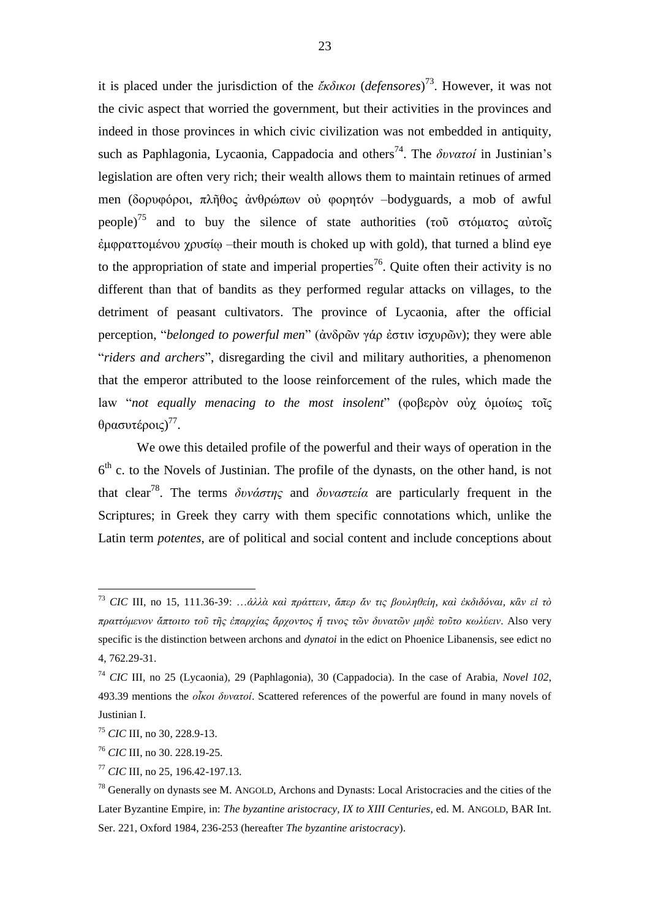it is placed under the jurisdiction of the *ἔκδικοι* (*defensores*) 73 . However, it was not the civic aspect that worried the government, but their activities in the provinces and indeed in those provinces in which civic civilization was not embedded in antiquity, such as Paphlagonia, Lycaonia, Cappadocia and others<sup>74</sup>. The *δυνατοί* in Justinian's legislation are often very rich; their wealth allows them to maintain retinues of armed men (δορυφόροι, πλῆθος ἀνθρώπων οὐ φορητόν –bodyguards, a mob of awful people)<sup>75</sup> and to buy the silence of state authorities (τοῦ στόματος αὐτοῖς ἐμφραττομένου χρυσίῳ –their mouth is choked up with gold), that turned a blind eye to the appropriation of state and imperial properties<sup>76</sup>. Quite often their activity is no different than that of bandits as they performed regular attacks on villages, to the detriment of peasant cultivators. The province of Lycaonia, after the official perception, "*belonged to powerful men*" (ἀνδρῶν γάρ ἐστιν ἰσχυρῶν); they were able "*riders and archers*", disregarding the civil and military authorities, a phenomenon that the emperor attributed to the loose reinforcement of the rules, which made the law "*not equally menacing to the most insolent*" (φοβερὸν οὐχ ὁμοίως τοῖς θρασυτέροις)<sup>77</sup>.

We owe this detailed profile of the powerful and their ways of operation in the  $6<sup>th</sup>$  c. to the Novels of Justinian. The profile of the dynasts, on the other hand, is not that clear<sup>78</sup>. The terms *δυνάστης* and *δυναστεία* are particularly frequent in the Scriptures; in Greek they carry with them specific connotations which, unlike the Latin term *potentes*, are of political and social content and include conceptions about

<sup>73</sup> *CIC* III, no 15, 111.36-39: …*ἀλλὰ καὶ πράττειν, ἅπερ ἄν τις βουληθείη, καὶ ἐκδιδόναι, κἂν εἰ τὸ πραττόμενον ἄπτοιτο τοῦ τῆς ἐπαρχίας ἄρχοντος ἤ τινος τῶν δυνατῶν μηδὲ τοῦτο κωλύειν*. Also very specific is the distinction between archons and *dynatoi* in the edict on Phoenice Libanensis, see edict no 4, 762.29-31.

<sup>74</sup> *CIC* III, no 25 (Lycaonia), 29 (Paphlagonia), 30 (Cappadocia). In the case of Arabia, *Novel 102*, 493.39 mentions the *οἶκοι δυνατοί*. Scattered references of the powerful are found in many novels of Justinian I.

<sup>75</sup> *CIC* III, no 30, 228.9-13.

<sup>76</sup> *CIC* III, no 30. 228.19-25.

<sup>77</sup> *CIC* III, no 25, 196.42-197.13.

 $78$  Generally on dynasts see M. ANGOLD, Archons and Dynasts: Local Aristocracies and the cities of the Later Byzantine Empire, in: *The byzantine aristocracy, IX to XIII Centuries*, ed. M. ANGOLD, BAR Int. Ser. 221, Oxford 1984, 236-253 (hereafter *The byzantine aristocracy*).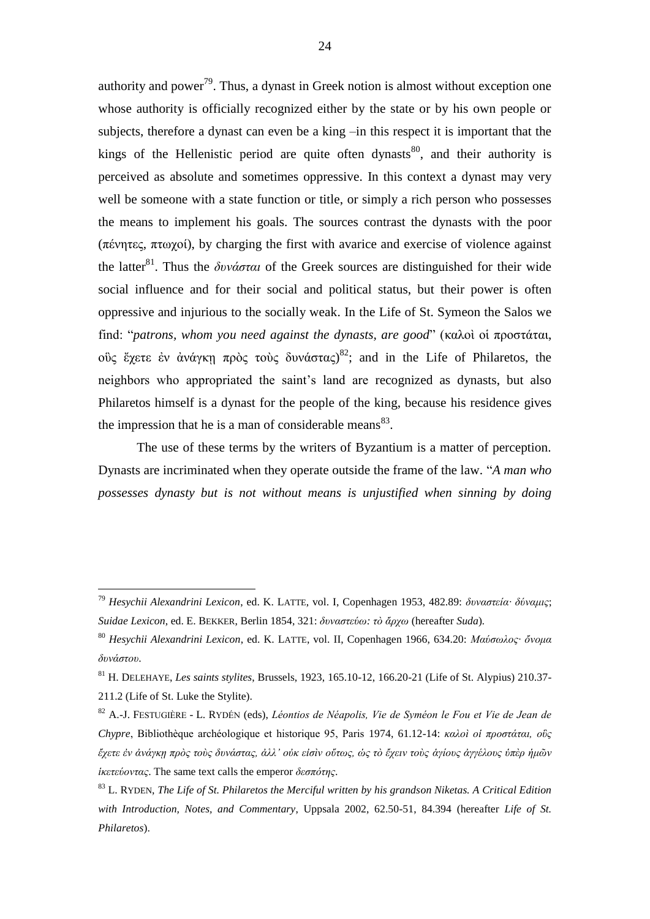authority and power<sup>79</sup>. Thus, a dynast in Greek notion is almost without exception one whose authority is officially recognized either by the state or by his own people or subjects, therefore a dynast can even be a king –in this respect it is important that the kings of the Hellenistic period are quite often dynasts<sup>80</sup>, and their authority is perceived as absolute and sometimes oppressive. In this context a dynast may very well be someone with a state function or title, or simply a rich person who possesses the means to implement his goals. The sources contrast the dynasts with the poor (πένητες, πτωχοί), by charging the first with avarice and exercise of violence against the latter<sup>81</sup>. Thus the *δυνάσται* of the Greek sources are distinguished for their wide social influence and for their social and political status, but their power is often oppressive and injurious to the socially weak. In the Life of St. Symeon the Salos we find: "*patrons, whom you need against the dynasts, are good*" (καλοὶ οἱ προστάται, ούς έχετε ἐν ἀνάγκῃ πρὸς τοὺς δυνάστας)<sup>82</sup>; and in the Life of Philaretos, the neighbors who appropriated the saint's land are recognized as dynasts, but also Philaretos himself is a dynast for the people of the king, because his residence gives the impression that he is a man of considerable means $^{83}$ .

The use of these terms by the writers of Byzantium is a matter of perception. Dynasts are incriminated when they operate outside the frame of the law. "*A man who possesses dynasty but is not without means is unjustified when sinning by doing*

<sup>79</sup> *Hesychii Alexandrini Lexicon*, ed. K. LATTE, vol. I, Copenhagen 1953, 482.89: *δυναστεία· δύναμις*; *Suidae Lexicon*, ed. E. BEKKER, Berlin 1854, 321: *δυναστεύω: τὸ ἄρχω* (hereafter *Suda*)*.*

<sup>80</sup> *Hesychii Alexandrini Lexicon*, ed. K. LATTE, vol. II, Copenhagen 1966, 634.20: *Μαύσωλος· ὄνομα δυνάστου*.

<sup>81</sup> H. DELEHAYE, *Les saints stylites*, Brussels, 1923, 165.10-12, 166.20-21 (Life of St. Alypius) 210.37- 211.2 (Life of St. Luke the Stylite).

<sup>82</sup> A.-J. FESTUGIÈRE - L. RYDÉN (eds), *Léontios de Néapolis, Vie de Syméon le Fou et Vie de Jean de Chypre*, Bibliothèque archéologique et historique 95, Paris 1974, 61.12-14: *καλοὶ οἱ προστάται, οὓς ἔχετε ἐν ἀνάγκῃ πρὸς τοὺς δυνάστας, ἀλλ' οὐκ εἰσὶν οὕτως, ὡς τὸ ἔχειν τοὺς ἁγίους ἀγγέλους ὑπὲρ ἡμῶν ἱκετεύοντας*. The same text calls the emperor *δεσπότης*.

<sup>83</sup> L. RYDEN, *The Life of St. Philaretos the Merciful written by his grandson Niketas. A Critical Edition with Introduction, Notes, and Commentary*, Uppsala 2002, 62.50-51, 84.394 (hereafter *Life of St. Philaretos*).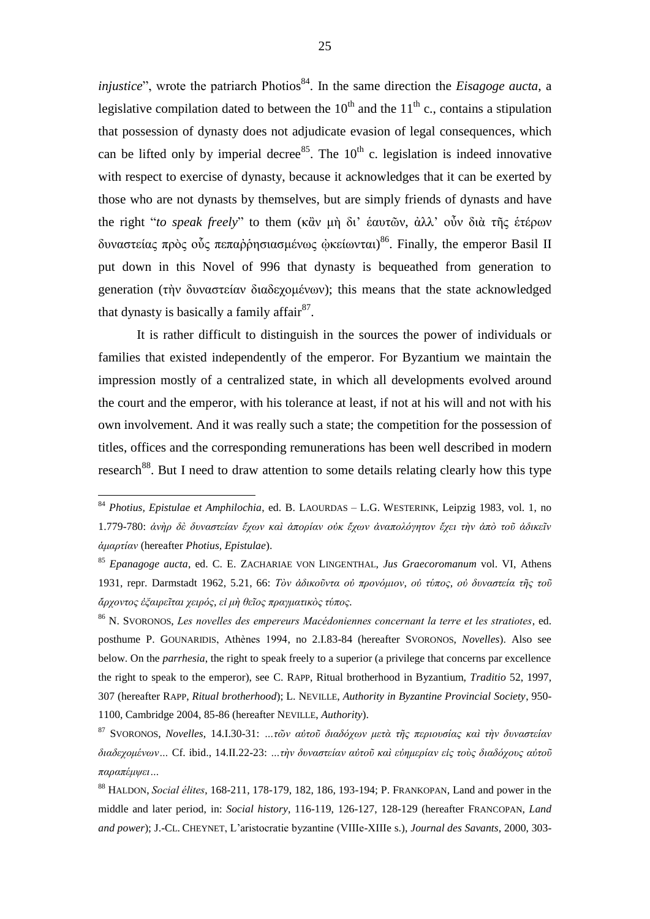*injustice*", wrote the patriarch Photios 84 . In the same direction the *Eisagoge aucta*, a legislative compilation dated to between the  $10^{th}$  and the  $11^{th}$  c., contains a stipulation that possession of dynasty does not adjudicate evasion of legal consequences, which can be lifted only by imperial decree<sup>85</sup>. The  $10^{th}$  c. legislation is indeed innovative with respect to exercise of dynasty, because it acknowledges that it can be exerted by those who are not dynasts by themselves, but are simply friends of dynasts and have the right "*to speak freely*" to them (κἂν μὴ δι' ἑαυτῶν, ἀλλ' οὖν διὰ τῆς ἑτέρων δυναστείας πρὸς οὗς πεπαρρησιασμένως <u>φ</u>κείωνται)<sup>86</sup>. Finally, the emperor Basil II put down in this Novel of 996 that dynasty is bequeathed from generation to generation (τὴν δυναστείαν διαδεχομένων); this means that the state acknowledged that dynasty is basically a family affair $^{87}$ .

It is rather difficult to distinguish in the sources the power of individuals or families that existed independently of the emperor. For Byzantium we maintain the impression mostly of a centralized state, in which all developments evolved around the court and the emperor, with his tolerance at least, if not at his will and not with his own involvement. And it was really such a state; the competition for the possession of titles, offices and the corresponding remunerations has been well described in modern research<sup>88</sup>. But I need to draw attention to some details relating clearly how this type

<sup>84</sup> *Photius, Epistulae et Amphilochia*, ed. B. LAOURDAS – L.G. WESTERINK, Leipzig 1983, vol. 1, no 1.779-780: *ἀνὴρ δὲ δυναστείαν ἔχων καὶ ἀπορίαν οὐκ ἔχων ἀναπολόγητον ἔχει τὴν ἀπὸ τοῦ ἀδικεῖν ἁμαρτίαν* (hereafter *Photius, Epistulae*).

<sup>85</sup> *Epanagoge aucta*, ed. C. E. ZACHARIAE VON LINGENTHAL, *Jus Graecoromanum* vol. VI, Athens 1931, repr. Darmstadt 1962, 5.21, 66: *Τὸν ἀδικοῦντα οὐ προνόμιον, οὐ τύπος, οὐ δυναστεία τῆς τοῦ ἄρχοντος ἐξαιρεῖται χειρός, εἰ μὴ θεῖος πραγματικὸς τύπος.* 

<sup>86</sup> N. SVORONOS, *Les novelles des empereurs Macédoniennes concernant la terre et les stratiotes*, ed. posthume P. GOUNARIDIS, Athènes 1994, no 2.I.83-84 (hereafter SVORONOS, *Novelles*). Also see below. On the *parrhesia*, the right to speak freely to a superior (a privilege that concerns par excellence the right to speak to the emperor), see C. RAPP, Ritual brotherhood in Byzantium, *Traditio* 52, 1997, 307 (hereafter RAPP, *Ritual brotherhood*); L. NEVILLE, *Authority in Byzantine Provincial Society*, 950- 1100, Cambridge 2004, 85-86 (hereafter NEVILLE, *Authority*).

<sup>87</sup> SVORONOS, *Novelles*, 14.Ι.30-31: *…τῶν αὐτοῦ διαδόχων μετὰ τῆς περιουσίας καὶ τὴν δυναστείαν διαδεχομένων…* Cf. ibid., 14.II.22-23: *…τὴν δυναστείαν αὐτοῦ καὶ εὐημερίαν εἰς τοὺς διαδόχους αὐτοῦ παραπέμψει…*

<sup>88</sup> HALDON, *Social élites*, 168-211, 178-179, 182, 186, 193-194; P. FRANKOPAN, Land and power in the middle and later period, in: *Social history*, 116-119, 126-127, 128-129 (hereafter FRANCOPAN, *Land and power*); J.-CL. CHEYNET, L'aristocratie byzantine (VIIIe-XIIIe s.), *Journal des Savants*, 2000, 303-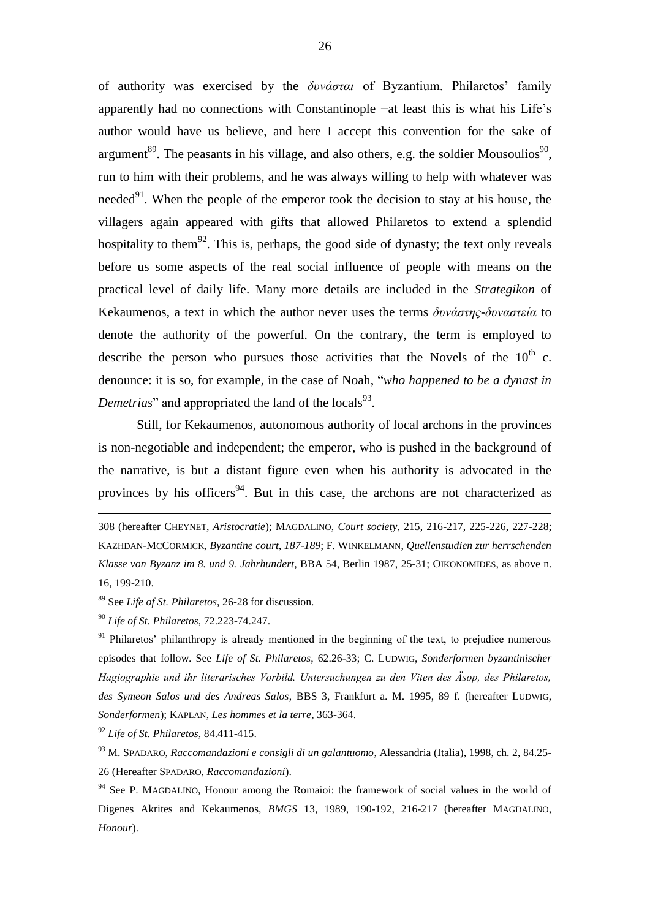of authority was exercised by the *δυνάσται* of Byzantium. Philaretos' family apparently had no connections with Constantinople −at least this is what his Life's author would have us believe, and here I accept this convention for the sake of argument<sup>89</sup>. The peasants in his village, and also others, e.g. the soldier Mousoulios<sup>90</sup>, run to him with their problems, and he was always willing to help with whatever was needed $91$ . When the people of the emperor took the decision to stay at his house, the villagers again appeared with gifts that allowed Philaretos to extend a splendid hospitality to them<sup>92</sup>. This is, perhaps, the good side of dynasty; the text only reveals before us some aspects of the real social influence of people with means on the practical level of daily life. Many more details are included in the *Strategikon* of Kekaumenos, a text in which the author never uses the terms *δυνάστης-δυναστεία* to denote the authority of the powerful. On the contrary, the term is employed to describe the person who pursues those activities that the Novels of the  $10^{th}$  c. denounce: it is so, for example, in the case of Noah, "*who happened to be a dynast in*  Demetrias" and appropriated the land of the locals<sup>93</sup>.

Still, for Kekaumenos, autonomous authority of local archons in the provinces is non-negotiable and independent; the emperor, who is pushed in the background of the narrative, is but a distant figure even when his authority is advocated in the provinces by his officers<sup>94</sup>. But in this case, the archons are not characterized as

<sup>89</sup> See *Life of St. Philaretos*, 26-28 for discussion.

<sup>90</sup> *Life of St. Philaretos*, 72.223-74.247.

<u>.</u>

<sup>92</sup> *Life of St. Philaretos*, 84.411-415.

<sup>93</sup> M. SPADARO, *Raccomandazioni e consigli di un galantuomo*, Alessandria (Italia), 1998, ch. 2, 84.25- 26 (Hereafter SPADARO, *Raccomandazioni*).

<sup>308 (</sup>hereafter CHEYNET, *Aristocratie*); MAGDALINO, *Court society*, 215, 216-217, 225-226, 227-228; KAZHDAN-MCCORMICK, *Byzantine court, 187-189*; F. WINKELMANN, *Quellenstudien zur herrschenden Klasse von Byzanz im 8. und 9. Jahrhundert*, BBA 54, Berlin 1987, 25-31; OIKONOMIDES, as above n. 16, 199-210.

 $91$  Philaretos' philanthropy is already mentioned in the beginning of the text, to prejudice numerous episodes that follow. See *Life of St. Philaretos*, 62.26-33; C. LUDWIG, *Sonderformen byzantinischer Hagiographie und ihr literarisches Vorbild. Untersuchungen zu den Viten des Äsop, des Philaretos, des Symeon Salos und des Andreas Salos*, BBS 3, Frankfurt a. M. 1995, 89 f. (hereafter LUDWIG, *Sonderformen*); KAPLAN, *Les hommes et la terre*, 363-364.

 $94$  See P. MAGDALINO, Honour among the Romaioi: the framework of social values in the world of Digenes Akrites and Kekaumenos, *BMGS* 13, 1989, 190-192, 216-217 (hereafter MAGDALINO, *Honour*).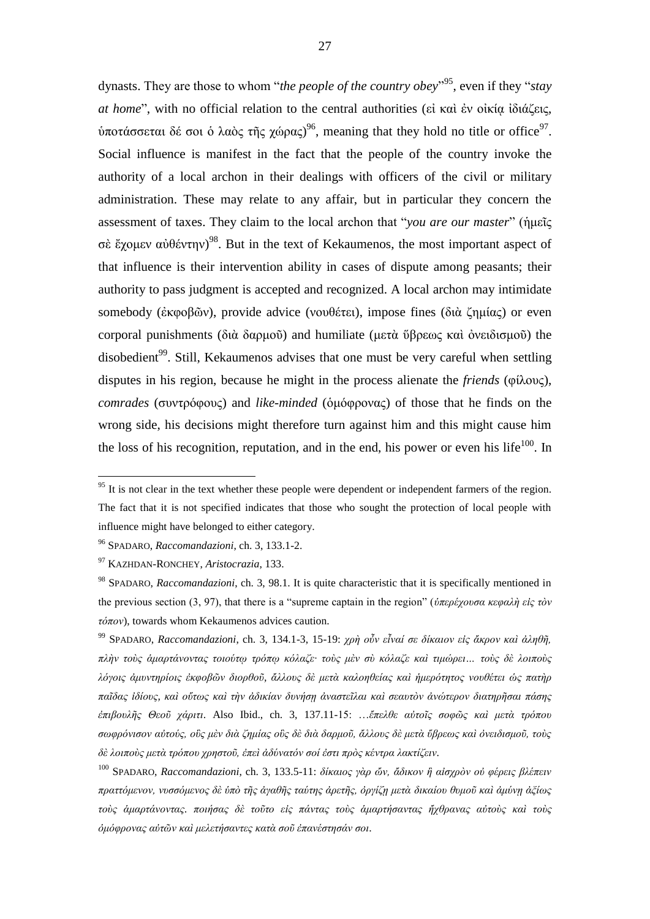dynasts. They are those to whom "*the people of the country obey*"<sup>95</sup>, even if they "*stay at home*", with no official relation to the central authorities (εἰ καὶ ἐν οἰκίᾳ ἰδιάζεις, ύποτάσσεται δέ σοι ὁ λαὸς τῆς χώρας)<sup>96</sup>, meaning that they hold no title or office<sup>97</sup>. Social influence is manifest in the fact that the people of the country invoke the authority of a local archon in their dealings with officers of the civil or military administration. These may relate to any affair, but in particular they concern the assessment of taxes. They claim to the local archon that "*you are our master*" (ἡμεῖς σὲ ἔχομεν αὐθέντην)<sup>98</sup>. But in the text of Kekaumenos, the most important aspect of that influence is their intervention ability in cases of dispute among peasants; their authority to pass judgment is accepted and recognized. A local archon may intimidate somebody (ἐκφοβῶν), provide advice (νουθέτει), impose fines (διὰ ζημίας) or even corporal punishments (διὰ δαρμοῦ) and humiliate (μετὰ ὕβρεως καὶ ὀνειδισμοῦ) the disobedient<sup>99</sup>. Still, Kekaumenos advises that one must be very careful when settling disputes in his region, because he might in the process alienate the *friends* (φίλους), *comrades* (συντρόφους) and *like-minded* (ὁμόφρονας) of those that he finds on the wrong side, his decisions might therefore turn against him and this might cause him the loss of his recognition, reputation, and in the end, his power or even his life $100$ . In

<u>.</u>

<sup>100</sup> SPADARO, *Raccomandazioni*, ch. 3, 133.5-11: *δίκαιος γὰρ ὤν, ἄδικον ἢ αἰσχρὸν οὐ φέρεις βλέπειν πραττόμενον, νυσσόμενος δὲ ὑπὸ τῆς ἀγαθῆς ταύτης ἀρετῆς, ὀργίζῃ μετὰ δικαίου θυμοῦ καὶ ἀμύνῃ ἀξίως τοὺς ἁμαρτάνοντας. ποιήσας δὲ τοῦτο εἰς πάντας τοὺς ἁμαρτήσαντας ἤχθρανας αὐτοὺς καὶ τοὺς ὁμόφρονας αὐτῶν καὶ μελετήσαντες κατὰ σοῦ ἐπανέστησάν σοι*.

 $95$  It is not clear in the text whether these people were dependent or independent farmers of the region. The fact that it is not specified indicates that those who sought the protection of local people with influence might have belonged to either category.

<sup>96</sup> SPADARO, *Raccomandazioni*, ch. 3, 133.1-2.

<sup>97</sup> KAZHDAN-RONCHEY, *Aristocrazia*, 133.

<sup>98</sup> SPADARO, *Raccomandazioni*, ch. 3, 98.1. It is quite characteristic that it is specifically mentioned in the previous section (3, 97), that there is a "supreme captain in the region" (*ὑπερέχουσα κεφαλὴ εἰς τὸν τόπον*), towards whom Kekaumenos advices caution.

<sup>99</sup> SPADARO, *Raccomandazioni*, ch. 3, 134.1-3, 15-19: *χρὴ οὖν εἶναί σε δίκαιον εἰς ἄκρον καὶ ἀληθῆ, πλὴν τοὺς ἁμαρτάνοντας τοιούτῳ τρόπῳ κόλαζε· τοὺς μὲν σὺ κόλαζε καὶ τιμώρει… τοὺς δὲ λοιποὺς λόγοις ἀμυντηρίοις ἐκφοβῶν διορθοῦ, ἄλλους δὲ μετὰ καλοηθείας καὶ ἡμερότητος νουθέτει ὡς πατὴρ παῖδας ἰδίους, καὶ οὕτως καὶ τὴν ἀδικίαν δυνήσῃ ἀναστεῖλαι καὶ σεαυτὸν ἀνώτερον διατηρῆσαι πάσης ἐπιβουλῆς Θεοῦ χάριτι*. Also Ibid., ch. 3, 137.11-15: …*ἔπελθε αὐτοῖς σοφῶς καὶ μετὰ τρόπου σωφρόνισον αὐτούς, οὓς μὲν διὰ ζημίας οὓς δὲ διὰ δαρμοῦ, ἄλλους δὲ μετὰ ὕβρεως καὶ ὀνειδισμοῦ, τοὺς δὲ λοιποὺς μετὰ τρόπου χρηστοῦ, ἐπεὶ ἀδύνατόν σοί ἐστι πρὸς κέντρα λακτίζειν*.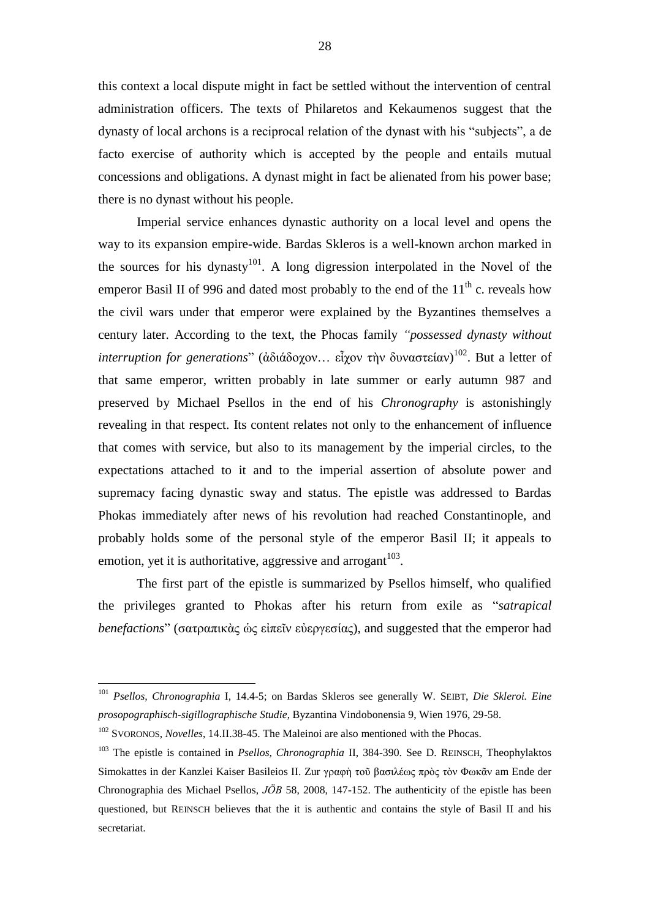this context a local dispute might in fact be settled without the intervention of central administration officers. The texts of Philaretos and Kekaumenos suggest that the dynasty of local archons is a reciprocal relation of the dynast with his "subjects", a de facto exercise of authority which is accepted by the people and entails mutual concessions and obligations. A dynast might in fact be alienated from his power base; there is no dynast without his people.

Imperial service enhances dynastic authority on a local level and opens the way to its expansion empire-wide. Bardas Skleros is a well-known archon marked in the sources for his dynasty<sup>101</sup>. A long digression interpolated in the Novel of the emperor Basil II of 996 and dated most probably to the end of the  $11<sup>th</sup>$  c. reveals how the civil wars under that emperor were explained by the Byzantines themselves a century later. According to the text, the Phocas family *"possessed dynasty without interruption for generations*" (ἀδιάδοχον… εἶχον τὴν δυναστείαν) 102 . But a letter of that same emperor, written probably in late summer or early autumn 987 and preserved by Michael Psellos in the end of his *Chronography* is astonishingly revealing in that respect. Its content relates not only to the enhancement of influence that comes with service, but also to its management by the imperial circles, to the expectations attached to it and to the imperial assertion of absolute power and supremacy facing dynastic sway and status. The epistle was addressed to Bardas Phokas immediately after news of his revolution had reached Constantinople, and probably holds some of the personal style of the emperor Basil II; it appeals to emotion, yet it is authoritative, aggressive and arrogant $103$ .

The first part of the epistle is summarized by Psellos himself, who qualified the privileges granted to Phokas after his return from exile as "*satrapical benefactions*" (σατραπικὰς ὡς εἰπεῖν εὐεργεσίας), and suggested that the emperor had

1

<sup>101</sup> *Psellos, Chronographia* I, 14.4-5; on Bardas Skleros see generally W. SEIBT, *Die Skleroi. Eine prosopographisch-sigillographische Studie*, Byzantina Vindobonensia 9, Wien 1976, 29-58.

<sup>&</sup>lt;sup>102</sup> SVORONOS, *Novelles*, 14.II.38-45. The Maleinoi are also mentioned with the Phocas.

<sup>103</sup> The epistle is contained in *Psellos, Chronographia* II, 384-390. See D. REINSCH, Theophylaktos Simokattes in der Kanzlei Kaiser Basileios II. Zur γραφὴ τοῦ βασιλέως πρὸς τὸν Φωκᾶν am Ende der Chronographia des Michael Psellos, *JÖB* 58, 2008, 147-152. The authenticity of the epistle has been questioned, but REINSCH believes that the it is authentic and contains the style of Basil II and his secretariat.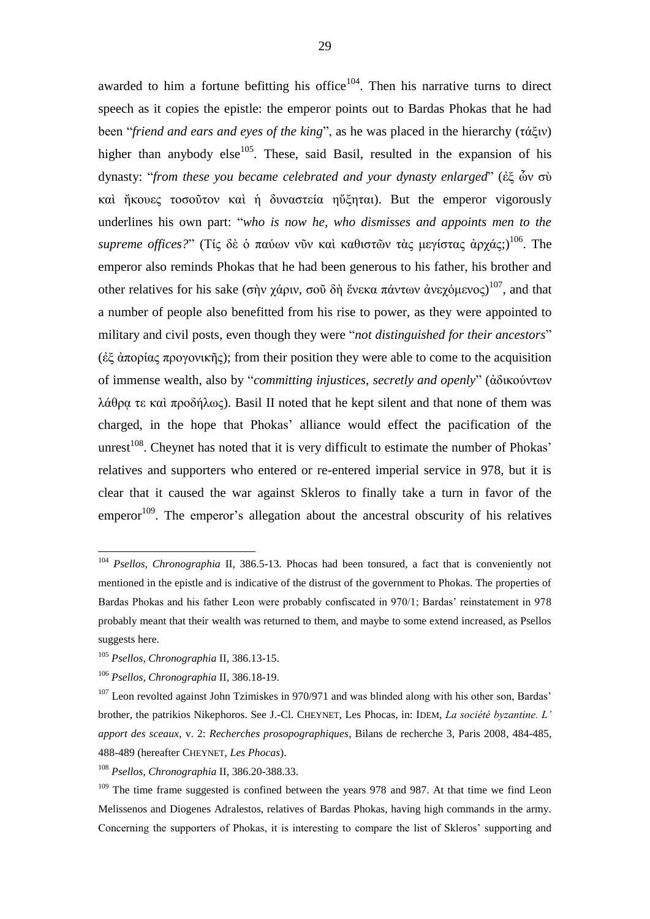awarded to him a fortune befitting his office<sup>104</sup>. Then his narrative turns to direct speech as it copies the epistle: the emperor points out to Bardas Phokas that he had been "*friend and ears and eyes of the king*", as he was placed in the hierarchy (τάξιν) higher than anybody else<sup>105</sup>. These, said Basil, resulted in the expansion of his dynasty: "*from these you became celebrated and your dynasty enlarged*" (ἐξ ὧν σὺ καὶ ἤκουες τοσοῦτον καὶ ἡ δυναστεία ηὔξηται). But the emperor vigorously underlines his own part: "*who is now he, who dismisses and appoints men to the supreme offices?*" (Τίς δὲ ὁ παύων νῦν καὶ καθιστῶν τὰς μεγίστας ἀρχάς;) <sup>106</sup>. The emperor also reminds Phokas that he had been generous to his father, his brother and other relatives for his sake (σὴν χάριν, σοῦ δὴ ἕνεκα πάντων ἀνεχόμενος)<sup>107</sup>, and that a number of people also benefitted from his rise to power, as they were appointed to military and civil posts, even though they were "*not distinguished for their ancestors*" (ἐξ ἀπορίας προγονικῆς); from their position they were able to come to the acquisition of immense wealth, also by "*committing injustices, secretly and openly*" (ἀδικούντων λάθρα τε καὶ προδήλως). Basil II noted that he kept silent and that none of them was charged, in the hope that Phokas' alliance would effect the pacification of the unrest<sup>108</sup>. Cheynet has noted that it is very difficult to estimate the number of Phokas' relatives and supporters who entered or re-entered imperial service in 978, but it is clear that it caused the war against Skleros to finally take a turn in favor of the emperor<sup>109</sup>. The emperor's allegation about the ancestral obscurity of his relatives

<sup>104</sup> *Psellos, Chronographia* II, 386.5-13. Phocas had been tonsured, a fact that is conveniently not mentioned in the epistle and is indicative of the distrust of the government to Phokas. The properties of Bardas Phokas and his father Leon were probably confiscated in 970/1; Bardas' reinstatement in 978 probably meant that their wealth was returned to them, and maybe to some extend increased, as Psellos suggests here.

<sup>105</sup> *Psellos, Chronographia* II, 386.13-15.

<sup>106</sup> *Psellos, Chronographia* II, 386.18-19.

<sup>&</sup>lt;sup>107</sup> Leon revolted against John Tzimiskes in 970/971 and was blinded along with his other son, Bardas' brother, the patrikios Nikephoros. See J.-Cl. CHEYNET, Les Phocas, in: IDEM, *La société byzantine. L' apport des sceaux*, v. 2: *Recherches prosopographiques*, Bilans de recherche 3, Paris 2008, 484-485, 488-489 (hereafter CHEYNET, *Les Phocas*).

<sup>108</sup> *Psellos, Chronographia* II, 386.20-388.33.

<sup>&</sup>lt;sup>109</sup> The time frame suggested is confined between the years 978 and 987. At that time we find Leon Melissenos and Diogenes Adralestos, relatives of Bardas Phokas, having high commands in the army. Concerning the supporters of Phokas, it is interesting to compare the list of Skleros' supporting and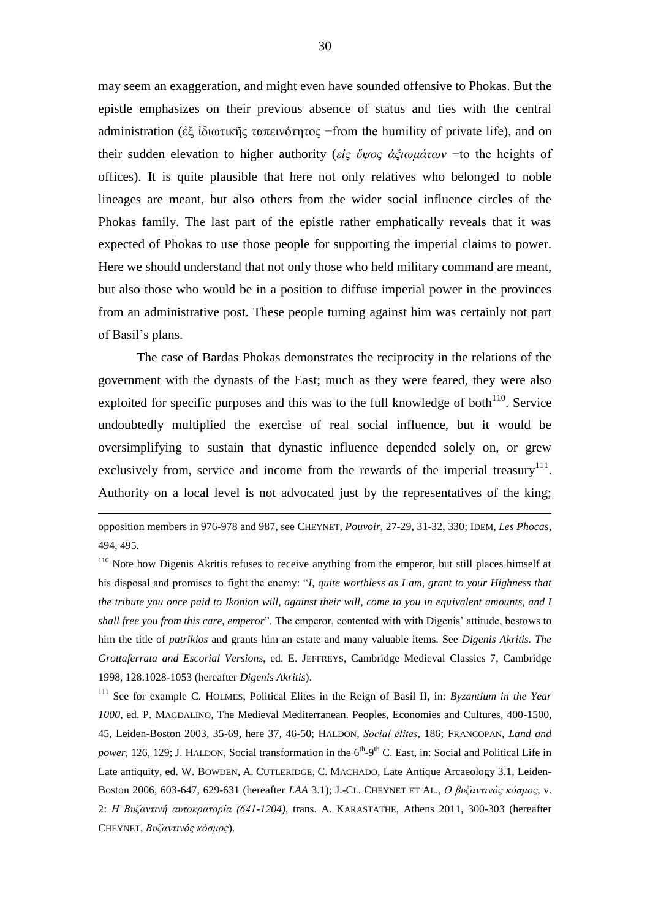may seem an exaggeration, and might even have sounded offensive to Phokas. But the epistle emphasizes on their previous absence of status and ties with the central administration (ἐξ ἰδιωτικῆς ταπεινότητος −from the humility of private life), and on their sudden elevation to higher authority (*εἰς ὕψος ἀξιωμάτων* −to the heights of offices). It is quite plausible that here not only relatives who belonged to noble lineages are meant, but also others from the wider social influence circles of the Phokas family. The last part of the epistle rather emphatically reveals that it was expected of Phokas to use those people for supporting the imperial claims to power. Here we should understand that not only those who held military command are meant, but also those who would be in a position to diffuse imperial power in the provinces from an administrative post. These people turning against him was certainly not part of Basil's plans.

The case of Bardas Phokas demonstrates the reciprocity in the relations of the government with the dynasts of the East; much as they were feared, they were also exploited for specific purposes and this was to the full knowledge of both $110$ . Service undoubtedly multiplied the exercise of real social influence, but it would be oversimplifying to sustain that dynastic influence depended solely on, or grew exclusively from, service and income from the rewards of the imperial treasury  $111$ . Authority on a local level is not advocated just by the representatives of the king;

<u>.</u>

<sup>111</sup> See for example C. HOLMES, Political Elites in the Reign of Basil II, in: *Byzantium in the Year 1000*, ed. P. MAGDALINO, The Medieval Mediterranean. Peoples, Economies and Cultures, 400-1500, 45, Leiden-Boston 2003, 35-69, here 37, 46-50; HALDON, *Social élites*, 186; FRANCOPAN, *Land and*  power, 126, 129; J. HALDON, Social transformation in the 6<sup>th</sup>-9<sup>th</sup> C. East, in: Social and Political Life in Late antiquity, ed. W. BOWDEN, A. CUTLERIDGE, C. MACHADO, Late Antique Arcaeology 3.1, Leiden-Boston 2006, 603-647, 629-631 (hereafter *LAA* 3.1); J.-CL. CHEYNET ET AL., *Ο βυζαντινός κόσμος*, v. 2: *Η Βυζαντινή αυτοκρατορία (641-1204)*, trans. A. KARASTATHE, Athens 2011, 300-303 (hereafter CHEYNET, *Βυζαντινός κόσμος*).

opposition members in 976-978 and 987, see CHEYNET, *Pouvoir*, 27-29, 31-32, 330; IDEM, *Les Phocas*, 494, 495.

<sup>&</sup>lt;sup>110</sup> Note how Digenis Akritis refuses to receive anything from the emperor, but still places himself at his disposal and promises to fight the enemy: "*I, quite worthless as I am, grant to your Highness that the tribute you once paid to Ikonion will, against their will, come to you in equivalent amounts, and I shall free you from this care, emperor*". The emperor, contented with with Digenis' attitude, bestows to him the title of *patrikios* and grants him an estate and many valuable items. See *Digenis Akritis. The Grottaferrata and Escorial Versions*, ed. E. JEFFREYS, Cambridge Medieval Classics 7, Cambridge 1998, 128.1028-1053 (hereafter *Digenis Akritis*).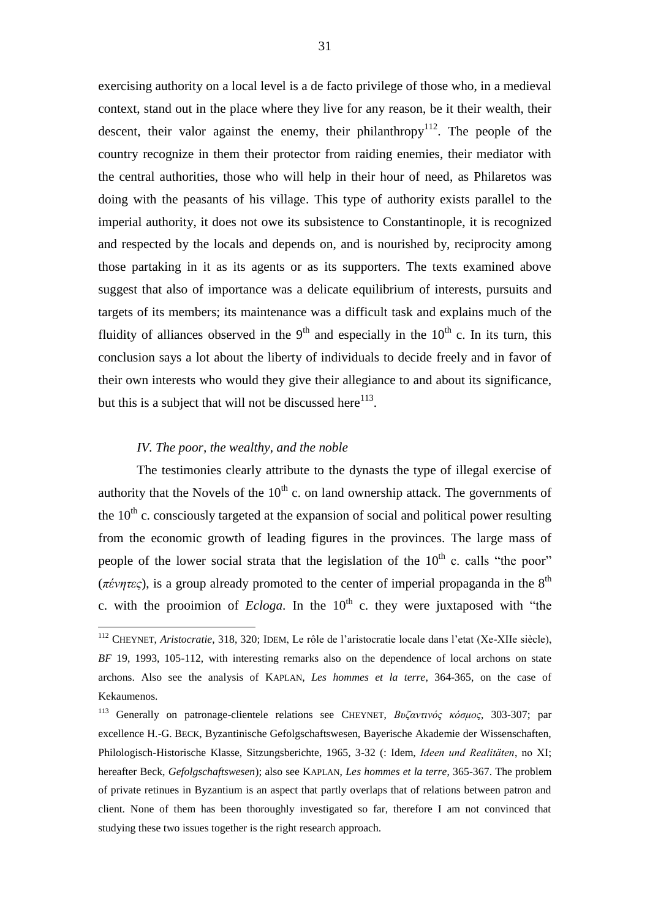exercising authority on a local level is a de facto privilege of those who, in a medieval context, stand out in the place where they live for any reason, be it their wealth, their descent, their valor against the enemy, their philanthropy<sup>112</sup>. The people of the country recognize in them their protector from raiding enemies, their mediator with the central authorities, those who will help in their hour of need, as Philaretos was doing with the peasants of his village. This type of authority exists parallel to the imperial authority, it does not owe its subsistence to Constantinople, it is recognized and respected by the locals and depends on, and is nourished by, reciprocity among those partaking in it as its agents or as its supporters. The texts examined above suggest that also of importance was a delicate equilibrium of interests, pursuits and targets of its members; its maintenance was a difficult task and explains much of the fluidity of alliances observed in the  $9<sup>th</sup>$  and especially in the  $10<sup>th</sup>$  c. In its turn, this conclusion says a lot about the liberty of individuals to decide freely and in favor of their own interests who would they give their allegiance to and about its significance, but this is a subject that will not be discussed here $^{113}$ .

#### *IV. The poor, the wealthy, and the noble*

<u>.</u>

The testimonies clearly attribute to the dynasts the type of illegal exercise of authority that the Novels of the  $10<sup>th</sup>$  c. on land ownership attack. The governments of the  $10<sup>th</sup>$  c. consciously targeted at the expansion of social and political power resulting from the economic growth of leading figures in the provinces. The large mass of people of the lower social strata that the legislation of the  $10<sup>th</sup>$  c. calls "the poor" ( $\pi \acute{\epsilon} \nu \eta \tau \epsilon c$ ), is a group already promoted to the center of imperial propaganda in the  $8<sup>th</sup>$ c. with the prooimion of *Ecloga*. In the  $10<sup>th</sup>$  c. they were juxtaposed with "the

<sup>112</sup> CHEYNET, *Aristocratie*, 318, 320; IDEM, Le rôle de l'aristocratie locale dans l'etat (Xe-XIIe siècle), *BF* 19, 1993, 105-112, with interesting remarks also on the dependence of local archons on state archons. Also see the analysis of KAPLAN, *Les hommes et la terre*, 364-365, on the case of Kekaumenos.

<sup>113</sup> Generally on patronage-clientele relations see CHEYNET, *Βυζαντινός κόσμος*, 303-307; par excellence H.-G. BECK, Byzantinische Gefolgschaftswesen, Bayerische Akademie der Wissenschaften, Philologisch-Historische Klasse, Sitzungsberichte, 1965, 3-32 (: Idem, *Ideen und Realitäten*, no ΧΙ; hereafter Beck, *Gefolgschaftswesen*); also see KAPLAN, *Les hommes et la terre*, 365-367. The problem of private retinues in Byzantium is an aspect that partly overlaps that of relations between patron and client. None of them has been thoroughly investigated so far, therefore I am not convinced that studying these two issues together is the right research approach.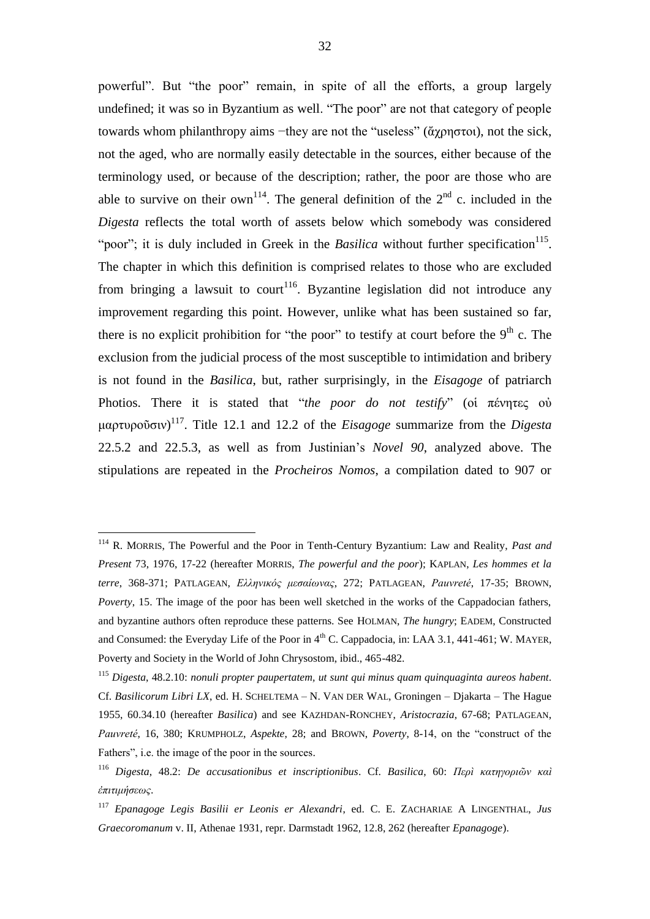powerful". But "the poor" remain, in spite of all the efforts, a group largely undefined; it was so in Byzantium as well. "The poor" are not that category of people towards whom philanthropy aims −they are not the "useless" (ἄχρηστοι), not the sick, not the aged, who are normally easily detectable in the sources, either because of the terminology used, or because of the description; rather, the poor are those who are able to survive on their own<sup>114</sup>. The general definition of the  $2<sup>nd</sup>$  c. included in the *Digesta* reflects the total worth of assets below which somebody was considered "poor"; it is duly included in Greek in the *Basilica* without further specification<sup>115</sup>. The chapter in which this definition is comprised relates to those who are excluded from bringing a lawsuit to court<sup>116</sup>. Byzantine legislation did not introduce any improvement regarding this point. However, unlike what has been sustained so far, there is no explicit prohibition for "the poor" to testify at court before the  $9<sup>th</sup>$  c. The exclusion from the judicial process of the most susceptible to intimidation and bribery is not found in the *Basilica*, but, rather surprisingly, in the *Eisagoge* of patriarch Photios. There it is stated that "*the poor do not testify*" (οἱ πένητες οὐ μαρτυροῦσιν) 117 . Title 12.1 and 12.2 of the *Eisagoge* summarize from the *Digesta* 22.5.2 and 22.5.3, as well as from Justinian's *Novel 90*, analyzed above. The stipulations are repeated in the *Procheiros Nomos*, a compilation dated to 907 or

<sup>114</sup> R. MORRIS, The Powerful and the Poor in Tenth-Century Byzantium: Law and Reality, *Past and Present* 73, 1976, 17-22 (hereafter MORRIS, *The powerful and the poor*); KAPLAN, *Les hommes et la terre*, 368-371; PATLAGEAN, *Ελληνικός μεσαίωνας*, 272; PATLAGEAN, *Pauvreté*, 17-35; BROWN, *Poverty*, 15. The image of the poor has been well sketched in the works of the Cappadocian fathers, and byzantine authors often reproduce these patterns. See HOLMAN, *The hungry*; EADEM, Constructed and Consumed: the Everyday Life of the Poor in  $4<sup>th</sup>$  C. Cappadocia, in: LAA 3.1, 441-461; W. MAYER, Poverty and Society in the World of John Chrysostom, ibid., 465-482.

<sup>115</sup> *Digesta*, 48.2.10: *nonuli propter paupertatem, ut sunt qui minus quam quinquaginta aureos habent*. Cf. *Basilicorum Libri LX*, ed. H. SCHELTEMA – N. VAN DER WAL, Groningen – Djakarta – The Hague 1955, 60.34.10 (hereafter *Basilica*) and see KAZHDAN-RONCHEY, *Aristocrazia*, 67-68; PATLAGEAN, *Pauvreté*, 16, 380; KRUMPHOLZ, *Aspekte*, 28; and BROWN, *Poverty*, 8-14, on the "construct of the Fathers", i.e. the image of the poor in the sources.

<sup>116</sup> *Digesta*, 48.2: *De accusationibus et inscriptionibus*. Cf. *Basilica*, 60: *Περὶ κατηγοριῶν καὶ ἐπιτιμήσεως*.

<sup>117</sup> *Epanagoge Legis Basilii er Leonis er Alexandri*, ed. C. E. ZACHARIAE A LINGENTHAL, *Jus Graecoromanum* v. II, Athenae 1931, repr. Darmstadt 1962, 12.8, 262 (hereafter *Epanagoge*).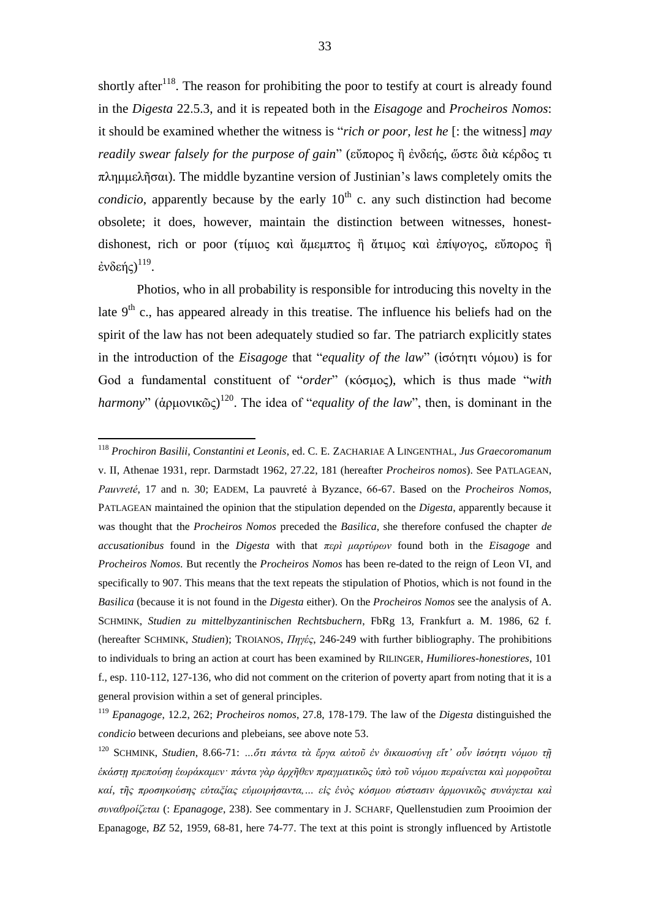shortly after<sup>118</sup>. The reason for prohibiting the poor to testify at court is already found in the *Digesta* 22.5.3, and it is repeated both in the *Eisagoge* and *Procheiros Nomos*: it should be examined whether the witness is "*rich or poor, lest he* [: the witness] *may readily swear falsely for the purpose of gain*" (εὔπορος ἢ ἐνδεής, ὥστε διὰ κέρδος τι πλημμελῆσαι). The middle byzantine version of Justinian's laws completely omits the *condicio*, apparently because by the early  $10<sup>th</sup>$  c. any such distinction had become obsolete; it does, however, maintain the distinction between witnesses, honestdishonest, rich or poor (τίμιος καὶ ἄμεμπτος ἢ ἄτιμος καὶ ἐπίψογος, εὕπορος ἢ ένδεής) $^{119}$ .

Photios, who in all probability is responsible for introducing this novelty in the late  $9<sup>th</sup>$  c., has appeared already in this treatise. The influence his beliefs had on the spirit of the law has not been adequately studied so far. The patriarch explicitly states in the introduction of the *Eisagoge* that "*equality of the law*" (ἰσότητι νόμου) is for God a fundamental constituent of "*order*" (κόσμος), which is thus made "*with harmony*" (ἁρμονικῶς) 120 . The idea of "*equality of the law*", then, is dominant in the

1

<sup>118</sup> *Prochiron Basilii, Constantini et Leonis*, ed. C. E. ZACHARIAE A LINGENTHAL, *Jus Graecoromanum* v. II, Athenae 1931, repr. Darmstadt 1962, 27.22, 181 (hereafter *Procheiros nomos*). See PATLAGEAN, *Pauvreté*, 17 and n. 30; EADEM, La pauvreté à Byzance, 66-67. Based on the *Procheiros Nomos*, PATLAGEAN maintained the opinion that the stipulation depended on the *Digesta*, apparently because it was thought that the *Procheiros Nomos* preceded the *Basilica*, she therefore confused the chapter *de accusationibus* found in the *Digesta* with that *περὶ μαρτύρων* found both in the *Eisagoge* and *Procheiros Nomos*. But recently the *Procheiros Nomos* has been re-dated to the reign of Leon VI, and specifically to 907. This means that the text repeats the stipulation of Photios, which is not found in the *Basilica* (because it is not found in the *Digesta* either). On the *Procheiros Nomos* see the analysis of A. SCHMINK, *Studien zu mittelbyzantinischen Rechtsbuchern*, FbRg 13, Frankfurt a. M. 1986, 62 f. (hereafter SCHMINK, *Studien*); TROIANOS, *Πηγές*, 246-249 with further bibliography. The prohibitions to individuals to bring an action at court has been examined by RILINGER, *Humiliores-honestiores*, 101 f., esp. 110-112, 127-136, who did not comment on the criterion of poverty apart from noting that it is a general provision within a set of general principles.

<sup>119</sup> *Epanagoge*, 12.2, 262; *Procheiros nomos*, 27.8, 178-179. The law of the *Digesta* distinguished the *condicio* between decurions and plebeians, see above note 53.

<sup>120</sup> SCHMINK, *Studien*, 8.66-71: *…ὅτι πάντα τὰ ἔργα αὐτοῦ ἐν δικαιοσύνῃ εἴτ' οὖν ἰσότητι νόμου τῇ ἑκάστῃ πρεπούσῃ ἑωράκαμεν· πάντα γὰρ ἀρχῆθεν πραγματικῶς ὑπὸ τοῦ νόμου περαίνεται καὶ μορφοῦται καί, τῆς προσηκούσης εὐταξίας εὐμοιρήσαντα,… εἰς ἑνὸς κόσμου σύστασιν ἁρμονικῶς συνάγεται καὶ συναθροίζεται* (: *Epanagoge*, 238). See commentary in J. SCHARF, Quellenstudien zum Prooimion der Epanagoge, *BZ* 52, 1959, 68-81, here 74-77. The text at this point is strongly influenced by Artistotle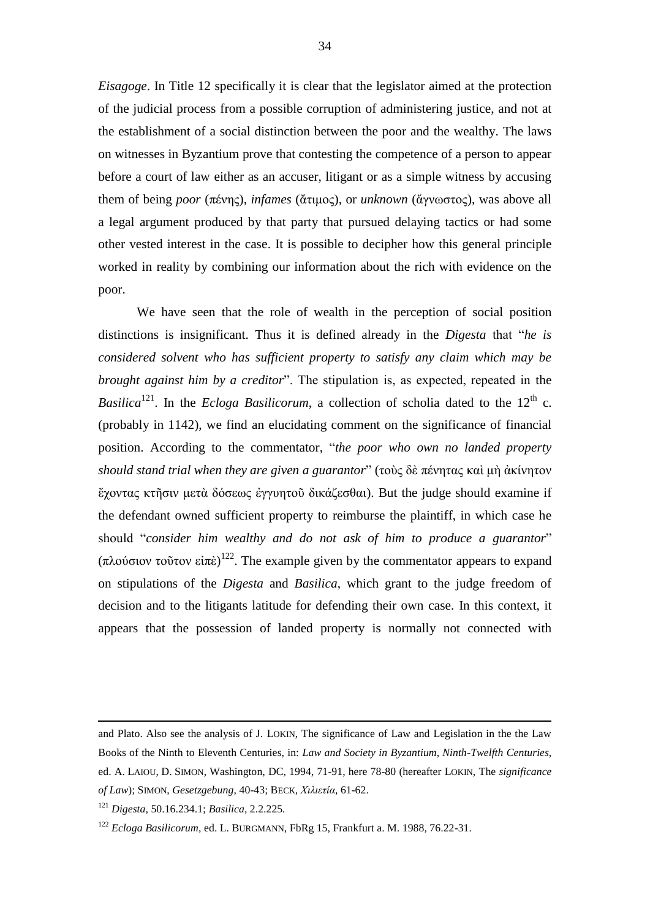*Eisagoge*. In Title 12 specifically it is clear that the legislator aimed at the protection of the judicial process from a possible corruption of administering justice, and not at the establishment of a social distinction between the poor and the wealthy. The laws on witnesses in Byzantium prove that contesting the competence of a person to appear before a court of law either as an accuser, litigant or as a simple witness by accusing them of being *poor* (πένης), *infames* (ἄτιμος), or *unknown* (ἄγνωστος), was above all a legal argument produced by that party that pursued delaying tactics or had some other vested interest in the case. It is possible to decipher how this general principle worked in reality by combining our information about the rich with evidence on the poor.

We have seen that the role of wealth in the perception of social position distinctions is insignificant. Thus it is defined already in the *Digesta* that "*he is considered solvent who has sufficient property to satisfy any claim which may be brought against him by a creditor*". The stipulation is, as expected, repeated in the *Basilica*<sup>121</sup>. In the *Ecloga Basilicorum*, a collection of scholia dated to the 12<sup>th</sup> c. (probably in 1142), we find an elucidating comment on the significance of financial position. According to the commentator, "*the poor who own no landed property should stand trial when they are given a guarantor*" (τοὺς δὲ πένητας καὶ μὴ ἀκίνητον ἔχοντας κτῆσιν μετὰ δόσεως ἐγγυητοῦ δικάζεσθαι). But the judge should examine if the defendant owned sufficient property to reimburse the plaintiff, in which case he should "*consider him wealthy and do not ask of him to produce a guarantor*" (πλούσιον τοῦτον εἰπὲ)<sup>122</sup>. The example given by the commentator appears to expand on stipulations of the *Digesta* and *Basilica*, which grant to the judge freedom of decision and to the litigants latitude for defending their own case. In this context, it appears that the possession of landed property is normally not connected with

and Plato. Also see the analysis of J. LOKIN, The significance of Law and Legislation in the the Law Books of the Ninth to Eleventh Centuries, in: *Law and Society in Byzantium, Ninth-Twelfth Centuries*, ed. A. LAIOU, D. SIMON, Washington, DC, 1994, 71-91, here 78-80 (hereafter LOKIN, The *significance of Law*); SIMON, *Gesetzgebung*, 40-43; BECK, *Χιλιετία*, 61-62.

<sup>121</sup> *Digesta*, 50.16.234.1; *Basilica*, 2.2.225*.*

<sup>122</sup> *Ecloga Basilicorum*, ed. L. BURGMANN, FbRg 15, Frankfurt a. M. 1988, 76.22-31.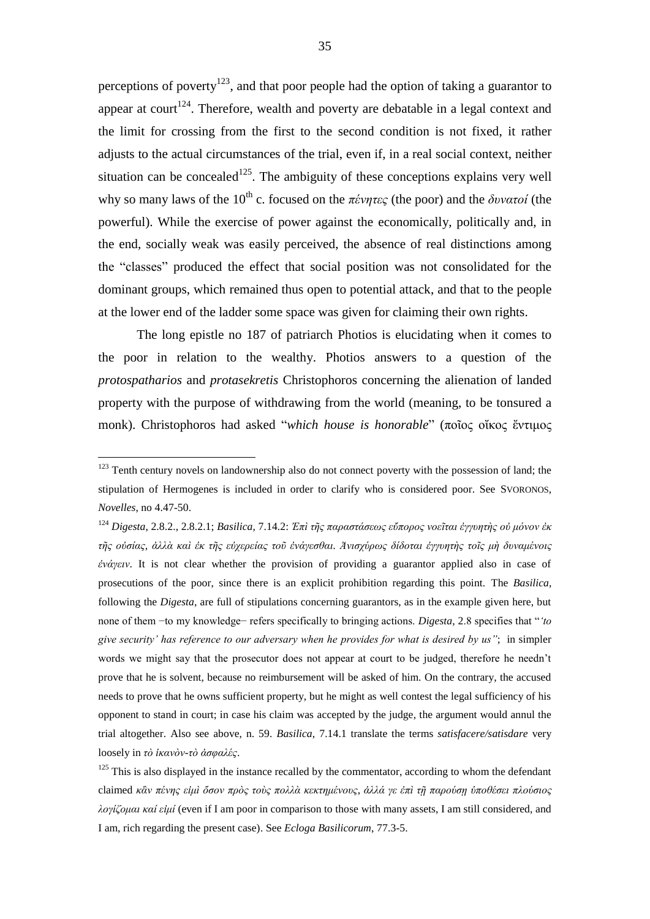perceptions of poverty<sup>123</sup>, and that poor people had the option of taking a guarantor to appear at court<sup>124</sup>. Therefore, wealth and poverty are debatable in a legal context and the limit for crossing from the first to the second condition is not fixed, it rather adjusts to the actual circumstances of the trial, even if, in a real social context, neither situation can be concealed<sup>125</sup>. The ambiguity of these conceptions explains very well why so many laws of the 10<sup>th</sup> c. focused on the  $\pi \acute{\epsilon} \nu \eta \tau \epsilon \varsigma$  (the poor) and the  $\delta \nu \nu \alpha \tau \omicron i$  (the powerful). While the exercise of power against the economically, politically and, in the end, socially weak was easily perceived, the absence of real distinctions among the "classes" produced the effect that social position was not consolidated for the dominant groups, which remained thus open to potential attack, and that to the people at the lower end of the ladder some space was given for claiming their own rights.

The long epistle no 187 of patriarch Photios is elucidating when it comes to the poor in relation to the wealthy. Photios answers to a question of the *protospatharios* and *protasekretis* Christophoros concerning the alienation of landed property with the purpose of withdrawing from the world (meaning, to be tonsured a monk). Christophoros had asked "*which house is honorable*" (ποῖος οἴκος ἔντιμος

<sup>&</sup>lt;sup>123</sup> Tenth century novels on landownership also do not connect poverty with the possession of land; the stipulation of Hermogenes is included in order to clarify who is considered poor. See SVORONOS, *Novelles*, no 4.47-50.

<sup>124</sup> *Digesta*, 2.8.2., 2.8.2.1; *Basilica*, 7.14.2: *Ἐπὶ τῆς παραστάσεως εὔπορος νοεῖται ἐγγυητὴς οὐ μόνον ἐκ τῆς οὐσίας, ἀλλὰ καὶ ἐκ τῆς εὐχερείας τοῦ ἐνάγεσθαι. Ἀνισχύρως δίδοται ἐγγυητὴς τοῖς μὴ δυναμένοις ἐνάγειν*. It is not clear whether the provision of providing a guarantor applied also in case of prosecutions of the poor, since there is an explicit prohibition regarding this point. The *Basilica*, following the *Digesta*, are full of stipulations concerning guarantors, as in the example given here, but none of them −to my knowledge− refers specifically to bringing actions. *Digesta*, 2.8 specifies that "*'to give security' has reference to our adversary when he provides for what is desired by us"*; in simpler words we might say that the prosecutor does not appear at court to be judged, therefore he needn't prove that he is solvent, because no reimbursement will be asked of him. On the contrary, the accused needs to prove that he owns sufficient property, but he might as well contest the legal sufficiency of his opponent to stand in court; in case his claim was accepted by the judge, the argument would annul the trial altogether. Also see above, n. 59. *Basilica*, 7.14.1 translate the terms *satisfacere/satisdare* very loosely in *τὸ ἱκανὸν-τὸ ἀσφαλές*.

 $125$  This is also displayed in the instance recalled by the commentator, according to whom the defendant claimed *κἂν πένης εἰμὶ ὅσον πρὸς τοὺς πολλὰ κεκτημένους, ἀλλά γε ἐπὶ τῇ παρούσῃ ὑποθέσει πλούσιος λογίζομαι καί εἰμί* (even if I am poor in comparison to those with many assets, I am still considered, and I am, rich regarding the present case). See *Ecloga Basilicorum*, 77.3-5.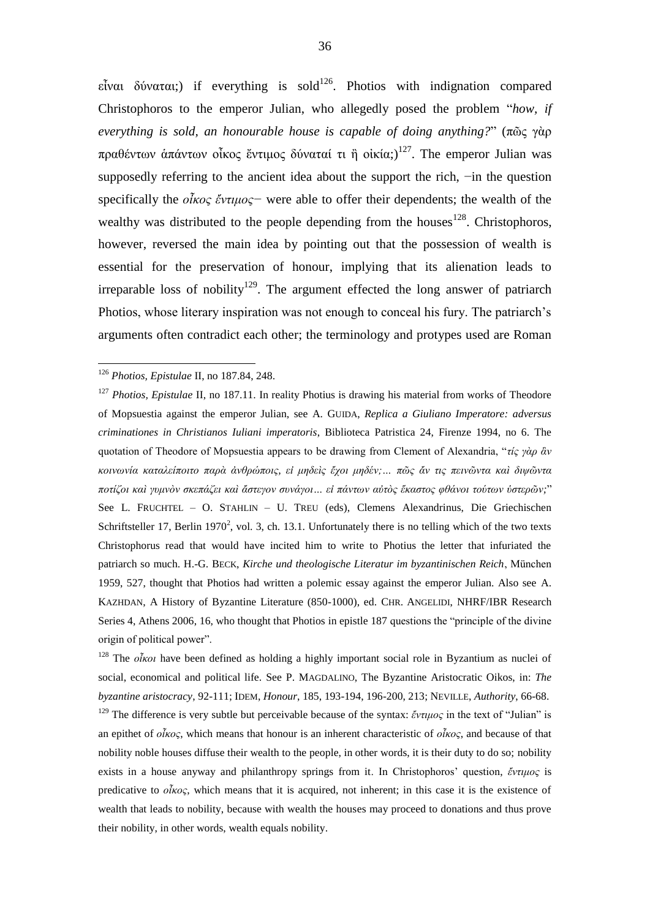εἶναι δύναται;) if everything is sold<sup>126</sup>. Photios with indignation compared Christophoros to the emperor Julian, who allegedly posed the problem "*how, if everything is sold, an honourable house is capable of doing anything?*" (πῶς γὰρ πραθέντων ἀπάντων οἶκος ἔντιμος δύναταί τι ἢ οἰκία;)<sup>127</sup>. The emperor Julian was supposedly referring to the ancient idea about the support the rich, −in the question specifically the *οἶκος ἔντιμος−* were able to offer their dependents; the wealth of the wealthy was distributed to the people depending from the houses<sup>128</sup>. Christophoros, however, reversed the main idea by pointing out that the possession of wealth is essential for the preservation of honour, implying that its alienation leads to irreparable loss of nobility<sup>129</sup>. The argument effected the long answer of patriarch Photios, whose literary inspiration was not enough to conceal his fury. The patriarch's arguments often contradict each other; the terminology and protypes used are Roman

1

<sup>128</sup> The *οἶκοι* have been defined as holding a highly important social role in Byzantium as nuclei of social, economical and political life. See P. MAGDALINO, The Byzantine Aristocratic Oikos, in: *The byzantine aristocracy*, 92-111; IDEM, *Honour*, 185, 193-194, 196-200, 213; NEVILLE, *Authority*, 66-68.

<sup>129</sup> The difference is very subtle but perceivable because of the syntax: *ἔντιμος* in the text of "Julian" is an epithet of *οἶκος*, which means that honour is an inherent characteristic of *οἶκος*, and because of that nobility noble houses diffuse their wealth to the people, in other words, it is their duty to do so; nobility exists in a house anyway and philanthropy springs from it. In Christophoros' question, *ἔντιμος* is predicative to *οἶκος*, which means that it is acquired, not inherent; in this case it is the existence of wealth that leads to nobility, because with wealth the houses may proceed to donations and thus prove their nobility, in other words, wealth equals nobility.

<sup>126</sup> *Photios, Epistulae* II, no 187.84, 248.

<sup>&</sup>lt;sup>127</sup> *Photios, Epistulae* II, no 187.11. In reality Photius is drawing his material from works of Theodore of Mopsuestia against the emperor Julian, see A. GUIDA, *Replica a Giuliano Imperatore: adversus criminationes in Christianos Iuliani imperatoris*, Biblioteca Patristica 24, Firenze 1994, no 6. The quotation of Theodore of Mopsuestia appears to be drawing from Clement of Alexandria, "*τίς γὰρ ἂν κοινωνία καταλείποιτο παρὰ ἀνθρώποις, εἰ μηδεὶς ἔχοι μηδέν;… πῶς ἄν τις πεινῶντα καὶ διψῶντα ποτίζοι καὶ γυμνὸν σκεπάζει καὶ ἄστεγον συνάγοι… εἰ πάντων αὐτὸς ἕκαστος φθάνοι τούτων ὑστερῶν;*" See L. FRUCHTEL – O. STAHLIN – U. TREU (eds), Clemens Alexandrinus, Die Griechischen Schriftsteller 17, Berlin 1970<sup>2</sup>, vol. 3, ch. 13.1. Unfortunately there is no telling which of the two texts Christophorus read that would have incited him to write to Photius the letter that infuriated the patriarch so much. H.-G. BECK, *Kirche und theologische Literatur im byzantinischen Reich*, München 1959, 527, thought that Photios had written a polemic essay against the emperor Julian. Also see A. KAZHDAN, A History of Byzantine Literature (850-1000), ed. CHR. ANGELIDI, NHRF/IBR Research Series 4, Athens 2006, 16, who thought that Photios in epistle 187 questions the "principle of the divine origin of political power".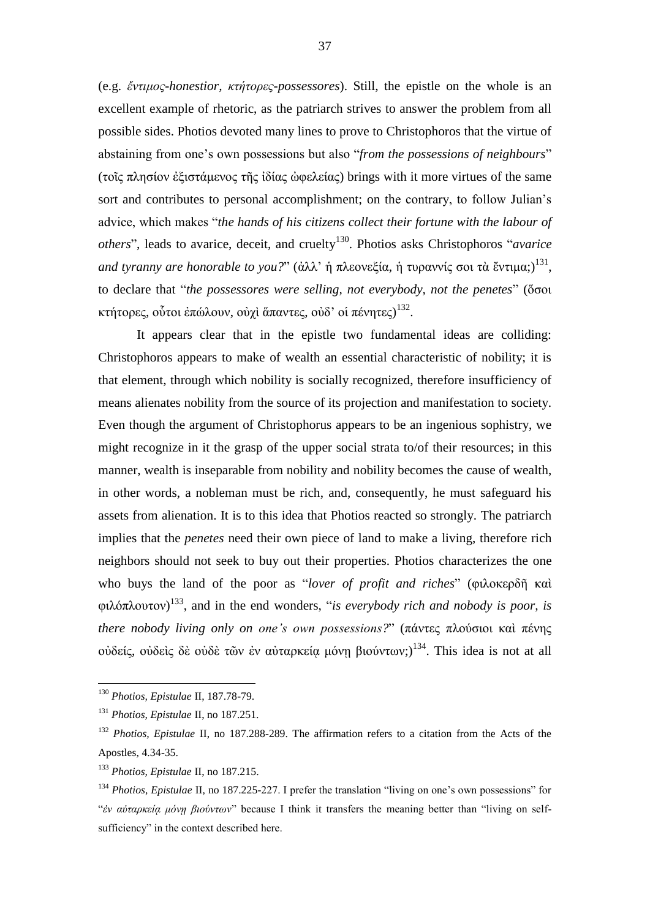(e.g. *ἔντιμος-honestior, κτήτορες-possessores*). Still, the epistle on the whole is an excellent example of rhetoric, as the patriarch strives to answer the problem from all possible sides. Photios devoted many lines to prove to Christophoros that the virtue of abstaining from one's own possessions but also "*from the possessions of neighbours*" (τοῖς πλησίον ἐξιστάμενος τῆς ἰδίας ὠφελείας) brings with it more virtues of the same sort and contributes to personal accomplishment; on the contrary, to follow Julian's advice, which makes "*the hands of his citizens collect their fortune with the labour of* others", leads to avarice, deceit, and cruelty<sup>130</sup>. Photios asks Christophoros "*avarice and tyranny are honorable to you?*" (ἀλλ' ἡ πλεονεξία, ἡ τυραννίς σοι τὰ ἔντιμα;)<sup>131</sup>, to declare that "*the possessores were selling, not everybody, not the penetes*" (ὅσοι κτήτορες, οὗτοι ἐπώλουν, οὐχὶ ἅπαντες, οὐδ' οἱ πένητες) $^{132}$ .

It appears clear that in the epistle two fundamental ideas are colliding: Christophoros appears to make of wealth an essential characteristic of nobility; it is that element, through which nobility is socially recognized, therefore insufficiency of means alienates nobility from the source of its projection and manifestation to society. Even though the argument of Christophorus appears to be an ingenious sophistry, we might recognize in it the grasp of the upper social strata to/of their resources; in this manner, wealth is inseparable from nobility and nobility becomes the cause of wealth, in other words, a nobleman must be rich, and, consequently, he must safeguard his assets from alienation. It is to this idea that Photios reacted so strongly. The patriarch implies that the *penetes* need their own piece of land to make a living, therefore rich neighbors should not seek to buy out their properties. Photios characterizes the one who buys the land of the poor as "*lover of profit and riches*" (φιλοκερδῆ καὶ φιλόπλουτον) 133 , and in the end wonders, "*is everybody rich and nobody is poor, is there nobody living only on one's own possessions?*" (πάντες πλούσιοι καὶ πένης οὐδείς, οὐδεὶς δὲ οὐδὲ τῶν ἐν αὐταρκείᾳ μόνῃ βιούντων;) 134 . This idea is not at all

1

<sup>130</sup> *Photios, Epistulae* II, 187.78-79.

<sup>131</sup> *Photios, Epistulae* II, no 187.251.

<sup>132</sup> *Photios, Epistulae* II, no 187.288-289. The affirmation refers to a citation from the Acts of the Apostles, 4.34-35.

<sup>133</sup> *Photios, Epistulae* II, no 187.215.

<sup>134</sup> *Photios, Epistulae* II, no 187.225-227. I prefer the translation "living on one's own possessions" for "*ἐν αὐταρκείᾳ μόνῃ βιούντων*" because I think it transfers the meaning better than "living on selfsufficiency" in the context described here.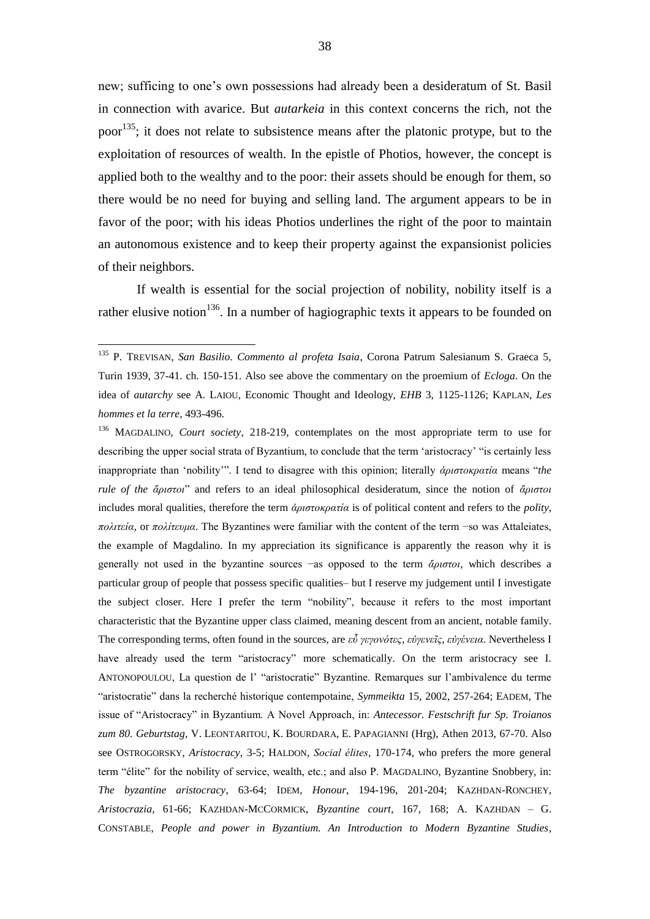new; sufficing to one's own possessions had already been a desideratum of St. Basil in connection with avarice. But *autarkeia* in this context concerns the rich, not the poor<sup>135</sup>; it does not relate to subsistence means after the platonic protype, but to the exploitation of resources of wealth. In the epistle of Photios, however, the concept is applied both to the wealthy and to the poor: their assets should be enough for them, so there would be no need for buying and selling land. The argument appears to be in favor of the poor; with his ideas Photios underlines the right of the poor to maintain an autonomous existence and to keep their property against the expansionist policies of their neighbors.

If wealth is essential for the social projection of nobility, nobility itself is a rather elusive notion<sup>136</sup>. In a number of hagiographic texts it appears to be founded on

<sup>135</sup> P. TREVISAN, *San Basilio. Commento al profeta Isaia*, Corona Patrum Salesianum S. Graeca 5, Turin 1939, 37-41. ch. 150-151. Also see above the commentary on the proemium of *Ecloga*. On the idea of *autarchy* see A. LAIOU, Economic Thought and Ideology, *EHB* 3, 1125-1126; KAPLAN, *Les hommes et la terre*, 493-496.

<sup>136</sup> MAGDALINO, *Court society*, 218-219, contemplates on the most appropriate term to use for describing the upper social strata of Byzantium, to conclude that the term 'aristocracy' "is certainly less inappropriate than 'nobility'". I tend to disagree with this opinion; literally *ἀριστοκρατία* means "*the rule of the ἄριστοι*" and refers to an ideal philosophical desideratum, since the notion of *ἄριστοι* includes moral qualities, therefore the term *ἀριστοκρατία* is of political content and refers to the *polity*, *πολιτεία*, or *πολίτευμα*. The Byzantines were familiar with the content of the term −so was Attaleiates, the example of Magdalino. In my appreciation its significance is apparently the reason why it is generally not used in the byzantine sources −as opposed to the term *ἄριστοι*, which describes a particular group of people that possess specific qualities– but I reserve my judgement until I investigate the subject closer. Here I prefer the term "nobility", because it refers to the most important characteristic that the Byzantine upper class claimed, meaning descent from an ancient, notable family. The corresponding terms, often found in the sources, are *εὖ γεγονότες*, *εὐγενεῖς*, *εὐγένεια*. Nevertheless I have already used the term "aristocracy" more schematically. On the term aristocracy see I. ANTONOPOULOU, La question de l' "aristocratie" Byzantine. Remarques sur l'ambivalence du terme "aristocratie" dans la recherché historique contempotaine, *Symmeikta* 15, 2002, 257-264; EADEM, The issue of "Aristocracy" in Byzantium. A Novel Approach, in: *Antecessor. Festschrift fur Sp. Troianos zum 80. Geburtstag*, V. LEONTARITOU, K. BOURDARA, E. PAPAGIANNI (Hrg), Athen 2013, 67-70. Also see OSTROGORSKY, *Aristocracy*, 3-5; HALDON, *Social élites*, 170-174, who prefers the more general term "élite" for the nobility of service, wealth, etc.; and also P. MAGDALINO, Byzantine Snobbery, in: *The byzantine aristocracy*, 63-64; IDEM, *Honour*, 194-196, 201-204; KAZHDAN-RONCHEY, *Aristocrazia*, 61-66; KAZHDAN-MCCORMICK, *Byzantine court*, 167, 168; A. KAZHDAN – G. CONSTABLE, *People and power in Byzantium. An Introduction to Modern Byzantine Studies*,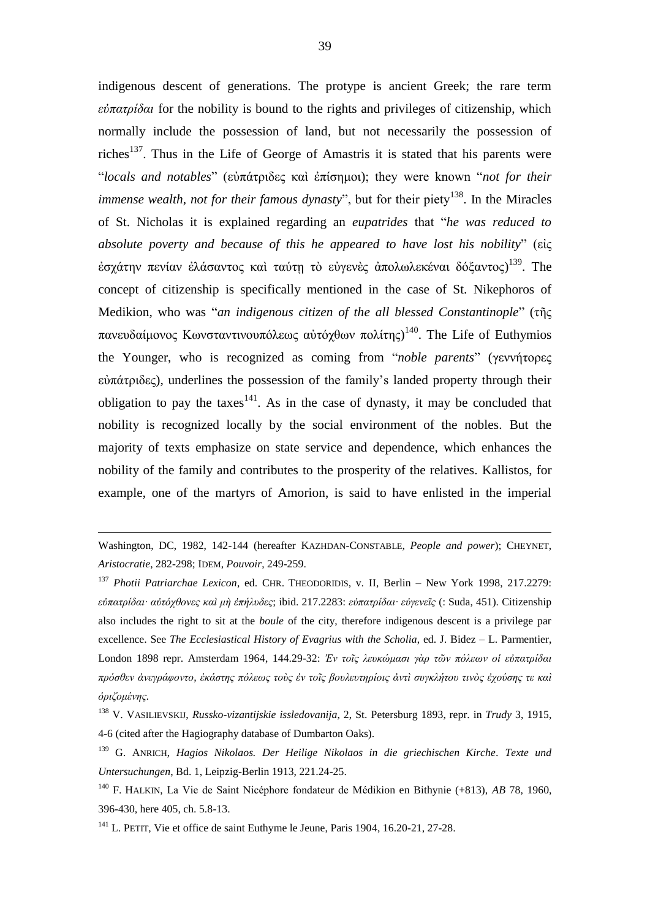indigenous descent of generations. The protype is ancient Greek; the rare term *εὐπατρίδαι* for the nobility is bound to the rights and privileges of citizenship, which normally include the possession of land, but not necessarily the possession of riches<sup>137</sup>. Thus in the Life of George of Amastris it is stated that his parents were "*locals and notables*" (εὐπάτριδες καὶ ἐπίσημοι); they were known "*not for their immense wealth, not for their famous dynasty*", but for their piety<sup>138</sup>. In the Miracles of St. Nicholas it is explained regarding an *eupatrides* that "*he was reduced to absolute poverty and because of this he appeared to have lost his nobility*" (εἰς έσχάτην πενίαν ἐλάσαντος καὶ ταύτῃ τὸ εὐγενὲς ἀπολωλεκέναι δόξαντος)<sup>139</sup>. The concept of citizenship is specifically mentioned in the case of St. Nikephoros of Medikion, who was "*an indigenous citizen of the all blessed Constantinople*" (τῆς πανευδαίμονος Κωνσταντινουπόλεως αὐτόχθων πολίτης)<sup>140</sup>. The Life of Euthymios the Younger, who is recognized as coming from "*noble parents*" (γεννήτορες εὐπάτριδες), underlines the possession of the family's landed property through their obligation to pay the taxes<sup>141</sup>. As in the case of dynasty, it may be concluded that nobility is recognized locally by the social environment of the nobles. But the majority of texts emphasize on state service and dependence, which enhances the nobility of the family and contributes to the prosperity of the relatives. Kallistos, for example, one of the martyrs of Amorion, is said to have enlisted in the imperial

Washington, DC, 1982, 142-144 (hereafter KAZHDAN-CONSTABLE, *People and power*); CHEYNET, *Aristocratie*, 282-298; IDEM, *Pouvoir*, 249-259.

<sup>137</sup> *Photii Patriarchae Lexicon*, ed. CHR. THEODORIDIS, v. II, Berlin – New York 1998, 217.2279: *εὐπατρίδαι· αὐτόχθονες καὶ μὴ ἐπήλυδες*; ibid. 217.2283: *εὐπατρίδαι· εὐγενεῖς* (: Suda, 451). Citizenship also includes the right to sit at the *boule* of the city, therefore indigenous descent is a privilege par excellence. See *The Ecclesiastical History of Evagrius with the Scholia*, ed. J. Bidez – L. Parmentier, London 1898 repr. Amsterdam 1964, 144.29-32: *Ἐν τοῖς λευκώμασι γὰρ τῶν πόλεων οἱ εὐπατρίδαι πρόσθεν ἀνεγράφοντο, ἑκάστης πόλεως τοὺς ἐν τοῖς βουλευτηρίοις ἀντὶ συγκλήτου τινὸς ἐχούσης τε καὶ ὁριζομένης.* 

<sup>138</sup> V. VASILIEVSKIJ, *Russko-vizantijskie issledovanija*, 2, St. Petersburg 1893, repr. in *Trudy* 3, 1915, 4-6 (cited after the Hagiography database of Dumbarton Oaks).

<sup>139</sup> G. ANRICH, *Hagios Nikolaos. Der Heilige Nikolaos in die griechischen Kirche. Texte und Untersuchungen*, Bd. 1, Leipzig-Berlin 1913, 221.24-25.

<sup>140</sup> F. HALKIN, La Vie de Saint Nicéphore fondateur de Médikion en Bithynie (+813), *AB* 78, 1960, 396-430, here 405, ch. 5.8-13.

<sup>&</sup>lt;sup>141</sup> L. PETIT, Vie et office de saint Euthyme le Jeune, Paris 1904, 16.20-21, 27-28.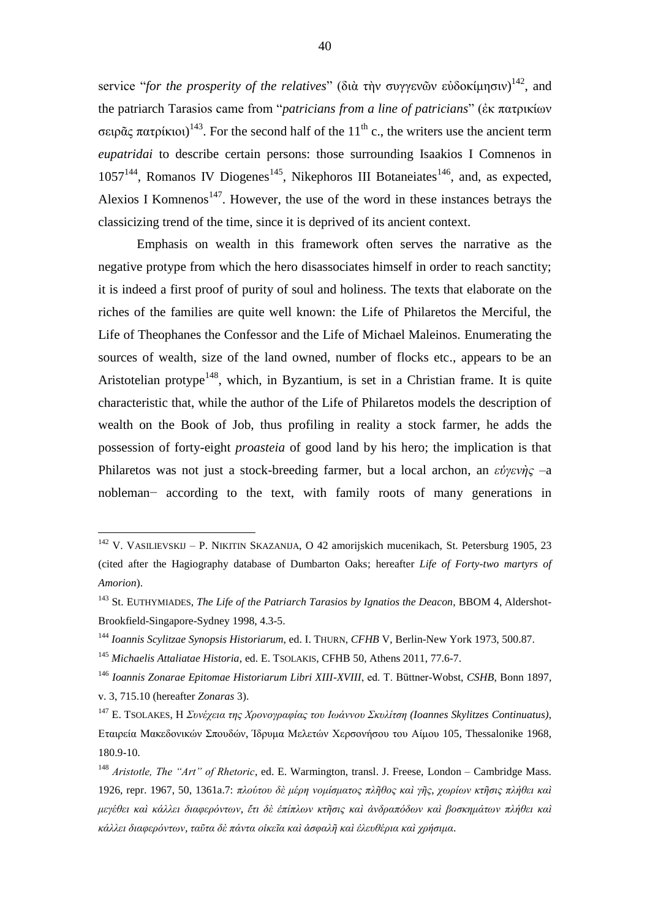service "*for the prosperity of the relatives*" (διὰ τὴν συγγενῶν εὐδοκίμησιν) <sup>142</sup>, and the patriarch Tarasios came from "*patricians from a line of patricians*" (ἐκ πατρικίων σειρᾶς πατρίκιοι)<sup>143</sup>. For the second half of the 11<sup>th</sup> c., the writers use the ancient term *eupatridai* to describe certain persons: those surrounding Isaakios I Comnenos in  $1057^{144}$ , Romanos IV Diogenes<sup>145</sup>, Nikephoros III Botaneiates<sup>146</sup>, and, as expected, Alexios I Komnenos<sup>147</sup>. However, the use of the word in these instances betrays the classicizing trend of the time, since it is deprived of its ancient context.

Emphasis on wealth in this framework often serves the narrative as the negative protype from which the hero disassociates himself in order to reach sanctity; it is indeed a first proof of purity of soul and holiness. The texts that elaborate on the riches of the families are quite well known: the Life of Philaretos the Merciful, the Life of Theophanes the Confessor and the Life of Michael Maleinos. Enumerating the sources of wealth, size of the land owned, number of flocks etc., appears to be an Aristotelian protype<sup>148</sup>, which, in Byzantium, is set in a Christian frame. It is quite characteristic that, while the author of the Life of Philaretos models the description of wealth on the Book of Job, thus profiling in reality a stock farmer, he adds the possession of forty-eight *proasteia* of good land by his hero; the implication is that Philaretos was not just a stock-breeding farmer, but a local archon, an *εὐγενὴς* –a nobleman− according to the text, with family roots of many generations in

<sup>&</sup>lt;sup>142</sup> V. VASILIEVSKIJ – P. NIKITIN SKAZANIJA, O 42 amorijskich mucenikach, St. Petersburg 1905, 23 (cited after the Hagiography database of Dumbarton Oaks; hereafter *Life of Forty-two martyrs of Amorion*).

<sup>143</sup> St. EUTHYMIADES, *The Life of the Patriarch Tarasios by Ignatios the Deacon*, BBOM 4, Aldershot-Brookfield-Singapore-Sydney 1998, 4.3-5.

<sup>144</sup> *Ioannis Scylitzae Synopsis Historiarum*, ed. I. THURN, *CFHB* V, Berlin-New York 1973, 500.87.

<sup>145</sup> *Michaelis Attaliatae Historia*, ed. E. TSOLAKIS, CFHB 50, Athens 2011, 77.6-7.

<sup>146</sup> *Ioannis Zonarae Epitomae Historiarum Libri XIII-XVIII*, ed. T. Büttner-Wobst, *CSHB*, Bonn 1897, v. 3, 715.10 (hereafter *Zonaras* 3).

<sup>147</sup> E. TSOLAKES, Η *Συνέχεια της Χρονογραφίας του Ιωάννου Σκυλίτση (Ioannes Skylitzes Continuatus)*, Εταιρεία Μακεδονικών Σπουδών, Ίδρυμα Μελετών Χερσονήσου του Αίμου 105, Thessalonike 1968, 180.9-10.

<sup>148</sup> *Aristotle, The "Art" of Rhetoric*, ed. E. Warmington, transl. J. Freese, London – Cambridge Mass. 1926, repr. 1967, 50, 1361a.7: *πλούτου δὲ μέρη νομίσματος πλῆθος καὶ γῆς, χωρίων κτῆσις πλήθει καὶ μεγέθει καὶ κάλλει διαφερόντων, ἔτι δὲ ἐπίπλων κτῆσις καὶ ἀνδραπόδων καὶ βοσκημάτων πλήθει καὶ κάλλει διαφερόντων, ταῦτα δὲ πάντα οἰκεῖα καὶ ἀσφαλῆ καὶ ἐλευθέρια καὶ χρήσιμα*.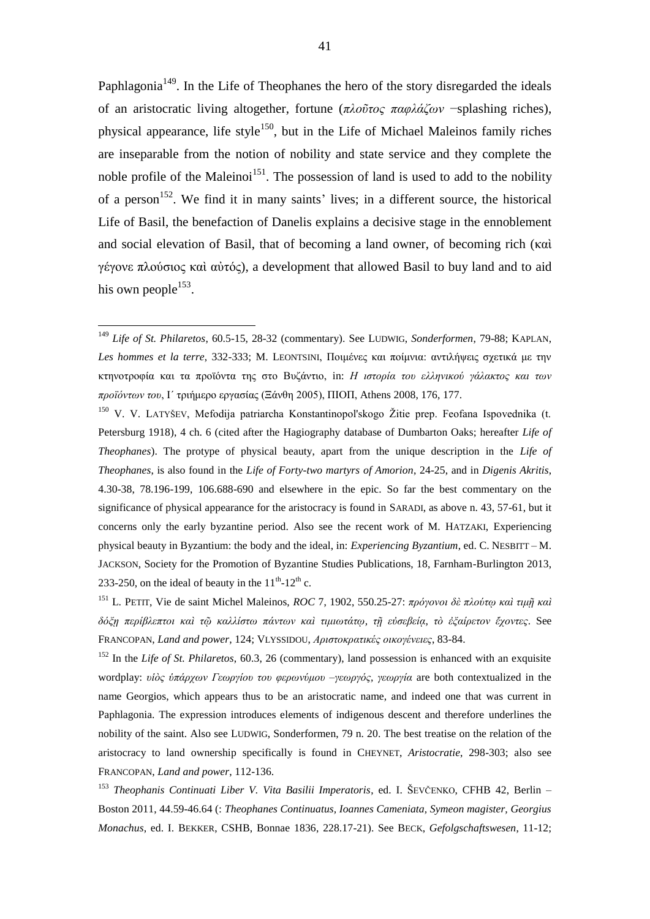Paphlagonia<sup>149</sup>. In the Life of Theophanes the hero of the story disregarded the ideals of an aristocratic living altogether, fortune (*πλοῦτος παφλάζων* −splashing riches), physical appearance, life style<sup>150</sup>, but in the Life of Michael Maleinos family riches are inseparable from the notion of nobility and state service and they complete the noble profile of the Maleinoi<sup>151</sup>. The possession of land is used to add to the nobility of a person<sup>152</sup>. We find it in many saints' lives; in a different source, the historical Life of Basil, the benefaction of Danelis explains a decisive stage in the ennoblement and social elevation of Basil, that of becoming a land owner, of becoming rich (καὶ γέγονε πλούσιος καὶ αὐτός), a development that allowed Basil to buy land and to aid his own people $^{153}$ .

<sup>149</sup> *Life of St. Philaretos*, 60.5-15, 28-32 (commentary). See LUDWIG, *Sonderformen*, 79-88; KAPLAN, *Les hommes et la terre*, 332-333; M. LEONTSINI, Ποιμένες και ποίμνια: αντιλήψεις σχετικά με την κτηνοτροφία και τα προϊόντα της στο Βυζάντιο, in: *Η ιστορία του ελληνικού γάλακτος και των προϊόντων του*, Ι΄ τριήμερο εργασίας (Ξάνθη 2005), ΠΙΟΠ, Athens 2008, 176, 177.

<sup>150</sup> V. V. LATYŠEV, Mefodija patriarcha Konstantinopol'skogo Žitie prep. Feofana Ispovednika (t. Petersburg 1918), 4 ch. 6 (cited after the Hagiography database of Dumbarton Oaks; hereafter *Life of Theophanes*). The protype of physical beauty, apart from the unique description in the *Life of Theophanes*, is also found in the *Life of Forty-two martyrs of Amorion*, 24-25, and in *Digenis Akritis*, 4.30-38, 78.196-199, 106.688-690 and elsewhere in the epic. So far the best commentary on the significance of physical appearance for the aristocracy is found in SARADI, as above n. 43, 57-61, but it concerns only the early byzantine period. Also see the recent work of M. HATZAKI, Experiencing physical beauty in Byzantium: the body and the ideal, in: *Experiencing Byzantium*, ed. C. NESBITT – M. JACKSON, Society for the Promotion of Byzantine Studies Publications, 18, Farnham-Burlington 2013, 233-250, on the ideal of beauty in the  $11<sup>th</sup>$ - $12<sup>th</sup>$  c.

<sup>151</sup> L. PETIT, Vie de saint Michel Maleinos, *ROC* 7, 1902, 550.25-27: *πρόγονοι δὲ πλούτῳ καὶ τιμῇ καὶ δόξῃ περίβλεπτοι καὶ τῷ καλλίστω πάντων καὶ τιμιωτάτῳ, τῇ εὐσεβείᾳ, τὸ ἐξαίρετον ἔχοντες*. See FRANCOPAN, *Land and power*, 124; VLYSSIDOU, *Αριστοκρατικές οικογένειες*, 83-84.

<sup>152</sup> In the *Life of St. Philaretos*, 60.3, 26 (commentary), land possession is enhanced with an exquisite wordplay: *υἱὸς ὑπάρχων Γεωργίου του φερωνύμου –γεωργός, γεωργία* are both contextualized in the name Georgios, which appears thus to be an aristocratic name, and indeed one that was current in Paphlagonia. The expression introduces elements of indigenous descent and therefore underlines the nobility of the saint. Also see LUDWIG, Sonderformen, 79 n. 20. The best treatise on the relation of the aristocracy to land ownership specifically is found in CHEYNET, *Aristocratie*, 298-303; also see FRANCOPAN, *Land and power*, 112-136.

<sup>153</sup> *Theophanis Continuati Liber V. Vita Basilii Imperatoris*, ed. I. ŠEVČENKO, CFHB 42, Berlin – Boston 2011, 44.59-46.64 (: *Theophanes Continuatus, Ioannes Cameniata, Symeon magister, Georgius Monachus*, ed. I. BEKKER, CSHB, Bonnae 1836, 228.17-21). See BECK, *Gefolgschaftswesen*, 11-12;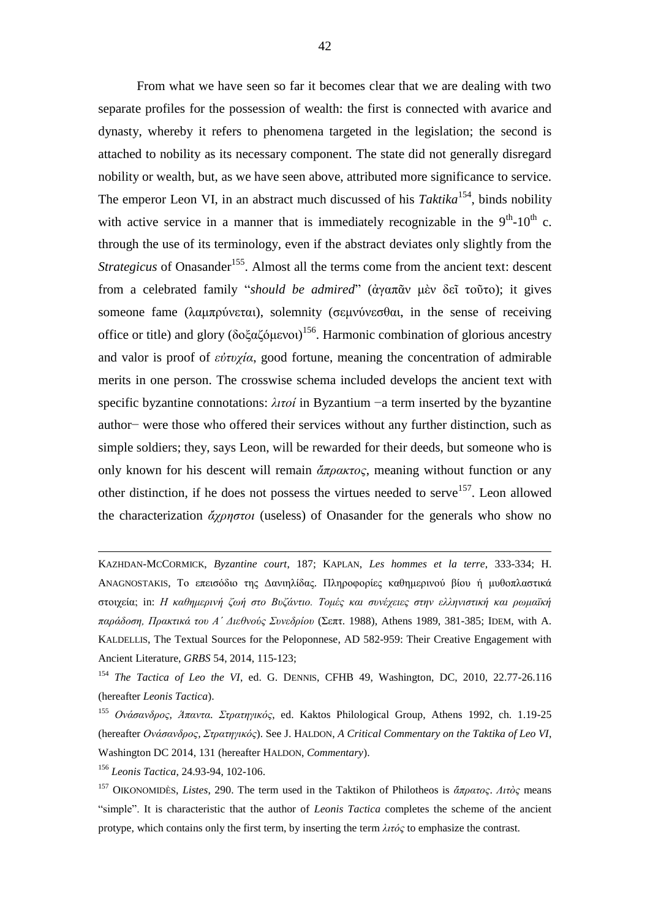From what we have seen so far it becomes clear that we are dealing with two separate profiles for the possession of wealth: the first is connected with avarice and dynasty, whereby it refers to phenomena targeted in the legislation; the second is attached to nobility as its necessary component. The state did not generally disregard nobility or wealth, but, as we have seen above, attributed more significance to service. The emperor Leon VI, in an abstract much discussed of his *Taktika*<sup>154</sup>, binds nobility with active service in a manner that is immediately recognizable in the  $9<sup>th</sup>$ -10<sup>th</sup> c. through the use of its terminology, even if the abstract deviates only slightly from the *Strategicus* of Onasander<sup>155</sup>. Almost all the terms come from the ancient text: descent from a celebrated family "*should be admired*" (ἀγαπᾶν μὲν δεῖ τοῦτο); it gives someone fame (λαμπρύνεται), solemnity (σεμνύνεσθαι, in the sense of receiving office or title) and glory (δοξαζόμενοι)<sup>156</sup>. Harmonic combination of glorious ancestry and valor is proof of *εὐτυχία*, good fortune, meaning the concentration of admirable merits in one person. The crosswise schema included develops the ancient text with specific byzantine connotations: *λιτοί* in Byzantium −a term inserted by the byzantine author− were those who offered their services without any further distinction, such as simple soldiers; they, says Leon, will be rewarded for their deeds, but someone who is only known for his descent will remain *ἄπρακτος*, meaning without function or any other distinction, if he does not possess the virtues needed to serve<sup>157</sup>. Leon allowed the characterization *ἄχρηστοι* (useless) of Onasander for the generals who show no

KAZHDAN-MCCORMICK, *Byzantine court*, 187; KAPLAN, *Les hommes et la terre*, 333-334; H. ANAGNOSTAKIS, Το επεισόδιο της Δανιηλίδας. Πληροφορίες καθημερινού βίου ή μυθοπλαστικά στοιχεία; in: *Η καθημερινή ζωή στο Βυζάντιο. Τομές και συνέχειες στην ελληνιστική και ρωμαϊκή παράδοση, Πρακτικά του Α΄ Διεθνούς Συνεδρίου* (Σεπτ. 1988), Athens 1989, 381-385; IDEM, with A. KALDELLIS, The Textual Sources for the Peloponnese, AD 582-959: Their Creative Engagement with Ancient Literature, *GRBS* 54, 2014, 115-123;

<sup>156</sup> *Leonis Tactica*, 24.93-94, 102-106.

<sup>&</sup>lt;sup>154</sup> *The Tactica of Leo the VI*, ed. G. DENNIS, CFHB 49, Washington, DC, 2010, 22.77-26.116 (hereafter *Leonis Tactica*).

<sup>155</sup> *Ονάσανδρος, Άπαντα. Στρατηγικός*, ed. Kaktos Philological Group, Athens 1992, ch. 1.19-25 (hereafter *Ονάσανδρος, Στρατηγικός*). See J. HALDON, *A Critical Commentary on the Taktika of Leo VI*, Washington DC 2014, 131 (hereafter HALDON, *Commentary*).

<sup>157</sup> OIKONOMIDÈS, *Listes*, 290. The term used in the Taktikon of Philotheos is *ἄπρατος*. *Λιτὸς* means "simple". It is characteristic that the author of *Leonis Tactica* completes the scheme of the ancient protype, which contains only the first term, by inserting the term *λιτός* to emphasize the contrast.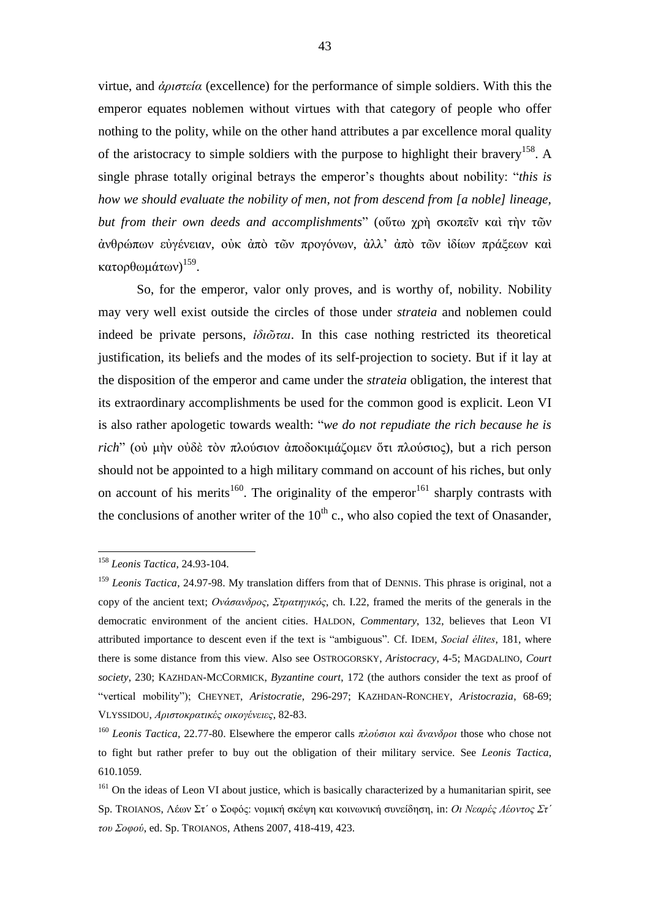virtue, and *ἀριστεία* (excellence) for the performance of simple soldiers. With this the emperor equates noblemen without virtues with that category of people who offer nothing to the polity, while on the other hand attributes a par excellence moral quality of the aristocracy to simple soldiers with the purpose to highlight their bravery<sup>158</sup>. A single phrase totally original betrays the emperor's thoughts about nobility: "*this is how we should evaluate the nobility of men, not from descend from [a noble] lineage, but from their own deeds and accomplishments*" (οὕτω χρὴ σκοπεῖν καὶ τὴν τῶν ἀνθρώπων εὐγένειαν, οὐκ ἀπὸ τῶν προγόνων, ἀλλ' ἀπὸ τῶν ἰδίων πράξεων καὶ κατορθωμάτων)<sup>159</sup>.

So, for the emperor, valor only proves, and is worthy of, nobility. Nobility may very well exist outside the circles of those under *strateia* and noblemen could indeed be private persons, *ἰδιῶται*. In this case nothing restricted its theoretical justification, its beliefs and the modes of its self-projection to society. But if it lay at the disposition of the emperor and came under the *strateia* obligation, the interest that its extraordinary accomplishments be used for the common good is explicit. Leon VI is also rather apologetic towards wealth: "*we do not repudiate the rich because he is rich*" (οὐ μὴν οὐδὲ τὸν πλούσιον ἀποδοκιμάζομεν ὅτι πλούσιος), but a rich person should not be appointed to a high military command on account of his riches, but only on account of his merits<sup>160</sup>. The originality of the emperor<sup>161</sup> sharply contrasts with the conclusions of another writer of the  $10<sup>th</sup>$  c., who also copied the text of Onasander,

<sup>158</sup> *Leonis Tactica*, 24.93-104.

<sup>159</sup> *Leonis Tactica*, 24.97-98. My translation differs from that of DENNIS. This phrase is original, not a copy of the ancient text; *Ονάσανδρος, Στρατηγικός*, ch. I.22, framed the merits of the generals in the democratic environment of the ancient cities. HALDON, *Commentary*, 132, believes that Leon VI attributed importance to descent even if the text is "ambiguous". Cf. IDEM, *Social élites*, 181, where there is some distance from this view. Also see OSTROGORSKY, *Aristocracy*, 4-5; MAGDALINO, *Court society*, 230; KAZHDAN-MCCORMICK, *Byzantine court*, 172 (the authors consider the text as proof of "vertical mobility"); CHEYNET, *Aristocratie*, 296-297; KAZHDAN-RONCHEY, *Aristocrazia*, 68-69; VLYSSIDOU, *Αριστοκρατικές οικογένειες*, 82-83.

<sup>160</sup> *Leonis Tactica*, 22.77-80. Elsewhere the emperor calls *πλούσιοι καὶ ἄνανδροι* those who chose not to fight but rather prefer to buy out the obligation of their military service. See *Leonis Tactica*, 610.1059.

<sup>&</sup>lt;sup>161</sup> On the ideas of Leon VI about justice, which is basically characterized by a humanitarian spirit, see Sp. TROIANOS, Λέων Στ΄ ο Σοφός: νομική σκέψη και κοινωνική συνείδηση, in: *Οι Νεαρές Λέοντος Στ΄ του Σοφού*, ed. Sp. TROIANOS, Athens 2007, 418-419, 423.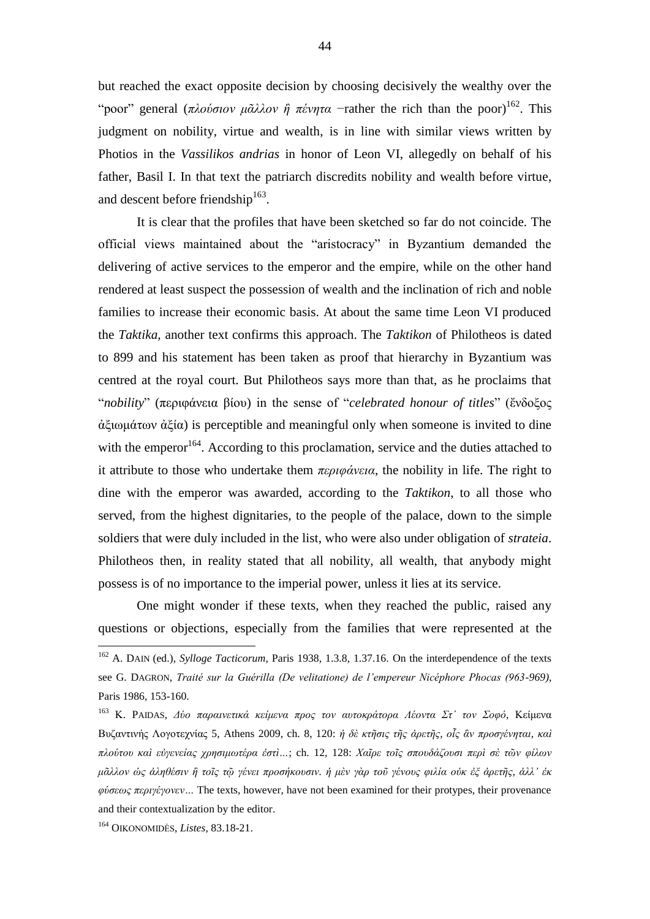but reached the exact opposite decision by choosing decisively the wealthy over the "poor" general (*πλούσιον μᾶλλον ἢ πένητα* −rather the rich than the poor) 162 . This judgment on nobility, virtue and wealth, is in line with similar views written by Photios in the *Vassilikos andrias* in honor of Leon VI, allegedly on behalf of his father, Basil I. In that text the patriarch discredits nobility and wealth before virtue, and descent before friendship $163$ .

It is clear that the profiles that have been sketched so far do not coincide. The official views maintained about the "aristocracy" in Byzantium demanded the delivering of active services to the emperor and the empire, while on the other hand rendered at least suspect the possession of wealth and the inclination of rich and noble families to increase their economic basis. At about the same time Leon VI produced the *Taktika*, another text confirms this approach. The *Taktikon* of Philotheos is dated to 899 and his statement has been taken as proof that hierarchy in Byzantium was centred at the royal court. But Philotheos says more than that, as he proclaims that "*nobility*" (περιφάνεια βίου) in the sense of "*celebrated honour of titles*" (ἔνδοξος ἀξιωμάτων ἀξία) is perceptible and meaningful only when someone is invited to dine with the emperor<sup>164</sup>. According to this proclamation, service and the duties attached to it attribute to those who undertake them *περιφάνεια*, the nobility in life. The right to dine with the emperor was awarded, according to the *Taktikon*, to all those who served, from the highest dignitaries, to the people of the palace, down to the simple soldiers that were duly included in the list, who were also under obligation of *strateia*. Philotheos then, in reality stated that all nobility, all wealth, that anybody might possess is of no importance to the imperial power, unless it lies at its service.

One might wonder if these texts, when they reached the public, raised any questions or objections, especially from the families that were represented at the

<sup>162</sup> A. DAIN (ed.), *Sylloge Tacticorum*, Paris 1938, 1.3.8, 1.37.16. On the interdependence of the texts see G. DAGRON, *Traité sur la Guérilla (De velitatione) de l'empereur Nicéphore Phocas (963-969)*, Paris 1986, 153-160.

<sup>163</sup> Κ. PAIDAS, *Δύο παραινετικά κείμενα προς τον αυτοκράτορα Λέοντα Στ΄ τον Σοφό*, Κείμενα Βυζαντινής Λογοτεχνίας 5, Athens 2009, ch. 8, 120: *ἡ δὲ κτῆσις τῆς ἀρετῆς, οἷς ἂν προσγένηται, καὶ πλούτου καὶ εὐγενείας χρησιμωτέρα ἐστὶ…*; ch. 12, 128: *Χαῖρε τοῖς σπουδάζουσι περὶ σὲ τῶν φίλων μᾶλλον ὡς ἀληθέσιν ἢ τοῖς τῷ γένει προσήκουσιν. ἡ μὲν γὰρ τοῦ γένους φιλία οὐκ ἐξ ἀρετῆς, ἀλλ' ἐκ φύσεως περιγέγονεν…* The texts, however, have not been examined for their protypes, their provenance and their contextualization by the editor.

<sup>164</sup> OIKONOMIDÈS, *Listes*, 83.18-21.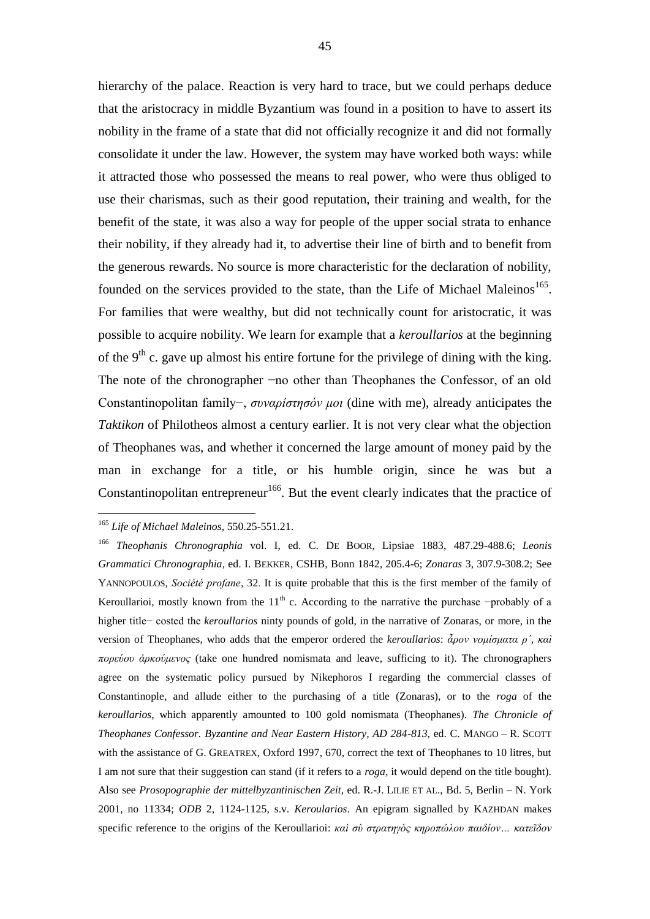hierarchy of the palace. Reaction is very hard to trace, but we could perhaps deduce that the aristocracy in middle Byzantium was found in a position to have to assert its nobility in the frame of a state that did not officially recognize it and did not formally consolidate it under the law. However, the system may have worked both ways: while it attracted those who possessed the means to real power, who were thus obliged to use their charismas, such as their good reputation, their training and wealth, for the benefit of the state, it was also a way for people of the upper social strata to enhance their nobility, if they already had it, to advertise their line of birth and to benefit from the generous rewards. No source is more characteristic for the declaration of nobility, founded on the services provided to the state, than the Life of Michael Maleinos<sup>165</sup>. For families that were wealthy, but did not technically count for aristocratic, it was possible to acquire nobility. We learn for example that a *keroullarios* at the beginning of the  $9<sup>th</sup>$  c. gave up almost his entire fortune for the privilege of dining with the king. The note of the chronographer −no other than Theophanes the Confessor, of an old Constantinopolitan family−, *συναρίστησόν μοι* (dine with me), already anticipates the *Taktikon* of Philotheos almost a century earlier. It is not very clear what the objection of Theophanes was, and whether it concerned the large amount of money paid by the man in exchange for a title, or his humble origin, since he was but a Constantinopolitan entrepreneur<sup>166</sup>. But the event clearly indicates that the practice of

<sup>165</sup> *Life of Michael Maleinos*, 550.25-551.21.

<sup>166</sup> *Theophanis Chronographia* vol. I, ed. C. DE BOOR, Lipsiae 1883, 487.29-488.6; *Leonis Grammatici Chronographia*, ed. I. BEKKER, CSHB, Bonn 1842, 205.4-6; *Zonaras* 3, 307.9-308.2; See YANNOPOULOS, *Société profane*, 32. It is quite probable that this is the first member of the family of Keroullarioi, mostly known from the  $11<sup>th</sup>$  c. According to the narrative the purchase −probably of a higher title− costed the *keroullarios* ninty pounds of gold, in the narrative of Zonaras, or more, in the version of Theophanes, who adds that the emperor ordered the *keroullarios*: *ἆρον νομίσματα ρʹ, καὶ πορεύου ἀρκούμενος* (take one hundred nomismata and leave, sufficing to it). The chronographers agree on the systematic policy pursued by Nikephoros I regarding the commercial classes of Constantinople, and allude either to the purchasing of a title (Zonaras), or to the *roga* of the *keroullarios*, which apparently amounted to 100 gold nomismata (Theophanes). *The Chronicle of Theophanes Confessor. Byzantine and Near Eastern History, AD 284-813*, ed. C. MANGO – R. SCOTT with the assistance of G. GREATREX, Oxford 1997, 670, correct the text of Theophanes to 10 litres, but I am not sure that their suggestion can stand (if it refers to a *roga*, it would depend on the title bought). Also see *Prosopographie der mittelbyzantinischen Zeit*, ed. R.-J. LILIE ET AL., Bd. 5, Berlin – N. York 2001, no 11334; *ODB* 2, 1124-1125, s.v. *Keroularios*. An epigram signalled by KAZHDAN makes specific reference to the origins of the Keroullarioi: *καὶ σὺ στρατηγὸς κηροπώλου παιδίον… κατεῖδον*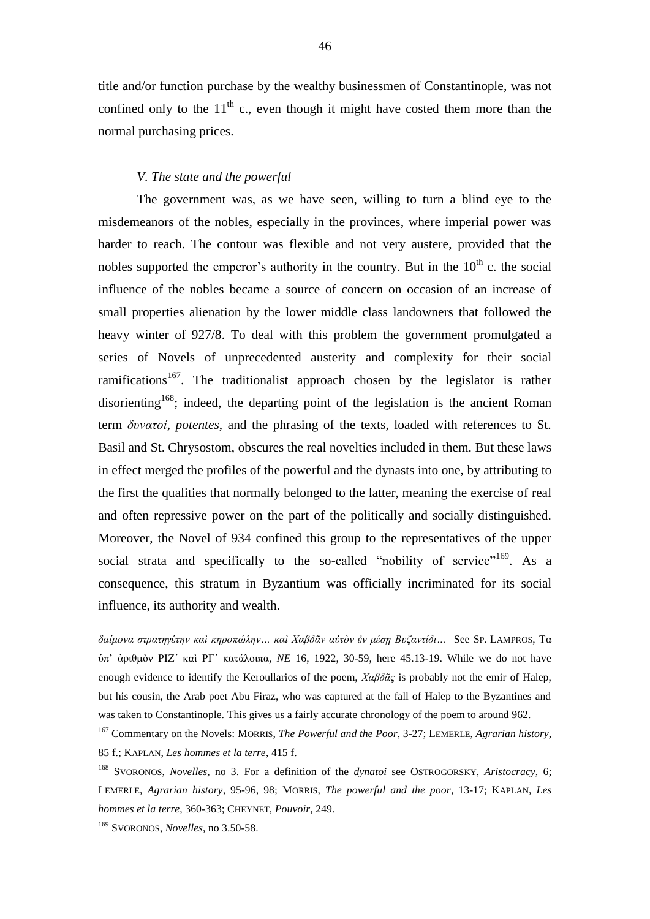title and/or function purchase by the wealthy businessmen of Constantinople, was not confined only to the  $11<sup>th</sup>$  c., even though it might have costed them more than the normal purchasing prices.

#### *V. The state and the powerful*

The government was, as we have seen, willing to turn a blind eye to the misdemeanors of the nobles, especially in the provinces, where imperial power was harder to reach. The contour was flexible and not very austere, provided that the nobles supported the emperor's authority in the country. But in the  $10<sup>th</sup>$  c. the social influence of the nobles became a source of concern on occasion of an increase of small properties alienation by the lower middle class landowners that followed the heavy winter of 927/8. To deal with this problem the government promulgated a series of Novels of unprecedented austerity and complexity for their social ramifications<sup>167</sup>. The traditionalist approach chosen by the legislator is rather disorienting<sup>168</sup>; indeed, the departing point of the legislation is the ancient Roman term *δυνατοί*, *potentes*, and the phrasing of the texts, loaded with references to St. Basil and St. Chrysostom, obscures the real novelties included in them. But these laws in effect merged the profiles of the powerful and the dynasts into one, by attributing to the first the qualities that normally belonged to the latter, meaning the exercise of real and often repressive power on the part of the politically and socially distinguished. Moreover, the Novel of 934 confined this group to the representatives of the upper social strata and specifically to the so-called "nobility of service"<sup>169</sup>. As a consequence, this stratum in Byzantium was officially incriminated for its social influence, its authority and wealth.

*δαίμονα στρατηγέτην καὶ κηροπώλην… καὶ Χαβδᾶν αὐτὸν ἐν μέσῃ Βυζαντίδι…* See SP. LAMPROS, Τα ὑπ' ἀριθμὸν ΡΙΖ΄ καὶ ΡΓ΄ κατάλοιπα, *NE* 16, 1922, 30-59, here 45.13-19. While we do not have enough evidence to identify the Keroullarios of the poem, *Χαβδᾶς* is probably not the emir of Halep, but his cousin, the Arab poet Abu Firaz, who was captured at the fall of Halep to the Byzantines and was taken to Constantinople. This gives us a fairly accurate chronology of the poem to around 962.

<sup>167</sup> Commentary on the Novels: MORRIS, *The Powerful and the Poor*, 3-27; LEMERLE, *Agrarian history*, 85 f.; KAPLAN, *Les hommes et la terre*, 415 f.

<sup>168</sup> SVORONOS, *Novelles*, no 3. For a definition of the *dynatoi* see OSTROGORSKY, *Aristocracy*, 6; LEMERLE, *Agrarian history*, 95-96, 98; MORRIS, *The powerful and the poor*, 13-17; KAPLAN, *Les hommes et la terre*, 360-363; CHEYNET, *Pouvoir*, 249.

<sup>169</sup> SVORONOS, *Novelles*, no 3.50-58.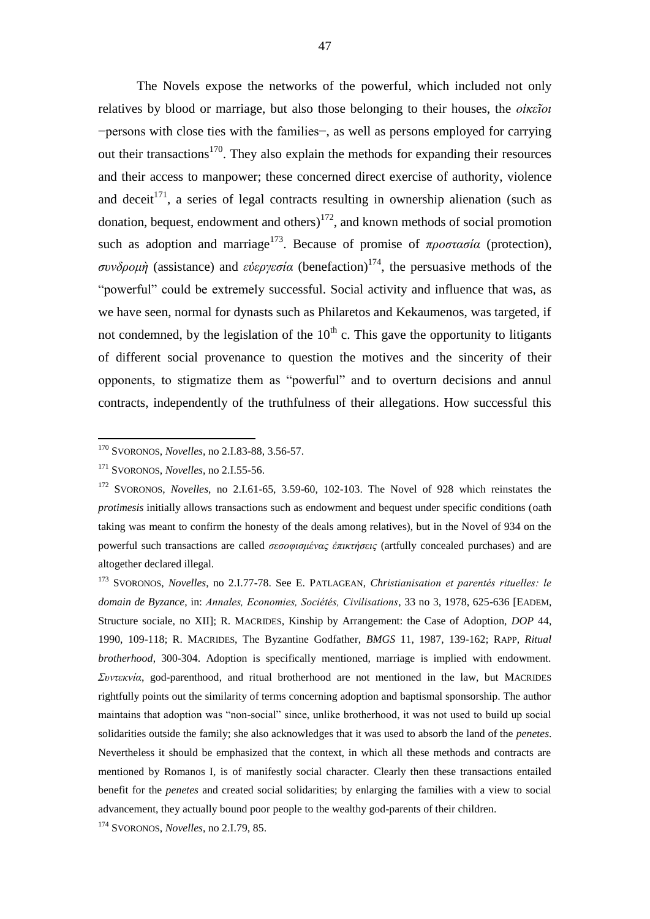The Novels expose the networks of the powerful, which included not only relatives by blood or marriage, but also those belonging to their houses, the *οἰκεῖοι* −persons with close ties with the families−, as well as persons employed for carrying out their transactions<sup>170</sup>. They also explain the methods for expanding their resources and their access to manpower; these concerned direct exercise of authority, violence and deceit<sup>171</sup>, a series of legal contracts resulting in ownership alienation (such as donation, bequest, endowment and others)<sup>172</sup>, and known methods of social promotion such as adoption and marriage<sup>173</sup>. Because of promise of  $\pi \rho$ *ootaoia* (protection), *συνδρομὴ* (assistance) and *εὐεργεσία* (benefaction)<sup>174</sup>, the persuasive methods of the "powerful" could be extremely successful. Social activity and influence that was, as we have seen, normal for dynasts such as Philaretos and Kekaumenos, was targeted, if not condemned, by the legislation of the  $10<sup>th</sup>$  c. This gave the opportunity to litigants of different social provenance to question the motives and the sincerity of their opponents, to stigmatize them as "powerful" and to overturn decisions and annul contracts, independently of the truthfulness of their allegations. How successful this

1

<sup>170</sup> SVORONOS, *Novelles*, no 2.I.83-88, 3.56-57.

<sup>171</sup> SVORONOS, *Novelles*, no 2.I.55-56.

<sup>172</sup> SVORONOS, *Novelles*, no 2.I.61-65, 3.59-60, 102-103. The Novel of 928 which reinstates the *protimesis* initially allows transactions such as endowment and bequest under specific conditions (oath taking was meant to confirm the honesty of the deals among relatives), but in the Novel of 934 on the powerful such transactions are called *σεσοφισμένας ἐπικτήσεις* (artfully concealed purchases) and are altogether declared illegal.

<sup>173</sup> SVORONOS, *Novelles*, no 2.I.77-78. See E. PATLAGEAN, *Christianisation et parentés rituelles: le domain de Byzance*, in: *Annales, Economies, Sociétés, Civilisations*, 33 no 3, 1978, 625-636 [EADEM, Structure sociale, no XII]; R. MACRIDES, Kinship by Arrangement: the Case of Adoption, *DOP* 44, 1990, 109-118; R. MACRIDES, The Byzantine Godfather, *BMGS* 11, 1987, 139-162; RAPP, *Ritual brotherhood*, 300-304. Adoption is specifically mentioned, marriage is implied with endowment. *Συντεκνία*, god-parenthood, and ritual brotherhood are not mentioned in the law, but MACRIDES rightfully points out the similarity of terms concerning adoption and baptismal sponsorship. The author maintains that adoption was "non-social" since, unlike brotherhood, it was not used to build up social solidarities outside the family; she also acknowledges that it was used to absorb the land of the *penetes*. Nevertheless it should be emphasized that the context, in which all these methods and contracts are mentioned by Romanos I, is of manifestly social character. Clearly then these transactions entailed benefit for the *penetes* and created social solidarities; by enlarging the families with a view to social advancement, they actually bound poor people to the wealthy god-parents of their children.

<sup>174</sup> SVORONOS, *Novelles*, no 2.I.79, 85.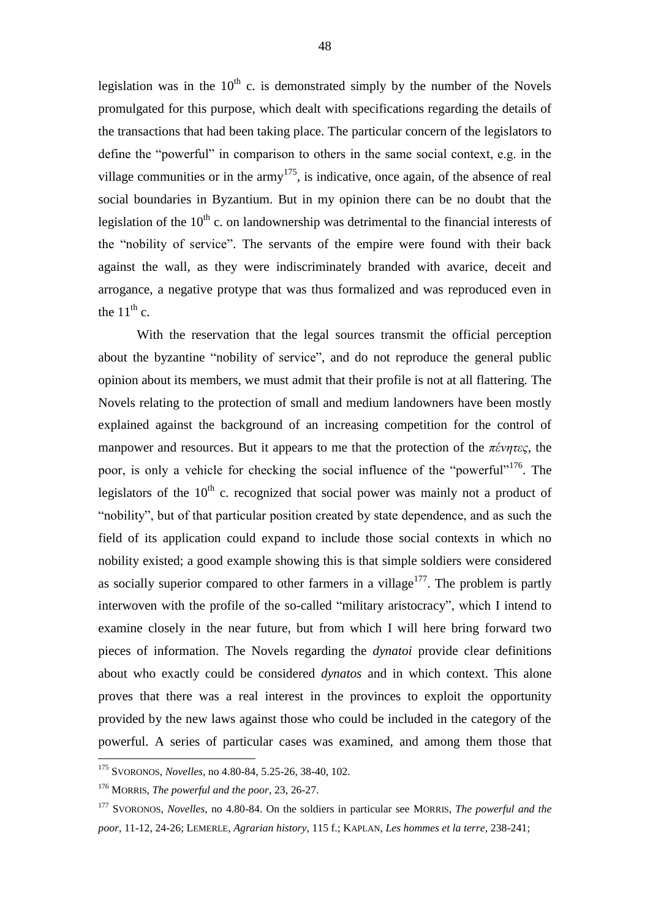legislation was in the  $10<sup>th</sup>$  c. is demonstrated simply by the number of the Novels promulgated for this purpose, which dealt with specifications regarding the details of the transactions that had been taking place. The particular concern of the legislators to define the "powerful" in comparison to others in the same social context, e.g. in the village communities or in the army<sup>175</sup>, is indicative, once again, of the absence of real social boundaries in Byzantium. But in my opinion there can be no doubt that the legislation of the  $10<sup>th</sup>$  c. on landownership was detrimental to the financial interests of the "nobility of service". The servants of the empire were found with their back against the wall, as they were indiscriminately branded with avarice, deceit and arrogance, a negative protype that was thus formalized and was reproduced even in the  $11^{th}$  c.

With the reservation that the legal sources transmit the official perception about the byzantine "nobility of service", and do not reproduce the general public opinion about its members, we must admit that their profile is not at all flattering. The Novels relating to the protection of small and medium landowners have been mostly explained against the background of an increasing competition for the control of manpower and resources. But it appears to me that the protection of the *πένητες*, the poor, is only a vehicle for checking the social influence of the "powerful"<sup>176</sup>. The legislators of the  $10<sup>th</sup>$  c. recognized that social power was mainly not a product of "nobility", but of that particular position created by state dependence, and as such the field of its application could expand to include those social contexts in which no nobility existed; a good example showing this is that simple soldiers were considered as socially superior compared to other farmers in a village $177$ . The problem is partly interwoven with the profile of the so-called "military aristocracy", which I intend to examine closely in the near future, but from which I will here bring forward two pieces of information. The Novels regarding the *dynatoi* provide clear definitions about who exactly could be considered *dynatos* and in which context. This alone proves that there was a real interest in the provinces to exploit the opportunity provided by the new laws against those who could be included in the category of the powerful. A series of particular cases was examined, and among them those that

1

<sup>175</sup> SVORONOS, *Novelles*, no 4.80-84, 5.25-26, 38-40, 102.

<sup>176</sup> MORRIS, *The powerful and the poor*, 23, 26-27.

<sup>177</sup> SVORONOS, *Novelles*, no 4.80-84. On the soldiers in particular see MORRIS, *The powerful and the poor*, 11-12, 24-26; LEMERLE, *Agrarian history*, 115 f.; KAPLAN, *Les hommes et la terre*, 238-241;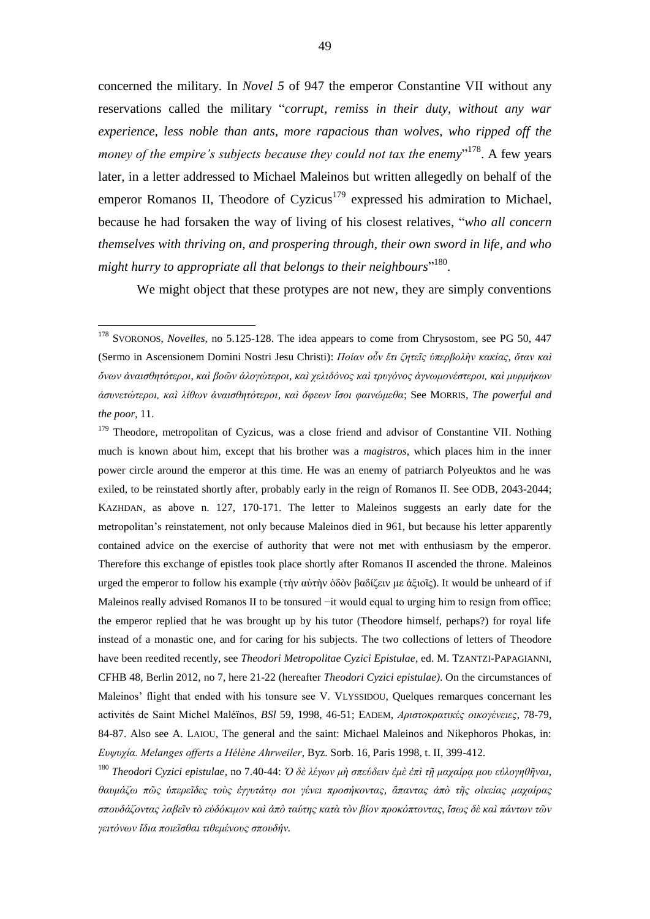concerned the military. In *Novel 5* of 947 the emperor Constantine VII without any reservations called the military "*corrupt, remiss in their duty, without any war experience, less noble than ants, more rapacious than wolves, who ripped off the*  money of the empire's subjects because they could not tax the enemy"<sup>178</sup>. A few years later, in a letter addressed to Michael Maleinos but written allegedly on behalf of the emperor Romanos II, Theodore of Cyzicus<sup>179</sup> expressed his admiration to Michael, because he had forsaken the way of living of his closest relatives, "*who all concern themselves with thriving on, and prospering through, their own sword in life, and who might hurry to appropriate all that belongs to their neighbours*" 180 .

We might object that these protypes are not new, they are simply conventions

<u>.</u>

<sup>179</sup> Theodore, metropolitan of Cyzicus, was a close friend and advisor of Constantine VII. Nothing much is known about him, except that his brother was a *magistros*, which places him in the inner power circle around the emperor at this time. He was an enemy of patriarch Polyeuktos and he was exiled, to be reinstated shortly after, probably early in the reign of Romanos II. See ODB, 2043-2044; KAZHDAN, as above n. 127, 170-171. The letter to Maleinos suggests an early date for the metropolitan's reinstatement, not only because Maleinos died in 961, but because his letter apparently contained advice on the exercise of authority that were not met with enthusiasm by the emperor. Therefore this exchange of epistles took place shortly after Romanos II ascended the throne. Maleinos urged the emperor to follow his example (τὴν αὐτὴν ὁδὸν βαδίζειν με ἀξιοῖς). It would be unheard of if Maleinos really advised Romanos II to be tonsured −it would equal to urging him to resign from office; the emperor replied that he was brought up by his tutor (Theodore himself, perhaps?) for royal life instead of a monastic one, and for caring for his subjects. The two collections of letters of Theodore have been reedited recently, see *Theodori Metropolitae Cyzici Epistulae*, ed. M. TZANTZI-PAPAGIANNI, CFHB 48, Berlin 2012, no 7, here 21-22 (hereafter *Theodori Cyzici epistulae)*. On the circumstances of Maleinos' flight that ended with his tonsure see V. VLYSSIDOU, Quelques remarques concernant les activités de Saint Michel Maléïnos, *BSl* 59, 1998, 46-51; EADEM, *Αριστοκρατικές οικογένειες*, 78-79, 84-87. Also see A. LAIOU, The general and the saint: Michael Maleinos and Nikephoros Phokas, in: *Ευψυχία. Melanges offerts a Hélène Ahrweiler*, Byz. Sorb. 16, Paris 1998, t. II, 399-412.

<sup>180</sup> *Theodori Cyzici epistulae*, no 7.40-44: *Ὁ δὲ λέγων μὴ σπεύδειν ἐμὲ ἐπὶ τῇ μαχαίρᾳ μου εὐλογηθῆναι, θαυμάζω πῶς ὑπερεῖδες τοὺς ἐγγυτάτῳ σοι γένει προσήκοντας, ἅπαντας ἀπὸ τῆς οἰκείας μαχαίρας σπουδάζοντας λαβεῖν τὸ εὐδόκιμον καὶ ἀπὸ ταύτης κατὰ τὸν βίον προκόπτοντας, ἴσως δὲ καὶ πάντων τῶν γειτόνων ἴδια ποιεῖσθαι τιθεμένους σπουδήν.*

<sup>178</sup> SVORONOS, *Novelles*, no 5.125-128. The idea appears to come from Chrysostom, see PG 50, 447 (Sermo in Ascensionem Domini Nostri Jesu Christi): *Ποίαν οὖν ἔτι ζητεῖς ὑπερβολὴν κακίας, ὅταν καὶ ὄνων ἀναισθητότεροι, καὶ βοῶν ἀλογώτεροι, καὶ χελιδόνος καὶ τρυγόνος ἀγνωμονέστεροι, καὶ μυρμήκων ἀσυνετώτεροι, καὶ λίθων ἀναισθητότεροι, καὶ ὄφεων ἴσοι φαινώμεθα*; See MORRIS, *The powerful and the poor*, 11.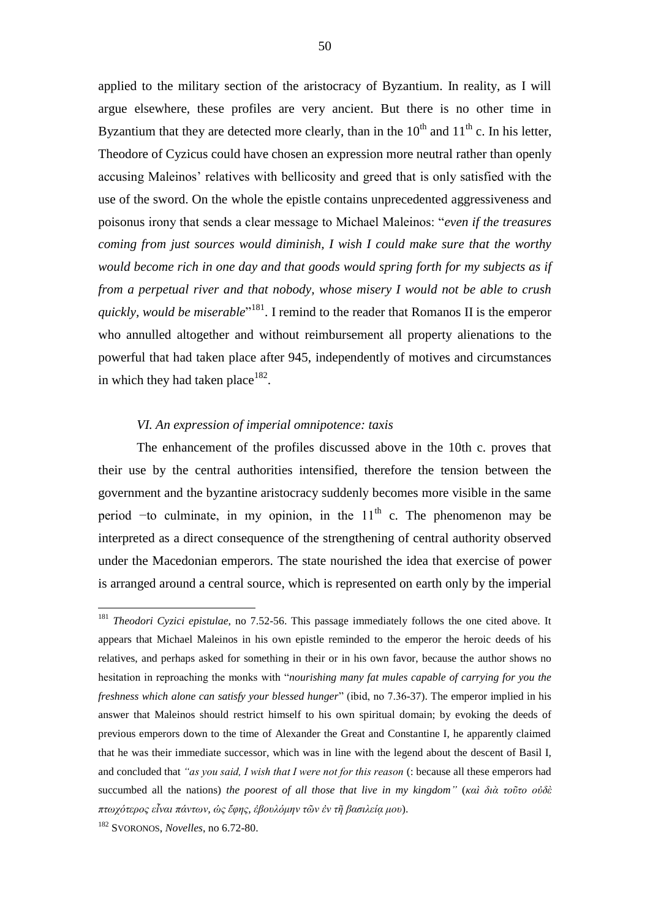applied to the military section of the aristocracy of Byzantium. In reality, as I will argue elsewhere, these profiles are very ancient. But there is no other time in Byzantium that they are detected more clearly, than in the  $10^{th}$  and  $11^{th}$  c. In his letter, Theodore of Cyzicus could have chosen an expression more neutral rather than openly accusing Maleinos' relatives with bellicosity and greed that is only satisfied with the use of the sword. On the whole the epistle contains unprecedented aggressiveness and poisonus irony that sends a clear message to Michael Maleinos: "*even if the treasures coming from just sources would diminish, I wish I could make sure that the worthy would become rich in one day and that goods would spring forth for my subjects as if from a perpetual river and that nobody, whose misery I would not be able to crush quickly, would be miserable*<sup>"181</sup>. I remind to the reader that Romanos II is the emperor who annulled altogether and without reimbursement all property alienations to the powerful that had taken place after 945, independently of motives and circumstances in which they had taken place  $182$ .

#### *VI. An expression of imperial omnipotence: taxis*

The enhancement of the profiles discussed above in the 10th c. proves that their use by the central authorities intensified, therefore the tension between the government and the byzantine aristocracy suddenly becomes more visible in the same period  $-$ to culminate, in my opinion, in the  $11<sup>th</sup>$  c. The phenomenon may be interpreted as a direct consequence of the strengthening of central authority observed under the Macedonian emperors. The state nourished the idea that exercise of power is arranged around a central source, which is represented on earth only by the imperial

<sup>&</sup>lt;sup>181</sup> *Theodori Cyzici epistulae*, no 7.52-56. This passage immediately follows the one cited above. It appears that Michael Maleinos in his own epistle reminded to the emperor the heroic deeds of his relatives, and perhaps asked for something in their or in his own favor, because the author shows no hesitation in reproaching the monks with "*nourishing many fat mules capable of carrying for you the freshness which alone can satisfy your blessed hunger*" (ibid, no 7.36-37). The emperor implied in his answer that Maleinos should restrict himself to his own spiritual domain; by evoking the deeds of previous emperors down to the time of Alexander the Great and Constantine I, he apparently claimed that he was their immediate successor, which was in line with the legend about the descent of Basil I, and concluded that *"as you said, I wish that I were not for this reason* (: because all these emperors had succumbed all the nations) *the poorest of all those that live in my kingdom"* (*καὶ διὰ τοῦτο οὐδὲ πτωχότερος εἶναι πάντων, ὡς ἔφης, ἐβουλόμην τῶν ἐν τῆ βασιλείᾳ μου*).

<sup>182</sup> SVORONOS, *Novelles*, no 6.72-80.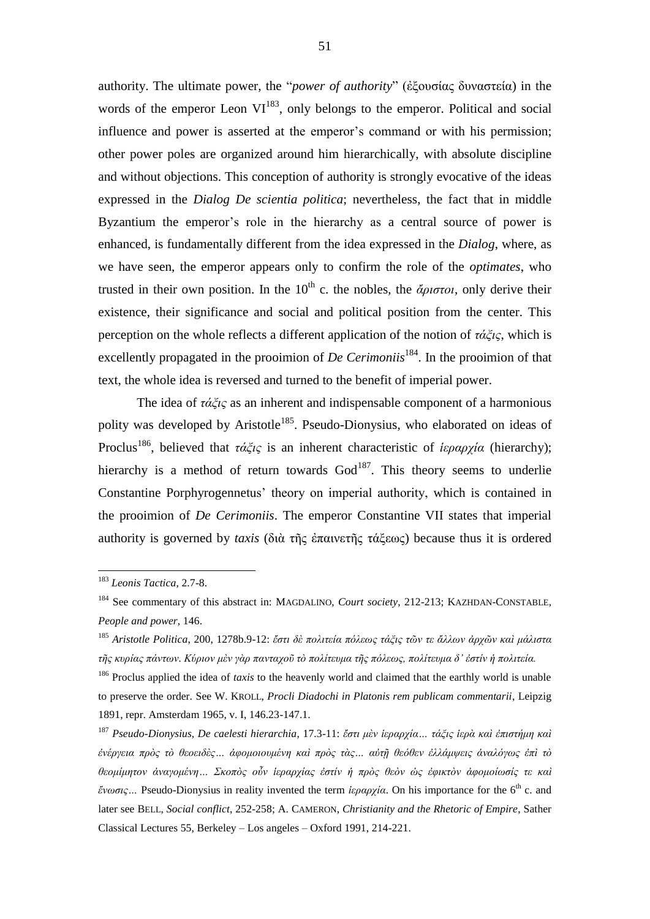authority. The ultimate power, the "*power of authority*" (ἐξουσίας δυναστεία) in the words of the emperor Leon  $VI^{183}$ , only belongs to the emperor. Political and social influence and power is asserted at the emperor's command or with his permission; other power poles are organized around him hierarchically, with absolute discipline and without objections. This conception of authority is strongly evocative of the ideas expressed in the *Dialog De scientia politica*; nevertheless, the fact that in middle Byzantium the emperor's role in the hierarchy as a central source of power is enhanced, is fundamentally different from the idea expressed in the *Dialog*, where, as we have seen, the emperor appears only to confirm the role of the *optimates*, who trusted in their own position. In the  $10^{th}$  c. the nobles, the  $\ddot{\alpha}$ *potol*, only derive their existence, their significance and social and political position from the center. This perception on the whole reflects a different application of the notion of *τάξις*, which is excellently propagated in the prooimion of *De Cerimoniis*<sup>184</sup>. In the prooimion of that text, the whole idea is reversed and turned to the benefit of imperial power.

The idea of *τάξις* as an inherent and indispensable component of a harmonious polity was developed by Aristotle<sup>185</sup>. Pseudo-Dionysius, who elaborated on ideas of Proclus<sup>186</sup>, believed that *τάξις* is an inherent characteristic of *ἱεραρχία* (hierarchy); hierarchy is a method of return towards  $God^{187}$ . This theory seems to underlie Constantine Porphyrogennetus' theory on imperial authority, which is contained in the prooimion of *De Cerimoniis*. The emperor Constantine VII states that imperial authority is governed by *taxis* (διὰ τῆς ἐπαινετῆς τάξεως) because thus it is ordered

<sup>183</sup> *Leonis Tactica*, 2.7-8.

<sup>184</sup> See commentary of this abstract in: MAGDALINO, *Court society*, 212-213; KAZHDAN-CONSTABLE, *People and power*, 146.

<sup>185</sup> *Aristotle Politica*, 200, 1278b.9-12: *ἔστι δὲ πολιτεία πόλεως τάξις τῶν τε ἄλλων ἀρχῶν καὶ μάλιστα τῆς κυρίας πάντων. Κύριον μὲν γὰρ πανταχοῦ τὸ πολίτευμα τῆς πόλεως, πολίτευμα δ' ἐστίν ἡ πολιτεία.*

<sup>&</sup>lt;sup>186</sup> Proclus applied the idea of *taxis* to the heavenly world and claimed that the earthly world is unable to preserve the order. See W. KROLL, *Procli Diadochi in Platonis rem publicam commentarii*, Leipzig 1891, repr. Amsterdam 1965, v. I, 146.23-147.1.

<sup>187</sup> *Pseudo-Dionysius, De caelesti hierarchia*, 17.3-11: *ἔστι μὲν ἱεραρχία… τάξις ἱερὰ καὶ ἐπιστήμη καὶ ἐνέργεια πρὸς τὸ θεοειδὲς… ἀφομοιουμένη καὶ πρὸς τὰς… αὐτῇ θεόθεν ἐλλάμψεις ἀναλόγως ἐπὶ τὸ θεομίμητον ἀναγομένη… Σκοπὸς οὖν ἱεραρχίας ἐστίν ἡ πρὸς θεὸν ὡς ἐφικτὸν ἀφομοίωσίς τε καὶ ἕνωσις…* Pseudo-Dionysius in reality invented the term *ἱεραρχία*. On his importance for the 6th c. and later see BELL, *Social conflict*, 252-258; A. CAMERON, *Christianity and the Rhetoric of Empire*, Sather Classical Lectures 55, Berkeley – Los angeles – Oxford 1991, 214-221.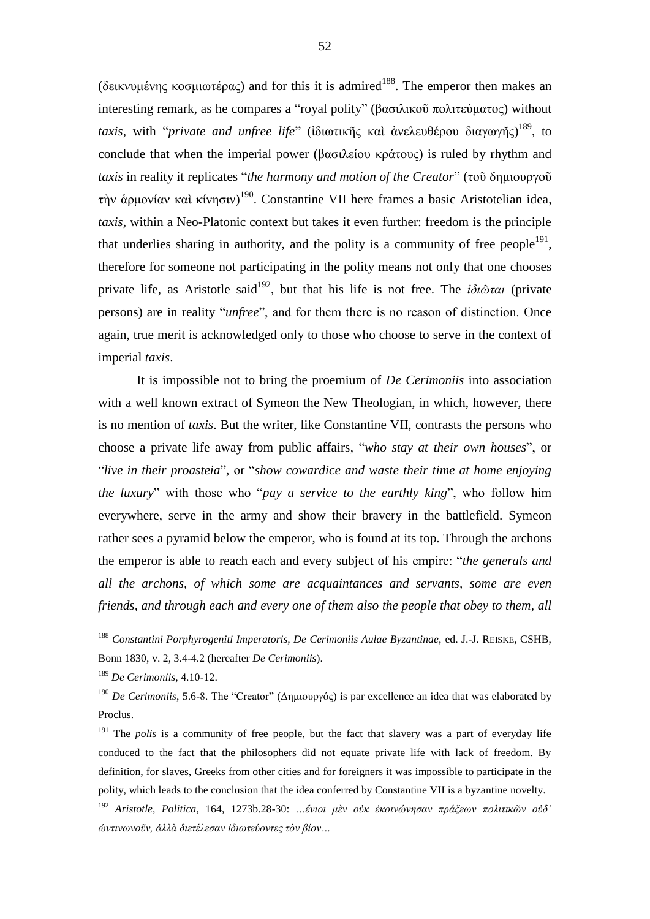(δεικνυμένης κοσμιωτέρας) and for this it is admired<sup>188</sup>. The emperor then makes an interesting remark, as he compares a "royal polity" (βασιλικοῦ πολιτεύματος) without *taxis*, with "*private and unfree life*" (ἰδιωτικῆς καὶ ἀνελευθέρου διαγωγῆς) <sup>189</sup>, to conclude that when the imperial power (βασιλείου κράτους) is ruled by rhythm and *taxis* in reality it replicates "*the harmony and motion of the Creator*" (τοῦ δημιουργοῦ τὴν ἁρμονίαν καὶ κίνησιν) <sup>190</sup>. Constantine VII here frames a basic Aristotelian idea, *taxis*, within a Neo-Platonic context but takes it even further: freedom is the principle that underlies sharing in authority, and the polity is a community of free people<sup>191</sup>, therefore for someone not participating in the polity means not only that one chooses private life, as Aristotle said<sup>192</sup>, but that his life is not free. The *ἰδι*ῶται (private persons) are in reality "*unfree*", and for them there is no reason of distinction. Once again, true merit is acknowledged only to those who choose to serve in the context of imperial *taxis*.

It is impossible not to bring the proemium of *De Cerimoniis* into association with a well known extract of Symeon the New Theologian, in which, however, there is no mention of *taxis*. But the writer, like Constantine VII, contrasts the persons who choose a private life away from public affairs, "*who stay at their own houses*", or "*live in their proasteia*", or "*show cowardice and waste their time at home enjoying the luxury*" with those who "*pay a service to the earthly king*", who follow him everywhere, serve in the army and show their bravery in the battlefield. Symeon rather sees a pyramid below the emperor, who is found at its top. Through the archons the emperor is able to reach each and every subject of his empire: "*the generals and all the archons, of which some are acquaintances and servants, some are even friends, and through each and every one of them also the people that obey to them, all* 

<sup>188</sup> *Constantini Porphyrogeniti Imperatoris, De Cerimoniis Aulae Byzantinae,* ed. J.-J. REISKE, CSHB, Bonn 1830, v. 2, 3.4-4.2 (hereafter *De Cerimoniis*).

<sup>189</sup> *De Cerimoniis*, 4.10-12.

<sup>190</sup> *De Cerimoniis*, 5.6-8. The "Creator" (Δημιουργός) is par excellence an idea that was elaborated by Proclus.

<sup>&</sup>lt;sup>191</sup> The *polis* is a community of free people, but the fact that slavery was a part of everyday life conduced to the fact that the philosophers did not equate private life with lack of freedom. By definition, for slaves, Greeks from other cities and for foreigners it was impossible to participate in the polity, which leads to the conclusion that the idea conferred by Constantine VII is a byzantine novelty. <sup>192</sup> *Aristotle, Politica*, 164, 1273b.28-30: *…ἔνιοι μὲν οὐκ ἐκοινώνησαν πράξεων πολιτικῶν οὐδ' ὡντινωνοῦν, ἀλλὰ διετέλεσαν ἰδιωτεύοντες τὸν βίον…*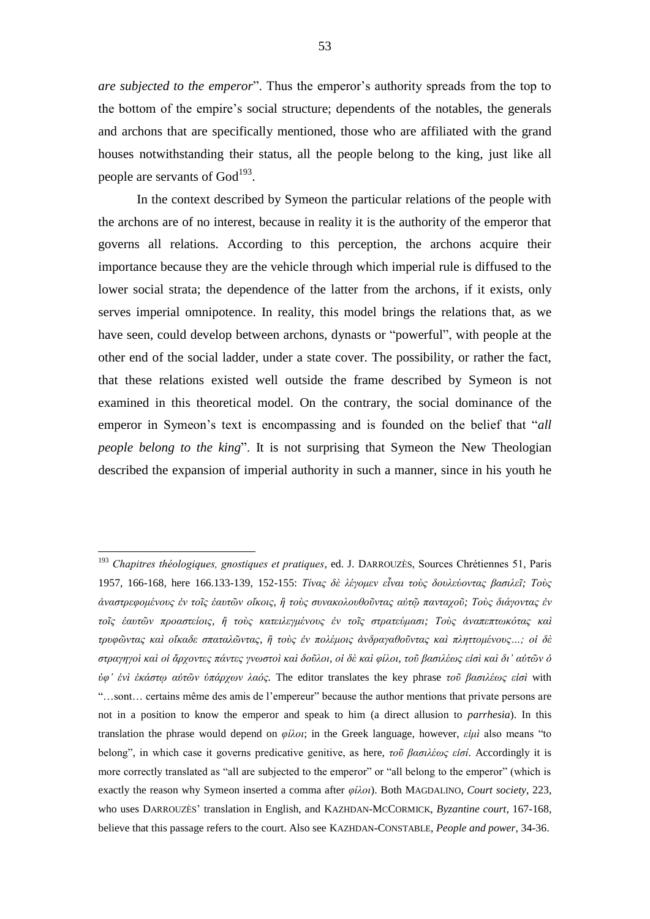*are subjected to the emperor*". Thus the emperor's authority spreads from the top to the bottom of the empire's social structure; dependents of the notables, the generals and archons that are specifically mentioned, those who are affiliated with the grand houses notwithstanding their status, all the people belong to the king, just like all people are servants of  $God<sup>193</sup>$ .

In the context described by Symeon the particular relations of the people with the archons are of no interest, because in reality it is the authority of the emperor that governs all relations. According to this perception, the archons acquire their importance because they are the vehicle through which imperial rule is diffused to the lower social strata; the dependence of the latter from the archons, if it exists, only serves imperial omnipotence. In reality, this model brings the relations that, as we have seen, could develop between archons, dynasts or "powerful", with people at the other end of the social ladder, under a state cover. The possibility, or rather the fact, that these relations existed well outside the frame described by Symeon is not examined in this theoretical model. On the contrary, the social dominance of the emperor in Symeon's text is encompassing and is founded on the belief that "*all people belong to the king*". It is not surprising that Symeon the New Theologian described the expansion of imperial authority in such a manner, since in his youth he

<sup>193</sup> *Chapitres théologiques, gnostiques et pratiques*, ed. J. DARROUZÈS, Sources Chrétiennes 51, Paris 1957, 166-168, here 166.133-139, 152-155: *Τίνας δὲ λέγομεν εἶναι τοὺς δουλεύοντας βασιλεῖ; Τοὺς ἀναστρεφομένους ἐν τοῖς ἑαυτῶν οἴκοις, ἢ τοὺς συνακολουθοῦντας αὐτῷ πανταχοῦ; Τοὺς διάγοντας ἐν τοῖς ἑαυτῶν προαστείοις, ἢ τοὺς κατειλεγμένους ἐν τοῖς στρατεύμασι; Τοὺς ἀναπεπτωκότας καὶ τρυφῶντας καὶ οἴκαδε σπαταλῶντας, ἢ τοὺς ἐν πολέμοις ἀνδραγαθοῦντας καὶ πληττομένους…; οἱ δὲ στραγηγοὶ καὶ οἱ ἄρχοντες πάντες γνωστοὶ καὶ δοῦλοι, οἱ δὲ καὶ φίλοι, τοῦ βασιλέως εἰσὶ καὶ δι' αὐτῶν ὁ ὑφ' ἑνὶ ἑκάστῳ αὐτῶν ὑπάρχων λαός.* The editor translates the key phrase *τοῦ βασιλέως εἰσὶ* with "…sont… certains même des amis de l'empereur" because the author mentions that private persons are not in a position to know the emperor and speak to him (a direct allusion to *parrhesia*). In this translation the phrase would depend on *φίλοι*; in the Greek language, however, *εἰμὶ* also means "to belong", in which case it governs predicative genitive, as here, *τοῦ βασιλέως εἰσί*. Accordingly it is more correctly translated as "all are subjected to the emperor" or "all belong to the emperor" (which is exactly the reason why Symeon inserted a comma after *φίλοι*). Both MAGDALINO, *Court society*, 223, who uses DARROUZÈS' translation in English, and KAZHDAN-MCCORMICK, *Byzantine court*, 167-168, believe that this passage refers to the court. Also see KAZHDAN-CONSTABLE, *People and power*, 34-36.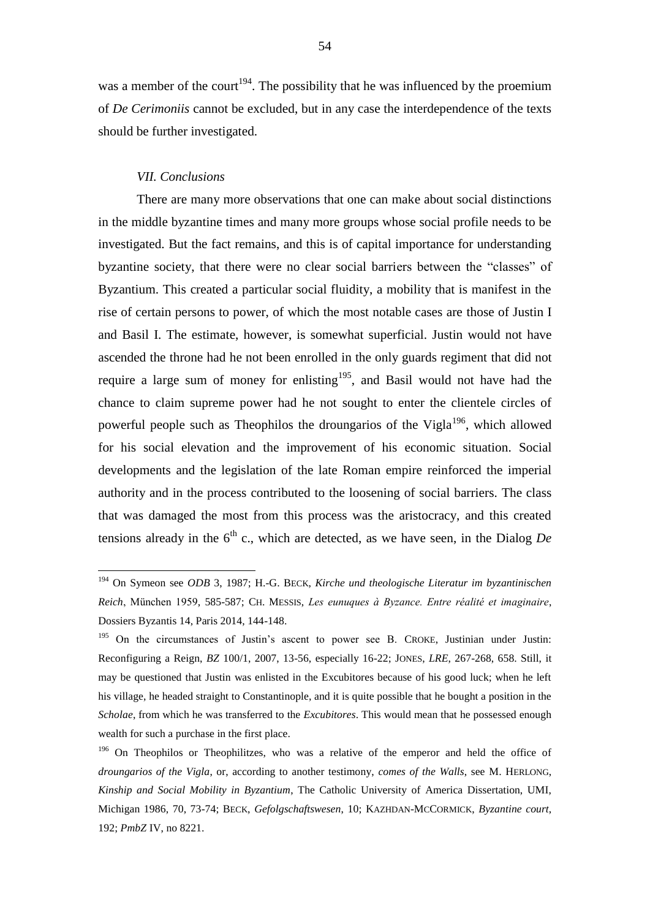was a member of the court<sup>194</sup>. The possibility that he was influenced by the proemium of *De Cerimoniis* cannot be excluded, but in any case the interdependence of the texts should be further investigated.

#### *VII. Conclusions*

<u>.</u>

There are many more observations that one can make about social distinctions in the middle byzantine times and many more groups whose social profile needs to be investigated. But the fact remains, and this is of capital importance for understanding byzantine society, that there were no clear social barriers between the "classes" of Byzantium. This created a particular social fluidity, a mobility that is manifest in the rise of certain persons to power, of which the most notable cases are those of Justin I and Basil I. The estimate, however, is somewhat superficial. Justin would not have ascended the throne had he not been enrolled in the only guards regiment that did not require a large sum of money for enlisting<sup>195</sup>, and Basil would not have had the chance to claim supreme power had he not sought to enter the clientele circles of powerful people such as Theophilos the droungarios of the Vigla<sup>196</sup>, which allowed for his social elevation and the improvement of his economic situation. Social developments and the legislation of the late Roman empire reinforced the imperial authority and in the process contributed to the loosening of social barriers. The class that was damaged the most from this process was the aristocracy, and this created tensions already in the  $6<sup>th</sup>$  c., which are detected, as we have seen, in the Dialog *De* 

<sup>194</sup> On Symeon see *ODB* 3, 1987; H.-G. BECK, *Kirche und theologische Literatur im byzantinischen Reich*, München 1959, 585-587; CH. MESSIS, *Les eunuques à Byzance. Entre réalité et imaginaire*, Dossiers Byzantis 14, Paris 2014, 144-148.

<sup>&</sup>lt;sup>195</sup> On the circumstances of Justin's ascent to power see B. CROKE, Justinian under Justin: Reconfiguring a Reign, *BZ* 100/1, 2007, 13-56, especially 16-22; JONES, *LRE*, 267-268, 658. Still, it may be questioned that Justin was enlisted in the Excubitores because of his good luck; when he left his village, he headed straight to Constantinople, and it is quite possible that he bought a position in the *Scholae*, from which he was transferred to the *Excubitores*. This would mean that he possessed enough wealth for such a purchase in the first place.

<sup>&</sup>lt;sup>196</sup> On Theophilos or Theophilitzes, who was a relative of the emperor and held the office of *droungarios of the Vigla*, or, according to another testimony, *comes of the Walls*, see M. HERLONG, *Kinship and Social Mobility in Byzantium*, The Catholic University of America Dissertation, UMI, Michigan 1986, 70, 73-74; BECK, *Gefolgschaftswesen*, 10; KAZHDAN-MCCORMICK, *Byzantine court*, 192; *PmbZ* IV, no 8221.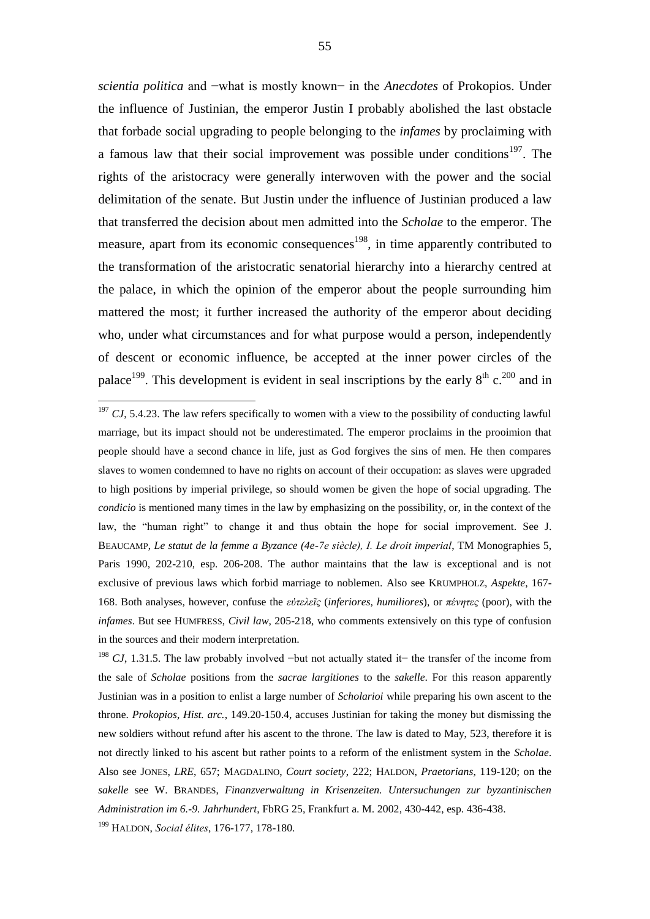*scientia politica* and −what is mostly known− in the *Anecdotes* of Prokopios. Under the influence of Justinian, the emperor Justin I probably abolished the last obstacle that forbade social upgrading to people belonging to the *infames* by proclaiming with a famous law that their social improvement was possible under conditions<sup>197</sup>. The rights of the aristocracy were generally interwoven with the power and the social delimitation of the senate. But Justin under the influence of Justinian produced a law that transferred the decision about men admitted into the *Scholae* to the emperor. The measure, apart from its economic consequences<sup>198</sup>, in time apparently contributed to the transformation of the aristocratic senatorial hierarchy into a hierarchy centred at the palace, in which the opinion of the emperor about the people surrounding him mattered the most; it further increased the authority of the emperor about deciding who, under what circumstances and for what purpose would a person, independently of descent or economic influence, be accepted at the inner power circles of the palace<sup>199</sup>. This development is evident in seal inscriptions by the early  $8^{th}$  c.<sup>200</sup> and in

<sup>198</sup> *CJ*, 1.31.5. The law probably involved −but not actually stated it− the transfer of the income from the sale of *Scholae* positions from the *sacrae largitiones* to the *sakelle*. For this reason apparently Justinian was in a position to enlist a large number of *Scholarioi* while preparing his own ascent to the throne. *Prokopios, Hist. arc.*, 149.20-150.4, accuses Justinian for taking the money but dismissing the new soldiers without refund after his ascent to the throne. The law is dated to May, 523, therefore it is not directly linked to his ascent but rather points to a reform of the enlistment system in the *Scholae*. Also see JONES, *LRE*, 657; MAGDALINO, *Court society*, 222; HALDON, *Praetorians*, 119-120; on the *sakelle* see W. BRANDES, *Finanzverwaltung in Krisenzeiten. Untersuchungen zur byzantinischen Administration im 6.-9. Jahrhundert*, FbRG 25, Frankfurt a. M. 2002, 430-442, esp. 436-438.

<sup>199</sup> HALDON, *Social élites*, 176-177, 178-180.

 $197 \text{ }$  CJ, 5.4.23. The law refers specifically to women with a view to the possibility of conducting lawful marriage, but its impact should not be underestimated. The emperor proclaims in the prooimion that people should have a second chance in life, just as God forgives the sins of men. He then compares slaves to women condemned to have no rights on account of their occupation: as slaves were upgraded to high positions by imperial privilege, so should women be given the hope of social upgrading. The *condicio* is mentioned many times in the law by emphasizing on the possibility, or, in the context of the law, the "human right" to change it and thus obtain the hope for social improvement. See J. BEAUCAMP, *Le statut de la femme a Byzance (4e-7e siècle), I. Le droit imperial*, TM Monographies 5, Paris 1990, 202-210, esp. 206-208. The author maintains that the law is exceptional and is not exclusive of previous laws which forbid marriage to noblemen. Also see KRUMPHOLZ, *Aspekte*, 167- 168. Both analyses, however, confuse the *εὐτελεῖς* (*inferiores*, *humiliores*), or *πένητες* (poor), with the *infames*. But see HUMFRESS, *Civil law*, 205-218, who comments extensively on this type of confusion in the sources and their modern interpretation.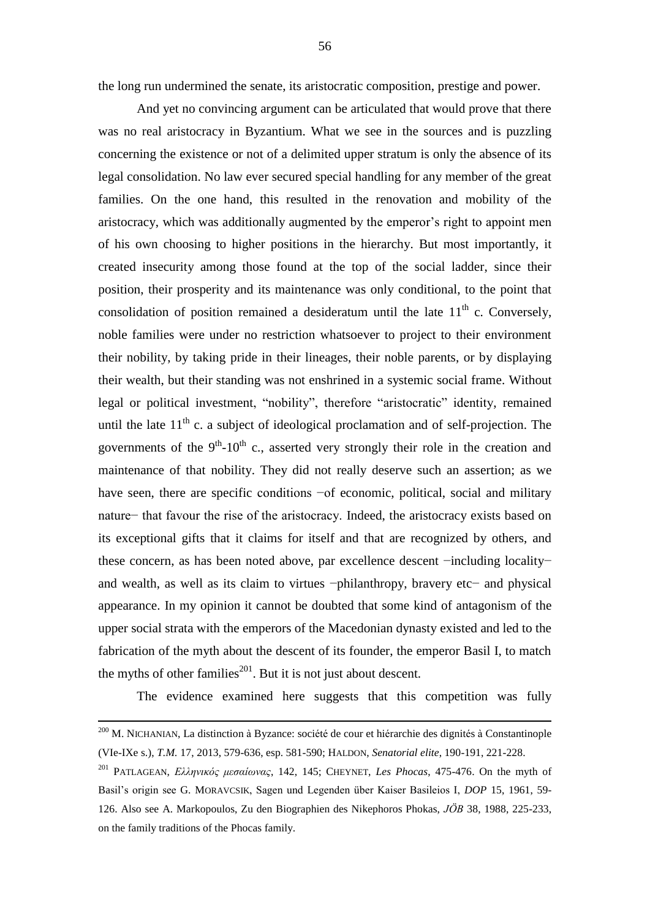the long run undermined the senate, its aristocratic composition, prestige and power.

And yet no convincing argument can be articulated that would prove that there was no real aristocracy in Byzantium. What we see in the sources and is puzzling concerning the existence or not of a delimited upper stratum is only the absence of its legal consolidation. No law ever secured special handling for any member of the great families. On the one hand, this resulted in the renovation and mobility of the aristocracy, which was additionally augmented by the emperor's right to appoint men of his own choosing to higher positions in the hierarchy. But most importantly, it created insecurity among those found at the top of the social ladder, since their position, their prosperity and its maintenance was only conditional, to the point that consolidation of position remained a desideratum until the late  $11<sup>th</sup>$  c. Conversely, noble families were under no restriction whatsoever to project to their environment their nobility, by taking pride in their lineages, their noble parents, or by displaying their wealth, but their standing was not enshrined in a systemic social frame. Without legal or political investment, "nobility", therefore "aristocratic" identity, remained until the late  $11<sup>th</sup>$  c. a subject of ideological proclamation and of self-projection. The governments of the  $9<sup>th</sup>$ -10<sup>th</sup> c., asserted very strongly their role in the creation and maintenance of that nobility. They did not really deserve such an assertion; as we have seen, there are specific conditions −of economic, political, social and military nature− that favour the rise of the aristocracy. Indeed, the aristocracy exists based on its exceptional gifts that it claims for itself and that are recognized by others, and these concern, as has been noted above, par excellence descent −including locality− and wealth, as well as its claim to virtues −philanthropy, bravery etc− and physical appearance. In my opinion it cannot be doubted that some kind of antagonism of the upper social strata with the emperors of the Macedonian dynasty existed and led to the fabrication of the myth about the descent of its founder, the emperor Basil I, to match the myths of other families<sup>201</sup>. But it is not just about descent.

The evidence examined here suggests that this competition was fully

<sup>&</sup>lt;sup>200</sup> M. NICHANIAN, La distinction à Byzance: société de cour et hiérarchie des dignités à Constantinople (VIe-IXe s.), *T.M.* 17, 2013, 579-636, esp. 581-590; HALDON, *Senatorial elite*, 190-191, 221-228.

<sup>201</sup> PATLAGEAN, *Ελληνικός μεσαίωνας*, 142, 145; CHEYNET, *Les Phocas*, 475-476. On the myth of Basil's origin see G. MORAVCSIK, Sagen und Legenden über Kaiser Basileios I, *DOP* 15, 1961, 59- 126. Also see A. Markopoulos, Zu den Biographien des Nikephoros Phokas, *JÖB* 38, 1988, 225-233, on the family traditions of the Phocas family.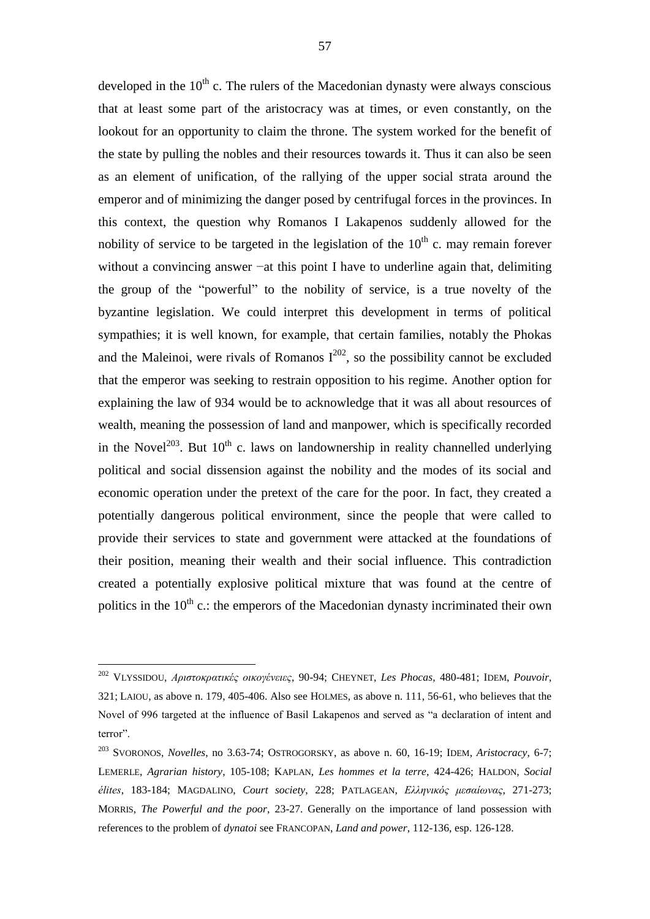developed in the  $10<sup>th</sup>$  c. The rulers of the Macedonian dynasty were always conscious that at least some part of the aristocracy was at times, or even constantly, on the lookout for an opportunity to claim the throne. The system worked for the benefit of the state by pulling the nobles and their resources towards it. Thus it can also be seen as an element of unification, of the rallying of the upper social strata around the emperor and of minimizing the danger posed by centrifugal forces in the provinces. In this context, the question why Romanos I Lakapenos suddenly allowed for the nobility of service to be targeted in the legislation of the  $10<sup>th</sup>$  c. may remain forever without a convincing answer −at this point I have to underline again that, delimiting the group of the "powerful" to the nobility of service, is a true novelty of the byzantine legislation. We could interpret this development in terms of political sympathies; it is well known, for example, that certain families, notably the Phokas and the Maleinoi, were rivals of Romanos  $I^{202}$ , so the possibility cannot be excluded that the emperor was seeking to restrain opposition to his regime. Another option for explaining the law of 934 would be to acknowledge that it was all about resources of wealth, meaning the possession of land and manpower, which is specifically recorded in the Novel<sup>203</sup>. But  $10^{th}$  c. laws on landownership in reality channelled underlying political and social dissension against the nobility and the modes of its social and economic operation under the pretext of the care for the poor. In fact, they created a potentially dangerous political environment, since the people that were called to provide their services to state and government were attacked at the foundations of their position, meaning their wealth and their social influence. This contradiction created a potentially explosive political mixture that was found at the centre of politics in the  $10^{th}$  c.: the emperors of the Macedonian dynasty incriminated their own

<sup>202</sup> VLYSSIDOU, *Αριστοκρατικές οικογένειες*, 90-94; CHEYNET, *Les Phocas*, 480-481; IDEM, *Pouvoir*, 321; LAIOU, as above n. 179, 405-406. Also see HOLMES, as above n. 111, 56-61, who believes that the Novel of 996 targeted at the influence of Basil Lakapenos and served as "a declaration of intent and terror".

<sup>203</sup> SVORONOS, *Novelles*, no 3.63-74; OSTROGORSKY, as above n. 60, 16-19; IDEM, *Aristocracy*, 6-7; LEMERLE, *Agrarian history*, 105-108; KAPLAN, *Les hommes et la terre*, 424-426; HALDON, *Social élites*, 183-184; MAGDALINO, *Court society*, 228; PATLAGEAN, *Ελληνικός μεσαίωνας*, 271-273; MORRIS, *The Powerful and the poor*, 23-27. Generally on the importance of land possession with references to the problem of *dynatoi* see FRANCOPAN, *Land and power*, 112-136, esp. 126-128.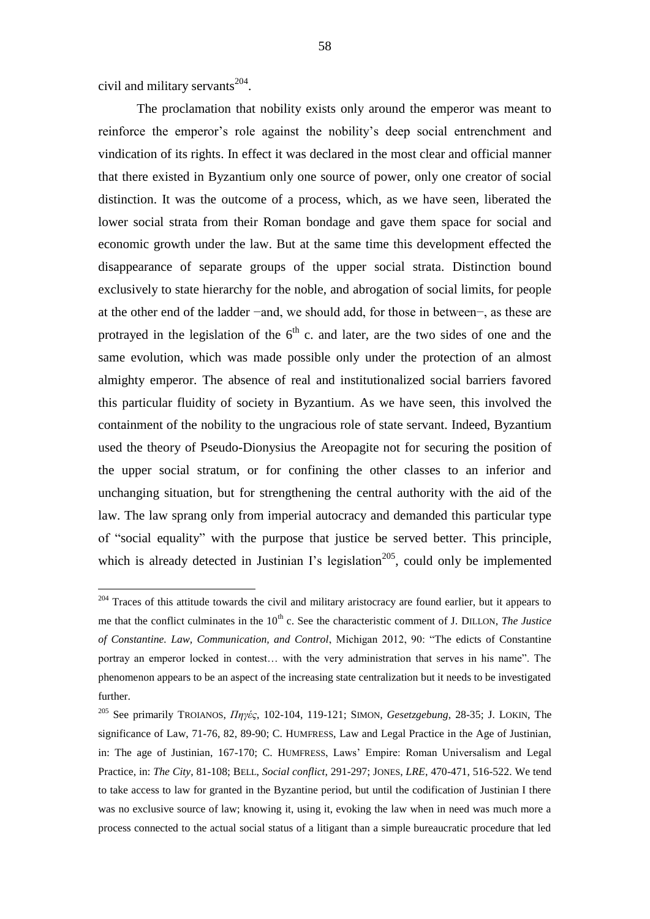civil and military servants $^{204}$ .

<u>.</u>

The proclamation that nobility exists only around the emperor was meant to reinforce the emperor's role against the nobility's deep social entrenchment and vindication of its rights. In effect it was declared in the most clear and official manner that there existed in Byzantium only one source of power, only one creator of social distinction. It was the outcome of a process, which, as we have seen, liberated the lower social strata from their Roman bondage and gave them space for social and economic growth under the law. But at the same time this development effected the disappearance of separate groups of the upper social strata. Distinction bound exclusively to state hierarchy for the noble, and abrogation of social limits, for people at the other end of the ladder −and, we should add, for those in between−, as these are protrayed in the legislation of the  $6<sup>th</sup>$  c. and later, are the two sides of one and the same evolution, which was made possible only under the protection of an almost almighty emperor. The absence of real and institutionalized social barriers favored this particular fluidity of society in Byzantium. As we have seen, this involved the containment of the nobility to the ungracious role of state servant. Indeed, Byzantium used the theory of Pseudo-Dionysius the Areopagite not for securing the position of the upper social stratum, or for confining the other classes to an inferior and unchanging situation, but for strengthening the central authority with the aid of the law. The law sprang only from imperial autocracy and demanded this particular type of "social equality" with the purpose that justice be served better. This principle, which is already detected in Justinian I's legislation<sup>205</sup>, could only be implemented

<sup>&</sup>lt;sup>204</sup> Traces of this attitude towards the civil and military aristocracy are found earlier, but it appears to me that the conflict culminates in the 10<sup>th</sup> c. See the characteristic comment of J. DILLON, *The Justice of Constantine. Law, Communication, and Control*, Michigan 2012, 90: "The edicts of Constantine portray an emperor locked in contest… with the very administration that serves in his name". The phenomenon appears to be an aspect of the increasing state centralization but it needs to be investigated further.

<sup>205</sup> See primarily TROIANOS, *Πηγές*, 102-104, 119-121; SIMON, *Gesetzgebung*, 28-35; J. LOKIN, The significance of Law, 71-76, 82, 89-90; C. HUMFRESS, Law and Legal Practice in the Age of Justinian, in: The age of Justinian, 167-170; C. HUMFRESS, Laws' Empire: Roman Universalism and Legal Practice, in: *The City*, 81-108; BELL, *Social conflict*, 291-297; JONES, *LRE*, 470-471, 516-522. We tend to take access to law for granted in the Byzantine period, but until the codification of Justinian I there was no exclusive source of law; knowing it, using it, evoking the law when in need was much more a process connected to the actual social status of a litigant than a simple bureaucratic procedure that led